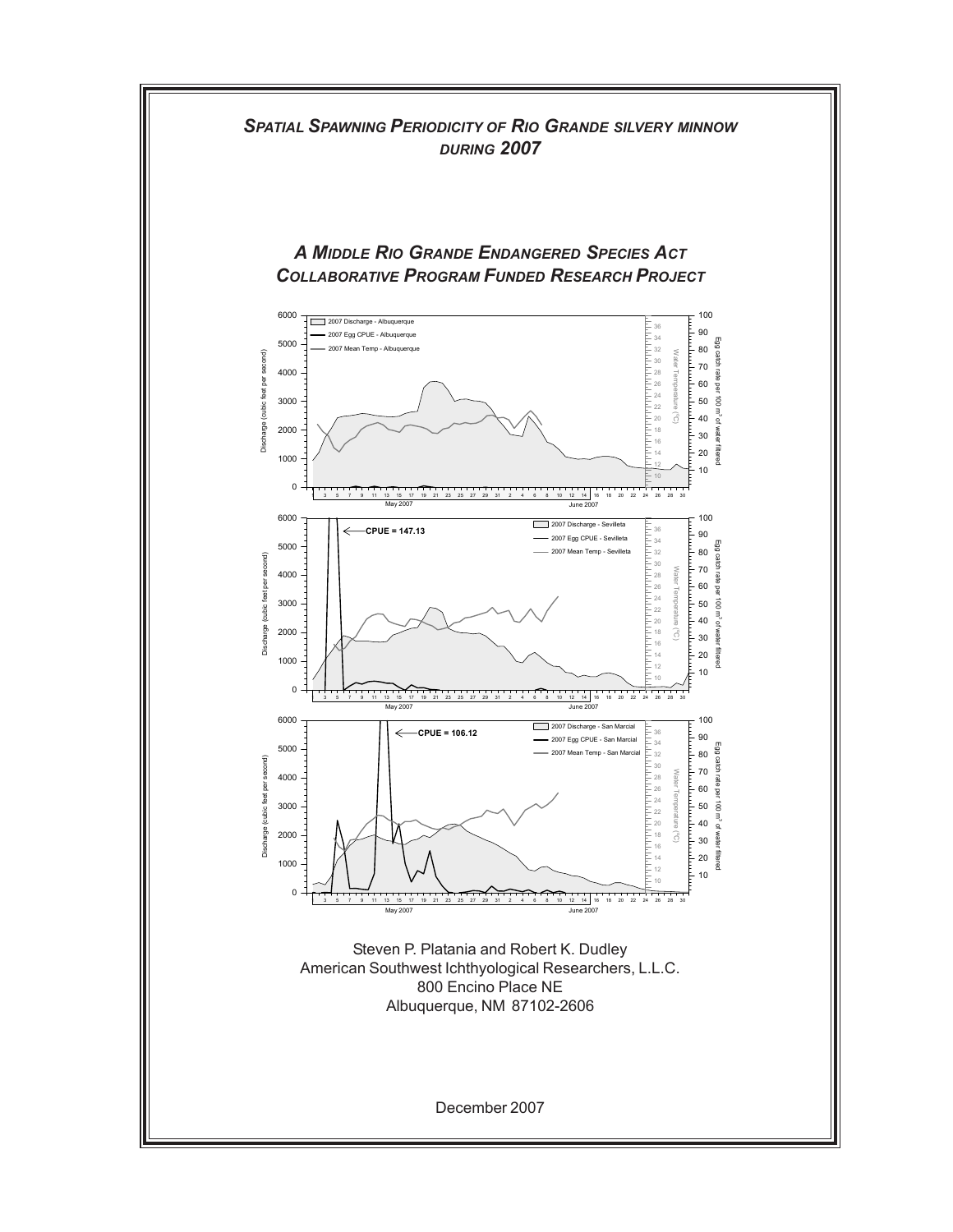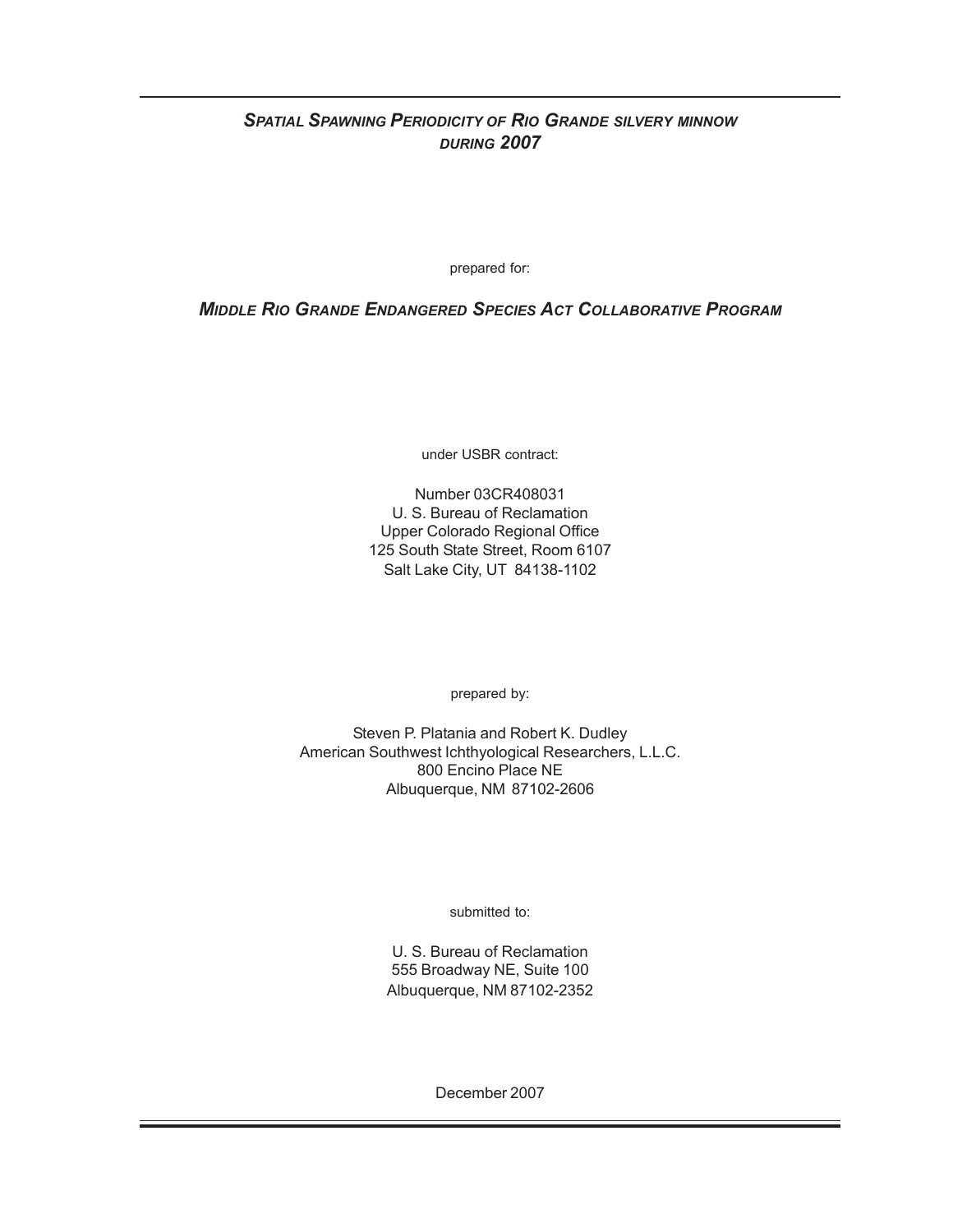# *SPATIAL SPAWNING PERIODICITY OF RIO GRANDE SILVERY MINNOW DURING 2007*

prepared for:

*MIDDLE RIO GRANDE ENDANGERED SPECIES ACT COLLABORATIVE PROGRAM*

under USBR contract:

Number 03CR408031 U. S. Bureau of Reclamation Upper Colorado Regional Office 125 South State Street, Room 6107 Salt Lake City, UT 84138-1102

prepared by:

Steven P. Platania and Robert K. Dudley American Southwest Ichthyological Researchers, L.L.C. 800 Encino Place NE Albuquerque, NM 87102-2606

submitted to:

U. S. Bureau of Reclamation 555 Broadway NE, Suite 100 Albuquerque, NM 87102-2352

December 2007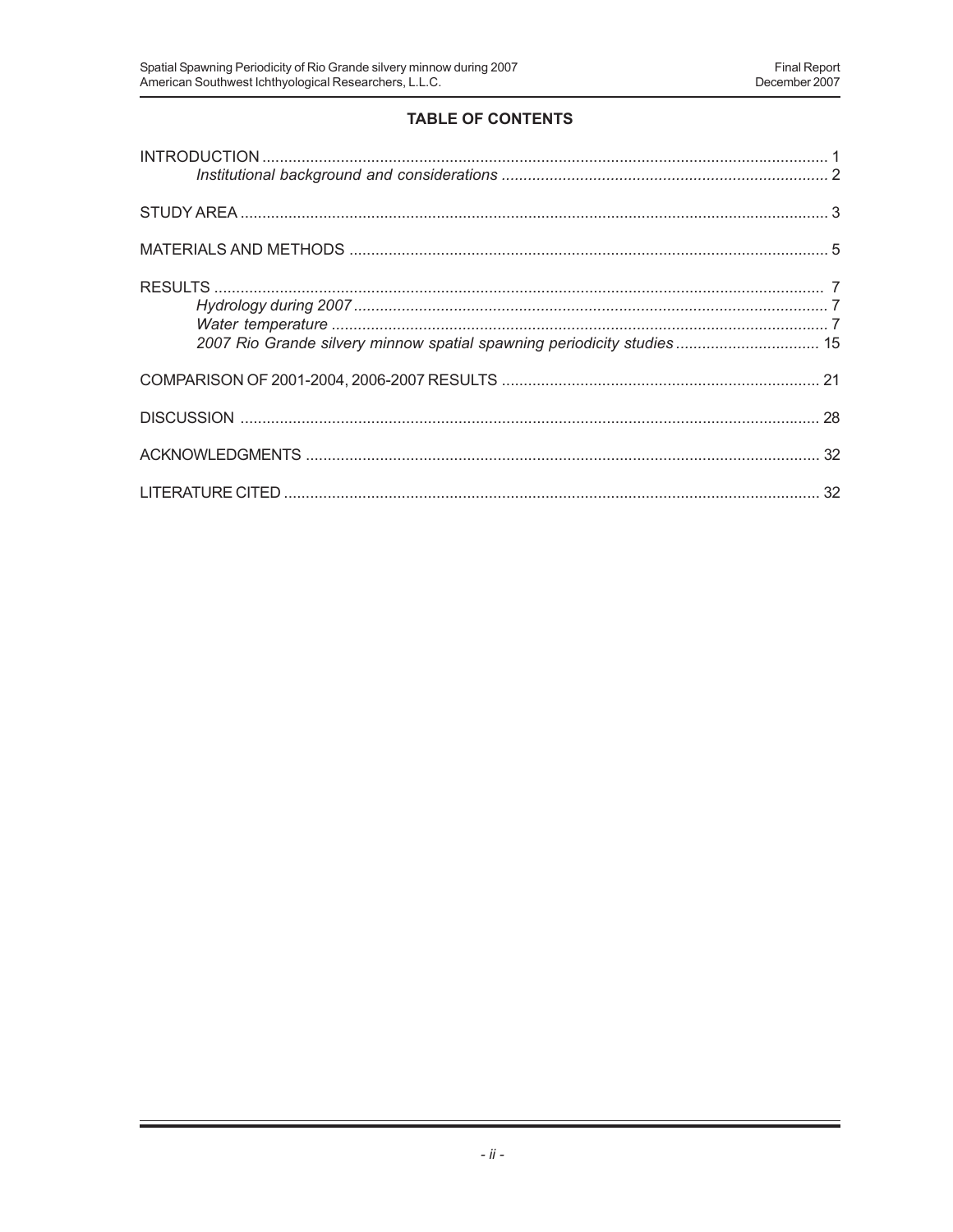# **TABLE OF CONTENTS**

| 2007 Rio Grande silvery minnow spatial spawning periodicity studies 15 |  |
|------------------------------------------------------------------------|--|
|                                                                        |  |
|                                                                        |  |
|                                                                        |  |
|                                                                        |  |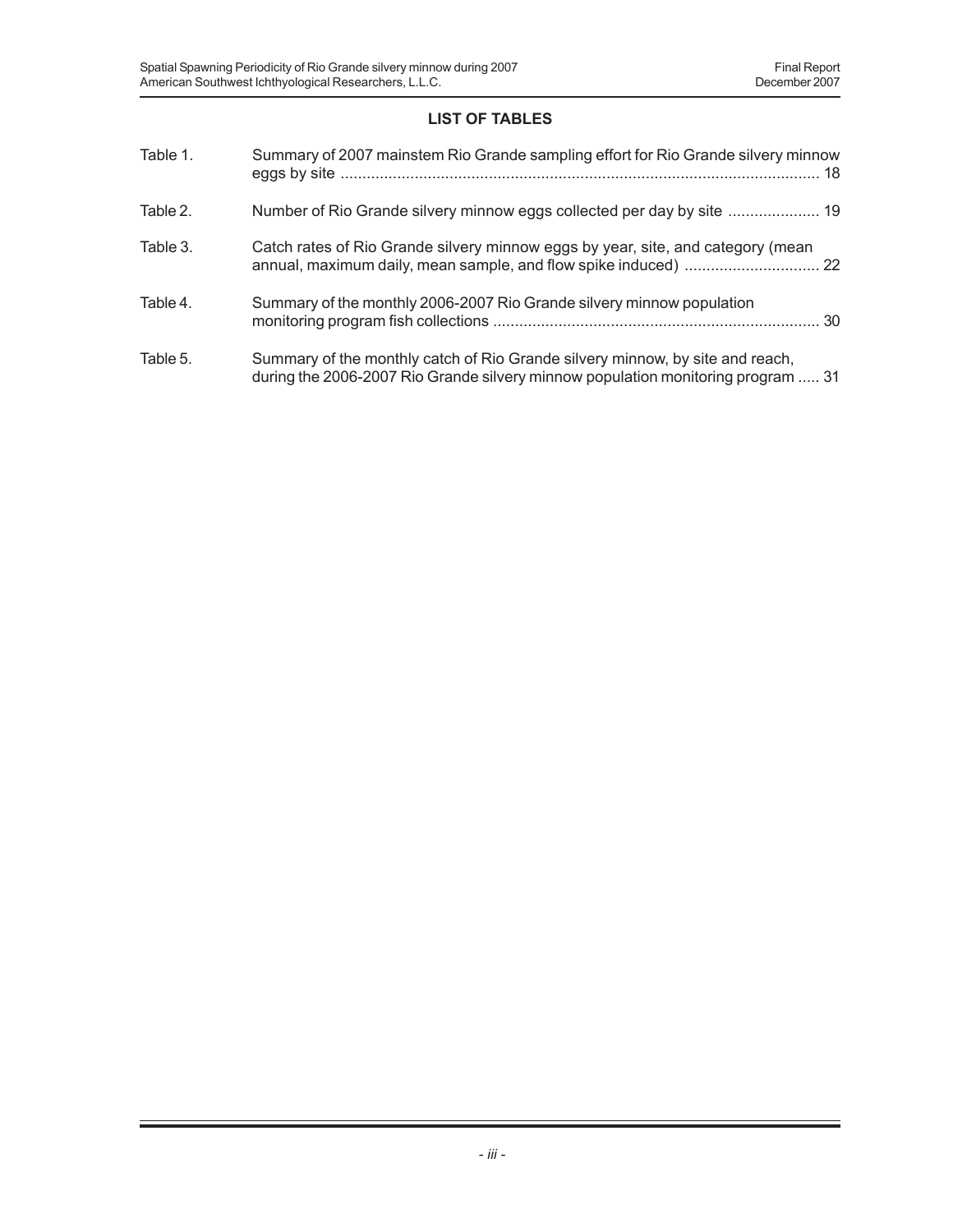# **LIST OF TABLES**

| Table 1. | Summary of 2007 mainstem Rio Grande sampling effort for Rio Grande silvery minnow                                                                                 |
|----------|-------------------------------------------------------------------------------------------------------------------------------------------------------------------|
| Table 2. | Number of Rio Grande silvery minnow eggs collected per day by site  19                                                                                            |
| Table 3. | Catch rates of Rio Grande silvery minnow eggs by year, site, and category (mean                                                                                   |
| Table 4. | Summary of the monthly 2006-2007 Rio Grande silvery minnow population                                                                                             |
| Table 5. | Summary of the monthly catch of Rio Grande silvery minnow, by site and reach,<br>during the 2006-2007 Rio Grande silvery minnow population monitoring program  31 |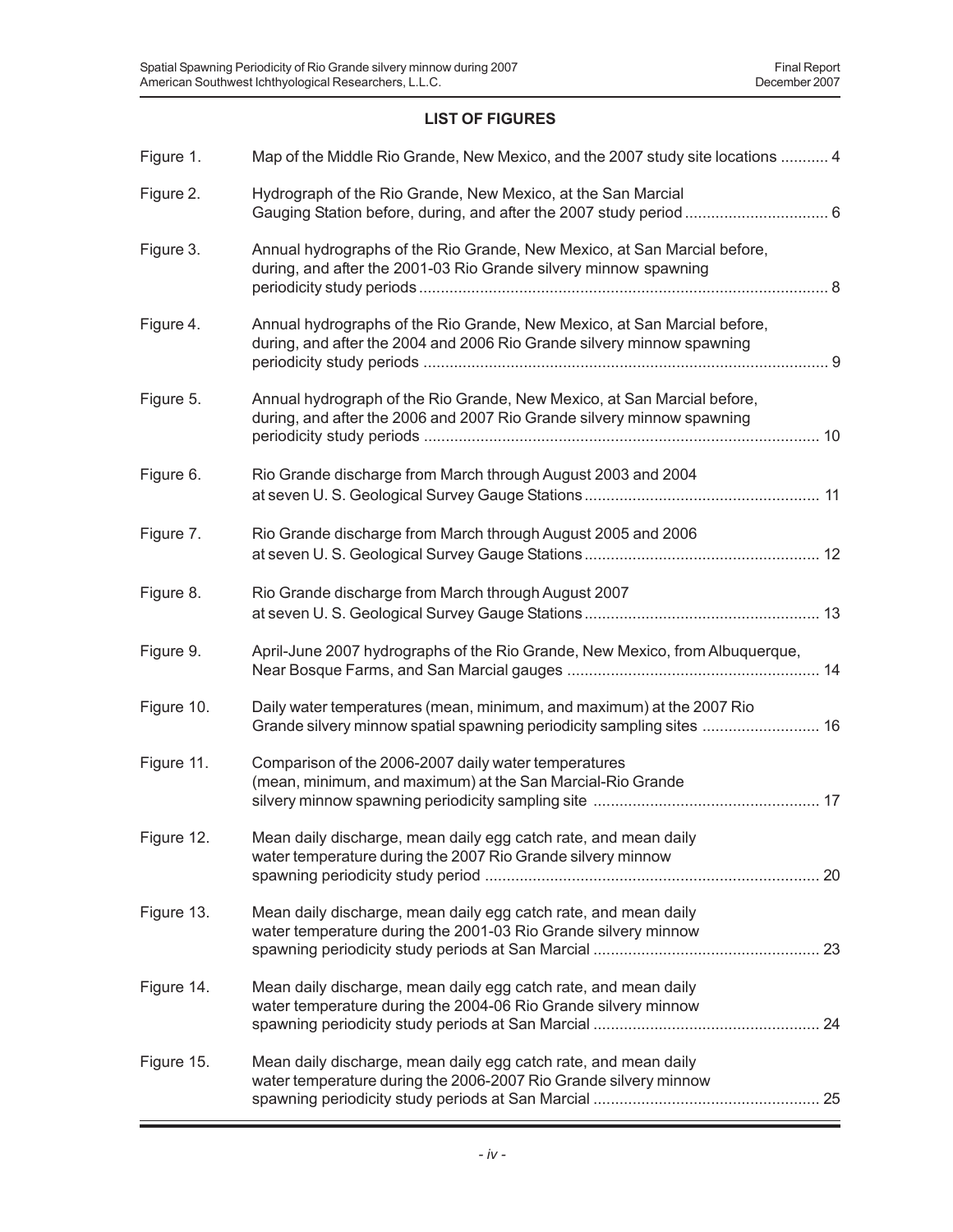# **LIST OF FIGURES**

| Figure 1.  | Map of the Middle Rio Grande, New Mexico, and the 2007 study site locations  4                                                                     |
|------------|----------------------------------------------------------------------------------------------------------------------------------------------------|
| Figure 2.  | Hydrograph of the Rio Grande, New Mexico, at the San Marcial                                                                                       |
| Figure 3.  | Annual hydrographs of the Rio Grande, New Mexico, at San Marcial before,<br>during, and after the 2001-03 Rio Grande silvery minnow spawning       |
| Figure 4.  | Annual hydrographs of the Rio Grande, New Mexico, at San Marcial before,<br>during, and after the 2004 and 2006 Rio Grande silvery minnow spawning |
| Figure 5.  | Annual hydrograph of the Rio Grande, New Mexico, at San Marcial before,<br>during, and after the 2006 and 2007 Rio Grande silvery minnow spawning  |
| Figure 6.  | Rio Grande discharge from March through August 2003 and 2004                                                                                       |
| Figure 7.  | Rio Grande discharge from March through August 2005 and 2006                                                                                       |
| Figure 8.  | Rio Grande discharge from March through August 2007                                                                                                |
| Figure 9.  |                                                                                                                                                    |
|            | April-June 2007 hydrographs of the Rio Grande, New Mexico, from Albuquerque,                                                                       |
| Figure 10. | Daily water temperatures (mean, minimum, and maximum) at the 2007 Rio<br>Grande silvery minnow spatial spawning periodicity sampling sites  16     |
| Figure 11. | Comparison of the 2006-2007 daily water temperatures<br>(mean, minimum, and maximum) at the San Marcial-Rio Grande                                 |
| Figure 12. | Mean daily discharge, mean daily egg catch rate, and mean daily<br>water temperature during the 2007 Rio Grande silvery minnow                     |
| Figure 13. | Mean daily discharge, mean daily egg catch rate, and mean daily<br>water temperature during the 2001-03 Rio Grande silvery minnow                  |
| Figure 14. | Mean daily discharge, mean daily egg catch rate, and mean daily<br>water temperature during the 2004-06 Rio Grande silvery minnow                  |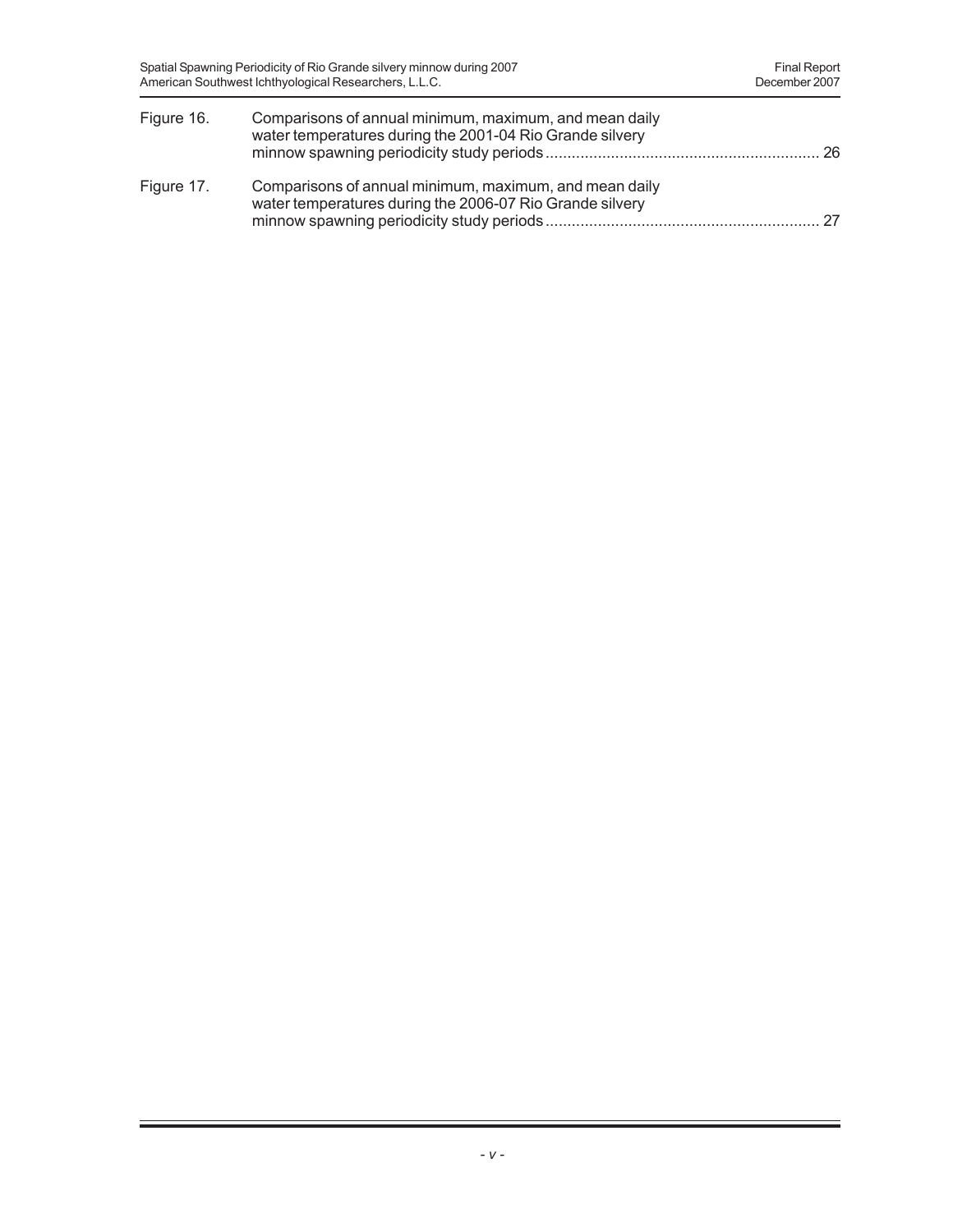| Figure 16. | Comparisons of annual minimum, maximum, and mean daily<br>water temperatures during the 2001-04 Rio Grande silvery |  |
|------------|--------------------------------------------------------------------------------------------------------------------|--|
| Figure 17. | Comparisons of annual minimum, maximum, and mean daily<br>water temperatures during the 2006-07 Rio Grande silvery |  |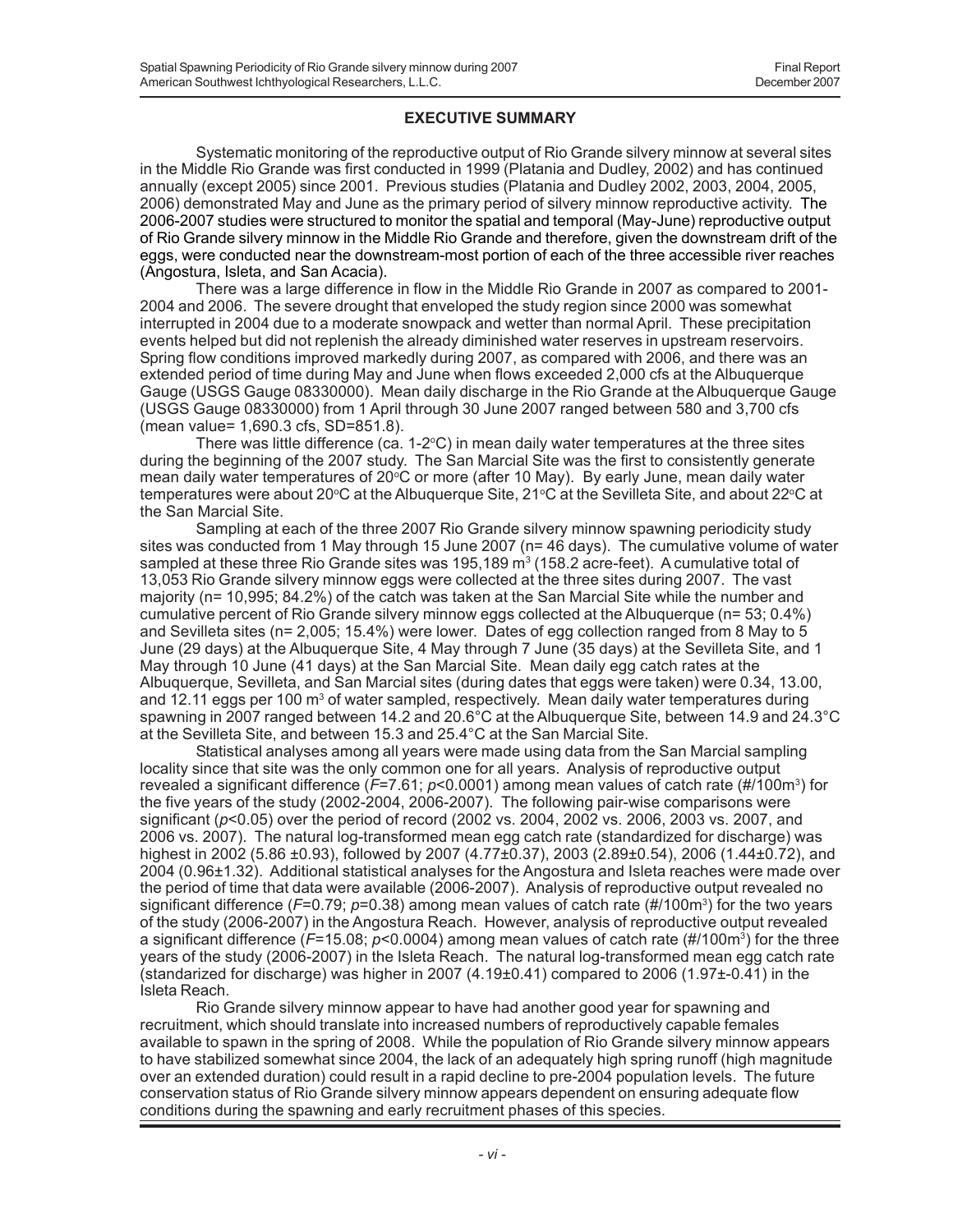## **EXECUTIVE SUMMARY**

Systematic monitoring of the reproductive output of Rio Grande silvery minnow at several sites in the Middle Rio Grande was first conducted in 1999 (Platania and Dudley, 2002) and has continued annually (except 2005) since 2001. Previous studies (Platania and Dudley 2002, 2003, 2004, 2005, 2006) demonstrated May and June as the primary period of silvery minnow reproductive activity. The 2006-2007 studies were structured to monitor the spatial and temporal (May-June) reproductive output of Rio Grande silvery minnow in the Middle Rio Grande and therefore, given the downstream drift of the eggs, were conducted near the downstream-most portion of each of the three accessible river reaches (Angostura, Isleta, and San Acacia).

There was a large difference in flow in the Middle Rio Grande in 2007 as compared to 2001- 2004 and 2006. The severe drought that enveloped the study region since 2000 was somewhat interrupted in 2004 due to a moderate snowpack and wetter than normal April. These precipitation events helped but did not replenish the already diminished water reserves in upstream reservoirs. Spring flow conditions improved markedly during 2007, as compared with 2006, and there was an extended period of time during May and June when flows exceeded 2,000 cfs at the Albuquerque Gauge (USGS Gauge 08330000). Mean daily discharge in the Rio Grande at the Albuquerque Gauge (USGS Gauge 08330000) from 1 April through 30 June 2007 ranged between 580 and 3,700 cfs (mean value= 1,690.3 cfs, SD=851.8).

There was little difference (ca.  $1-2^{\circ}C$ ) in mean daily water temperatures at the three sites during the beginning of the 2007 study. The San Marcial Site was the first to consistently generate mean daily water temperatures of 20°C or more (after 10 May). By early June, mean daily water temperatures were about 20ºC at the Albuquerque Site, 21ºC at the Sevilleta Site, and about 22ºC at the San Marcial Site.

Sampling at each of the three 2007 Rio Grande silvery minnow spawning periodicity study sites was conducted from 1 May through 15 June 2007 (n= 46 days). The cumulative volume of water sampled at these three Rio Grande sites was 195,189 m $^3$  (158.2 acre-feet). A cumulative total of 13,053 Rio Grande silvery minnow eggs were collected at the three sites during 2007. The vast majority (n= 10,995; 84.2%) of the catch was taken at the San Marcial Site while the number and cumulative percent of Rio Grande silvery minnow eggs collected at the Albuquerque (n= 53; 0.4%) and Sevilleta sites (n= 2,005; 15.4%) were lower. Dates of egg collection ranged from 8 May to 5 June (29 days) at the Albuquerque Site, 4 May through 7 June (35 days) at the Sevilleta Site, and 1 May through 10 June (41 days) at the San Marcial Site. Mean daily egg catch rates at the Albuquerque, Sevilleta, and San Marcial sites (during dates that eggs were taken) were 0.34, 13.00, and 12.11 eggs per 100 m<sup>3</sup> of water sampled, respectively. Mean daily water temperatures during spawning in 2007 ranged between 14.2 and 20.6°C at the Albuquerque Site, between 14.9 and 24.3°C at the Sevilleta Site, and between 15.3 and 25.4°C at the San Marcial Site.

Statistical analyses among all years were made using data from the San Marcial sampling locality since that site was the only common one for all years. Analysis of reproductive output revealed a significant difference (*F*=7.61; *p*<0.0001) among mean values of catch rate (#/100m3) for the five years of the study (2002-2004, 2006-2007). The following pair-wise comparisons were significant (*p*<0.05) over the period of record (2002 vs. 2004, 2002 vs. 2006, 2003 vs. 2007, and 2006 vs. 2007). The natural log-transformed mean egg catch rate (standardized for discharge) was highest in 2002 (5.86 ±0.93), followed by 2007 (4.77±0.37), 2003 (2.89±0.54), 2006 (1.44±0.72), and 2004 (0.96±1.32). Additional statistical analyses for the Angostura and Isleta reaches were made over the period of time that data were available (2006-2007). Analysis of reproductive output revealed no significant difference (*F*=0.79; *p*=0.38) among mean values of catch rate (#/100m3 ) for the two years of the study (2006-2007) in the Angostura Reach. However, analysis of reproductive output revealed a significant difference (*F*=15.08; *p*<0.0004) among mean values of catch rate (#/100m3) for the three years of the study (2006-2007) in the Isleta Reach. The natural log-transformed mean egg catch rate (standarized for discharge) was higher in 2007  $(4.19\pm0.41)$  compared to 2006  $(1.97\pm0.41)$  in the Isleta Reach.

Rio Grande silvery minnow appear to have had another good year for spawning and recruitment, which should translate into increased numbers of reproductively capable females available to spawn in the spring of 2008. While the population of Rio Grande silvery minnow appears to have stabilized somewhat since 2004, the lack of an adequately high spring runoff (high magnitude over an extended duration) could result in a rapid decline to pre-2004 population levels. The future conservation status of Rio Grande silvery minnow appears dependent on ensuring adequate flow conditions during the spawning and early recruitment phases of this species.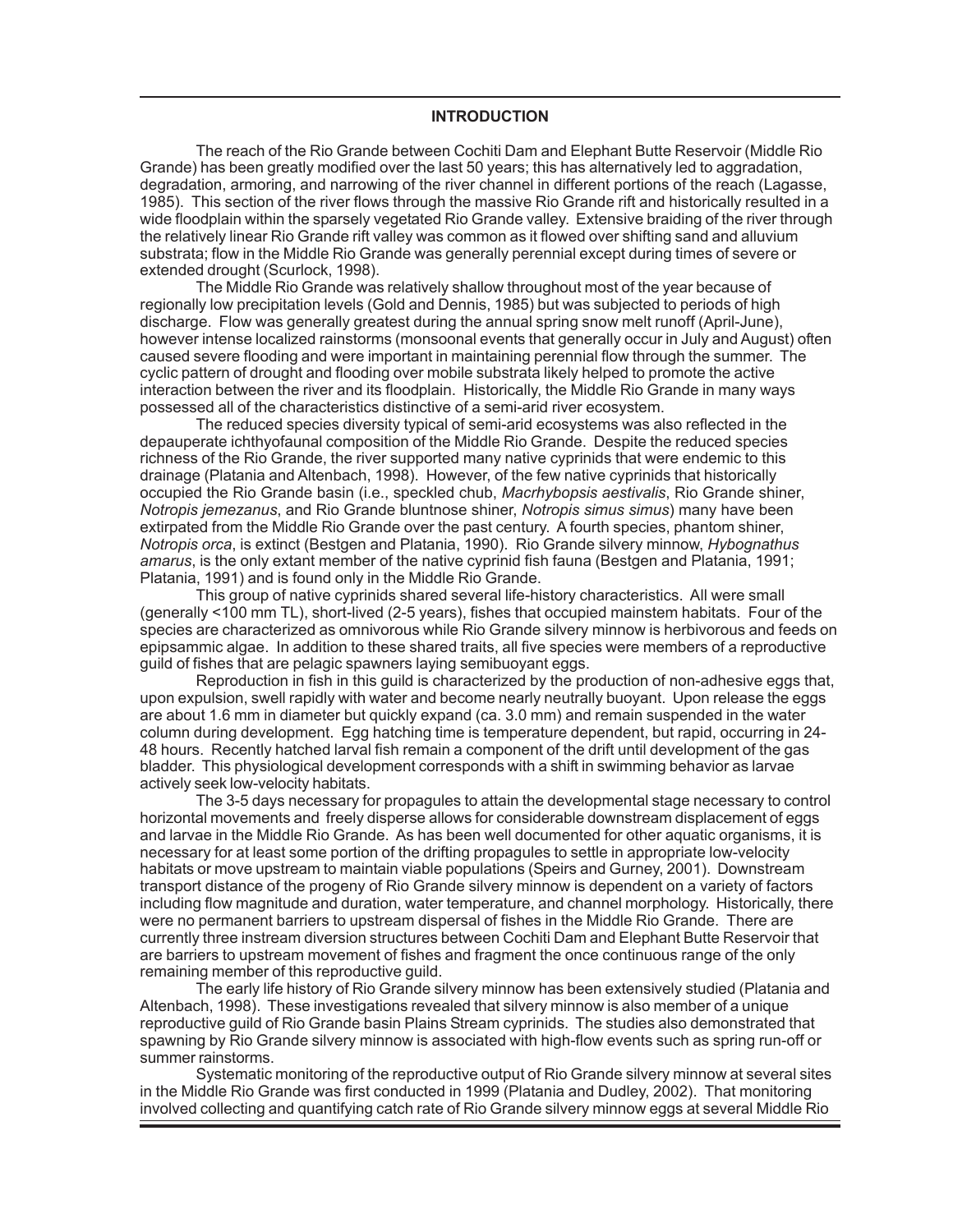#### **INTRODUCTION**

The reach of the Rio Grande between Cochiti Dam and Elephant Butte Reservoir (Middle Rio Grande) has been greatly modified over the last 50 years; this has alternatively led to aggradation, degradation, armoring, and narrowing of the river channel in different portions of the reach (Lagasse, 1985). This section of the river flows through the massive Rio Grande rift and historically resulted in a wide floodplain within the sparsely vegetated Rio Grande valley. Extensive braiding of the river through the relatively linear Rio Grande rift valley was common as it flowed over shifting sand and alluvium substrata; flow in the Middle Rio Grande was generally perennial except during times of severe or extended drought (Scurlock, 1998).

The Middle Rio Grande was relatively shallow throughout most of the year because of regionally low precipitation levels (Gold and Dennis, 1985) but was subjected to periods of high discharge. Flow was generally greatest during the annual spring snow melt runoff (April-June), however intense localized rainstorms (monsoonal events that generally occur in July and August) often caused severe flooding and were important in maintaining perennial flow through the summer. The cyclic pattern of drought and flooding over mobile substrata likely helped to promote the active interaction between the river and its floodplain. Historically, the Middle Rio Grande in many ways possessed all of the characteristics distinctive of a semi-arid river ecosystem.

The reduced species diversity typical of semi-arid ecosystems was also reflected in the depauperate ichthyofaunal composition of the Middle Rio Grande. Despite the reduced species richness of the Rio Grande, the river supported many native cyprinids that were endemic to this drainage (Platania and Altenbach, 1998). However, of the few native cyprinids that historically occupied the Rio Grande basin (i.e., speckled chub, *Macrhybopsis aestivalis*, Rio Grande shiner, *Notropis jemezanus*, and Rio Grande bluntnose shiner, *Notropis simus simus*) many have been extirpated from the Middle Rio Grande over the past century. A fourth species, phantom shiner, *Notropis orca*, is extinct (Bestgen and Platania, 1990). Rio Grande silvery minnow, *Hybognathus amarus*, is the only extant member of the native cyprinid fish fauna (Bestgen and Platania, 1991; Platania, 1991) and is found only in the Middle Rio Grande.

This group of native cyprinids shared several life-history characteristics. All were small (generally <100 mm TL), short-lived (2-5 years), fishes that occupied mainstem habitats. Four of the species are characterized as omnivorous while Rio Grande silvery minnow is herbivorous and feeds on epipsammic algae. In addition to these shared traits, all five species were members of a reproductive guild of fishes that are pelagic spawners laying semibuoyant eggs.

Reproduction in fish in this guild is characterized by the production of non-adhesive eggs that, upon expulsion, swell rapidly with water and become nearly neutrally buoyant. Upon release the eggs are about 1.6 mm in diameter but quickly expand (ca. 3.0 mm) and remain suspended in the water column during development. Egg hatching time is temperature dependent, but rapid, occurring in 24- 48 hours. Recently hatched larval fish remain a component of the drift until development of the gas bladder. This physiological development corresponds with a shift in swimming behavior as larvae actively seek low-velocity habitats.

The 3-5 days necessary for propagules to attain the developmental stage necessary to control horizontal movements and freely disperse allows for considerable downstream displacement of eggs and larvae in the Middle Rio Grande. As has been well documented for other aquatic organisms, it is necessary for at least some portion of the drifting propagules to settle in appropriate low-velocity habitats or move upstream to maintain viable populations (Speirs and Gurney, 2001). Downstream transport distance of the progeny of Rio Grande silvery minnow is dependent on a variety of factors including flow magnitude and duration, water temperature, and channel morphology. Historically, there were no permanent barriers to upstream dispersal of fishes in the Middle Rio Grande. There are currently three instream diversion structures between Cochiti Dam and Elephant Butte Reservoir that are barriers to upstream movement of fishes and fragment the once continuous range of the only remaining member of this reproductive guild.

The early life history of Rio Grande silvery minnow has been extensively studied (Platania and Altenbach, 1998). These investigations revealed that silvery minnow is also member of a unique reproductive guild of Rio Grande basin Plains Stream cyprinids. The studies also demonstrated that spawning by Rio Grande silvery minnow is associated with high-flow events such as spring run-off or summer rainstorms.

Systematic monitoring of the reproductive output of Rio Grande silvery minnow at several sites in the Middle Rio Grande was first conducted in 1999 (Platania and Dudley, 2002). That monitoring involved collecting and quantifying catch rate of Rio Grande silvery minnow eggs at several Middle Rio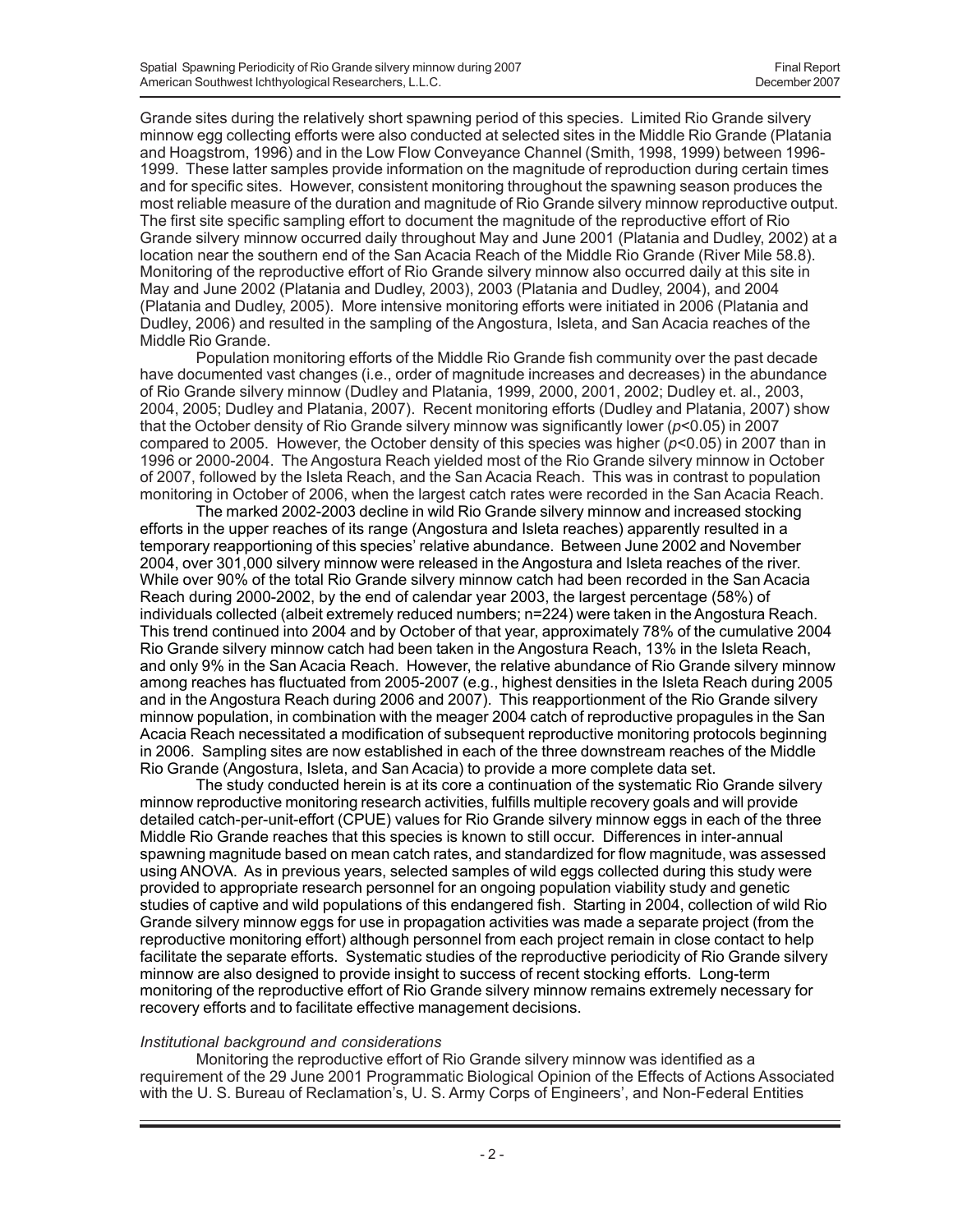Grande sites during the relatively short spawning period of this species. Limited Rio Grande silvery minnow egg collecting efforts were also conducted at selected sites in the Middle Rio Grande (Platania and Hoagstrom, 1996) and in the Low Flow Conveyance Channel (Smith, 1998, 1999) between 1996- 1999. These latter samples provide information on the magnitude of reproduction during certain times and for specific sites. However, consistent monitoring throughout the spawning season produces the most reliable measure of the duration and magnitude of Rio Grande silvery minnow reproductive output. The first site specific sampling effort to document the magnitude of the reproductive effort of Rio Grande silvery minnow occurred daily throughout May and June 2001 (Platania and Dudley, 2002) at a location near the southern end of the San Acacia Reach of the Middle Rio Grande (River Mile 58.8). Monitoring of the reproductive effort of Rio Grande silvery minnow also occurred daily at this site in May and June 2002 (Platania and Dudley, 2003), 2003 (Platania and Dudley, 2004), and 2004 (Platania and Dudley, 2005). More intensive monitoring efforts were initiated in 2006 (Platania and Dudley, 2006) and resulted in the sampling of the Angostura, Isleta, and San Acacia reaches of the Middle Rio Grande.

Population monitoring efforts of the Middle Rio Grande fish community over the past decade have documented vast changes (i.e., order of magnitude increases and decreases) in the abundance of Rio Grande silvery minnow (Dudley and Platania, 1999, 2000, 2001, 2002; Dudley et. al., 2003, 2004, 2005; Dudley and Platania, 2007). Recent monitoring efforts (Dudley and Platania, 2007) show that the October density of Rio Grande silvery minnow was significantly lower (*p*<0.05) in 2007 compared to 2005. However, the October density of this species was higher (*p*<0.05) in 2007 than in 1996 or 2000-2004. The Angostura Reach yielded most of the Rio Grande silvery minnow in October of 2007, followed by the Isleta Reach, and the San Acacia Reach. This was in contrast to population monitoring in October of 2006, when the largest catch rates were recorded in the San Acacia Reach.

The marked 2002-2003 decline in wild Rio Grande silvery minnow and increased stocking efforts in the upper reaches of its range (Angostura and Isleta reaches) apparently resulted in a temporary reapportioning of this species' relative abundance. Between June 2002 and November 2004, over 301,000 silvery minnow were released in the Angostura and Isleta reaches of the river. While over 90% of the total Rio Grande silvery minnow catch had been recorded in the San Acacia Reach during 2000-2002, by the end of calendar year 2003, the largest percentage (58%) of individuals collected (albeit extremely reduced numbers; n=224) were taken in the Angostura Reach. This trend continued into 2004 and by October of that year, approximately 78% of the cumulative 2004 Rio Grande silvery minnow catch had been taken in the Angostura Reach, 13% in the Isleta Reach, and only 9% in the San Acacia Reach. However, the relative abundance of Rio Grande silvery minnow among reaches has fluctuated from 2005-2007 (e.g., highest densities in the Isleta Reach during 2005 and in the Angostura Reach during 2006 and 2007). This reapportionment of the Rio Grande silvery minnow population, in combination with the meager 2004 catch of reproductive propagules in the San Acacia Reach necessitated a modification of subsequent reproductive monitoring protocols beginning in 2006. Sampling sites are now established in each of the three downstream reaches of the Middle Rio Grande (Angostura, Isleta, and San Acacia) to provide a more complete data set.

The study conducted herein is at its core a continuation of the systematic Rio Grande silvery minnow reproductive monitoring research activities, fulfills multiple recovery goals and will provide detailed catch-per-unit-effort (CPUE) values for Rio Grande silvery minnow eggs in each of the three Middle Rio Grande reaches that this species is known to still occur. Differences in inter-annual spawning magnitude based on mean catch rates, and standardized for flow magnitude, was assessed using ANOVA. As in previous years, selected samples of wild eggs collected during this study were provided to appropriate research personnel for an ongoing population viability study and genetic studies of captive and wild populations of this endangered fish. Starting in 2004, collection of wild Rio Grande silvery minnow eggs for use in propagation activities was made a separate project (from the reproductive monitoring effort) although personnel from each project remain in close contact to help facilitate the separate efforts. Systematic studies of the reproductive periodicity of Rio Grande silvery minnow are also designed to provide insight to success of recent stocking efforts. Long-term monitoring of the reproductive effort of Rio Grande silvery minnow remains extremely necessary for recovery efforts and to facilitate effective management decisions.

#### *Institutional background and considerations*

Monitoring the reproductive effort of Rio Grande silvery minnow was identified as a requirement of the 29 June 2001 Programmatic Biological Opinion of the Effects of Actions Associated with the U. S. Bureau of Reclamation's, U. S. Army Corps of Engineers', and Non-Federal Entities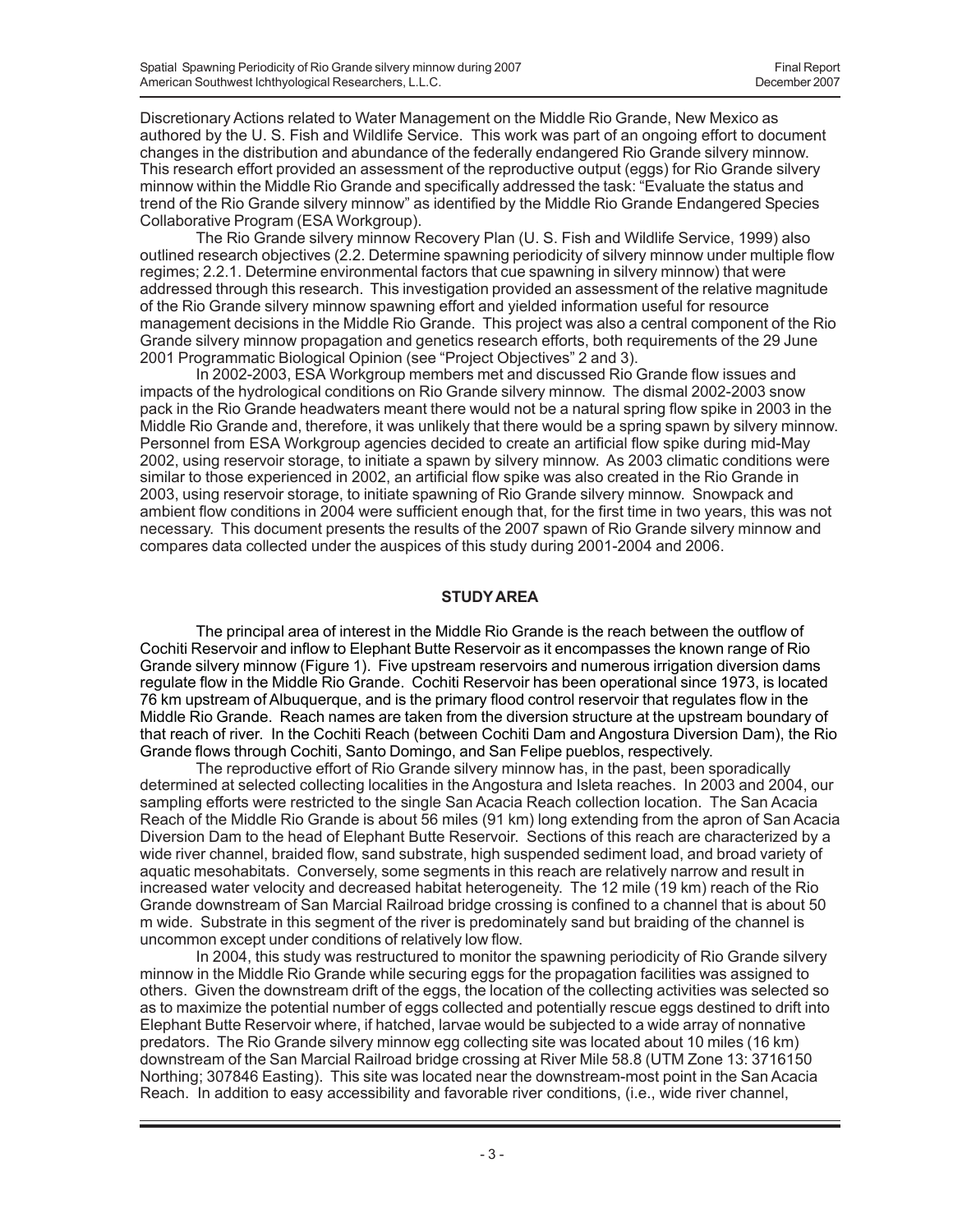Discretionary Actions related to Water Management on the Middle Rio Grande, New Mexico as authored by the U. S. Fish and Wildlife Service. This work was part of an ongoing effort to document changes in the distribution and abundance of the federally endangered Rio Grande silvery minnow. This research effort provided an assessment of the reproductive output (eggs) for Rio Grande silvery minnow within the Middle Rio Grande and specifically addressed the task: "Evaluate the status and trend of the Rio Grande silvery minnow" as identified by the Middle Rio Grande Endangered Species Collaborative Program (ESA Workgroup).

The Rio Grande silvery minnow Recovery Plan (U. S. Fish and Wildlife Service, 1999) also outlined research objectives (2.2. Determine spawning periodicity of silvery minnow under multiple flow regimes; 2.2.1. Determine environmental factors that cue spawning in silvery minnow) that were addressed through this research. This investigation provided an assessment of the relative magnitude of the Rio Grande silvery minnow spawning effort and yielded information useful for resource management decisions in the Middle Rio Grande. This project was also a central component of the Rio Grande silvery minnow propagation and genetics research efforts, both requirements of the 29 June 2001 Programmatic Biological Opinion (see "Project Objectives" 2 and 3).

In 2002-2003, ESA Workgroup members met and discussed Rio Grande flow issues and impacts of the hydrological conditions on Rio Grande silvery minnow. The dismal 2002-2003 snow pack in the Rio Grande headwaters meant there would not be a natural spring flow spike in 2003 in the Middle Rio Grande and, therefore, it was unlikely that there would be a spring spawn by silvery minnow. Personnel from ESA Workgroup agencies decided to create an artificial flow spike during mid-May 2002, using reservoir storage, to initiate a spawn by silvery minnow. As 2003 climatic conditions were similar to those experienced in 2002, an artificial flow spike was also created in the Rio Grande in 2003, using reservoir storage, to initiate spawning of Rio Grande silvery minnow. Snowpack and ambient flow conditions in 2004 were sufficient enough that, for the first time in two years, this was not necessary. This document presents the results of the 2007 spawn of Rio Grande silvery minnow and compares data collected under the auspices of this study during 2001-2004 and 2006.

## **STUDY AREA**

The principal area of interest in the Middle Rio Grande is the reach between the outflow of Cochiti Reservoir and inflow to Elephant Butte Reservoir as it encompasses the known range of Rio Grande silvery minnow (Figure 1). Five upstream reservoirs and numerous irrigation diversion dams regulate flow in the Middle Rio Grande. Cochiti Reservoir has been operational since 1973, is located 76 km upstream of Albuquerque, and is the primary flood control reservoir that regulates flow in the Middle Rio Grande. Reach names are taken from the diversion structure at the upstream boundary of that reach of river. In the Cochiti Reach (between Cochiti Dam and Angostura Diversion Dam), the Rio Grande flows through Cochiti, Santo Domingo, and San Felipe pueblos, respectively.

The reproductive effort of Rio Grande silvery minnow has, in the past, been sporadically determined at selected collecting localities in the Angostura and Isleta reaches. In 2003 and 2004, our sampling efforts were restricted to the single San Acacia Reach collection location. The San Acacia Reach of the Middle Rio Grande is about 56 miles (91 km) long extending from the apron of San Acacia Diversion Dam to the head of Elephant Butte Reservoir. Sections of this reach are characterized by a wide river channel, braided flow, sand substrate, high suspended sediment load, and broad variety of aquatic mesohabitats. Conversely, some segments in this reach are relatively narrow and result in increased water velocity and decreased habitat heterogeneity. The 12 mile (19 km) reach of the Rio Grande downstream of San Marcial Railroad bridge crossing is confined to a channel that is about 50 m wide. Substrate in this segment of the river is predominately sand but braiding of the channel is uncommon except under conditions of relatively low flow.

In 2004, this study was restructured to monitor the spawning periodicity of Rio Grande silvery minnow in the Middle Rio Grande while securing eggs for the propagation facilities was assigned to others. Given the downstream drift of the eggs, the location of the collecting activities was selected so as to maximize the potential number of eggs collected and potentially rescue eggs destined to drift into Elephant Butte Reservoir where, if hatched, larvae would be subjected to a wide array of nonnative predators. The Rio Grande silvery minnow egg collecting site was located about 10 miles (16 km) downstream of the San Marcial Railroad bridge crossing at River Mile 58.8 (UTM Zone 13: 3716150 Northing; 307846 Easting). This site was located near the downstream-most point in the San Acacia Reach. In addition to easy accessibility and favorable river conditions, (i.e., wide river channel,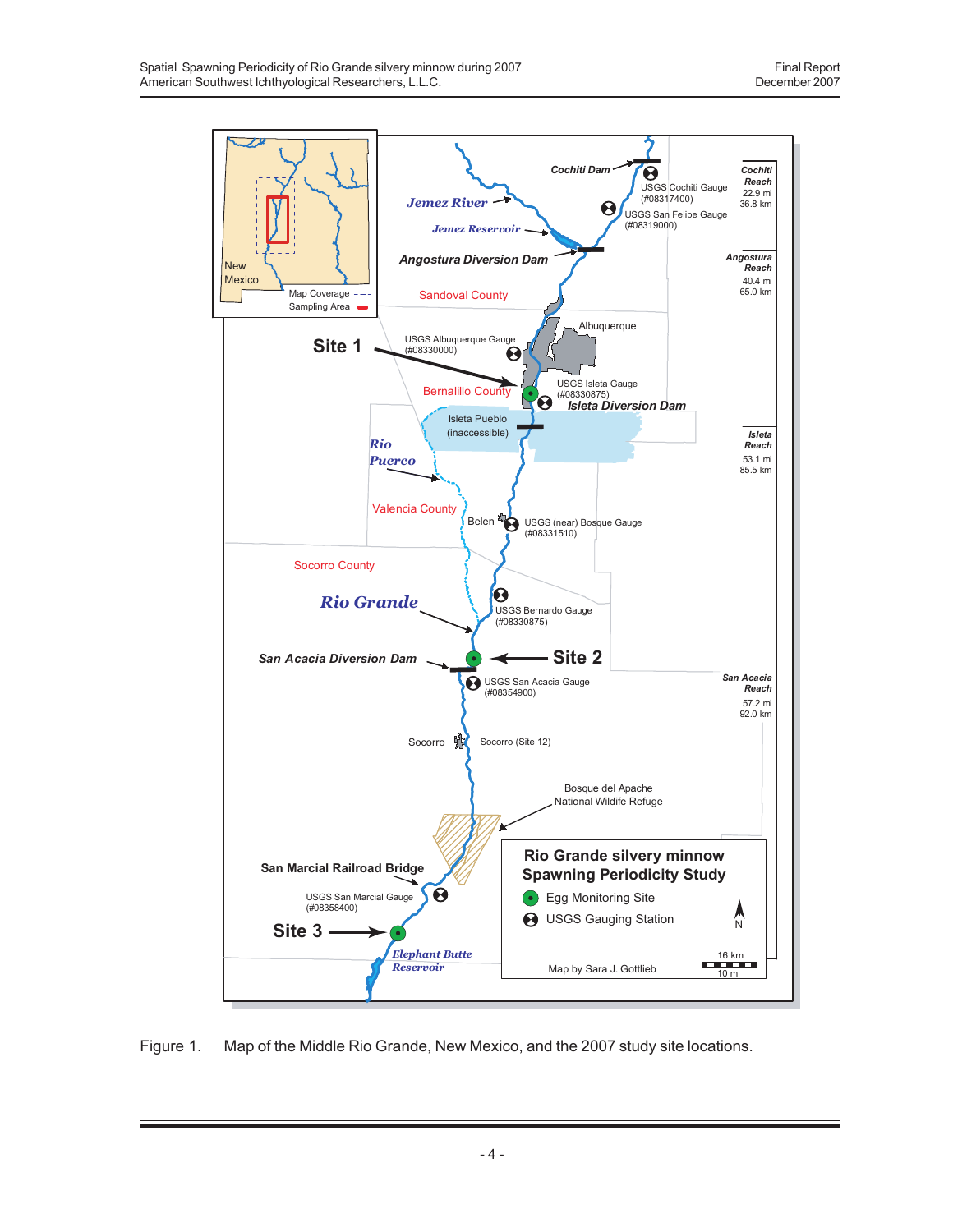

Figure 1. Map of the Middle Rio Grande, New Mexico, and the 2007 study site locations.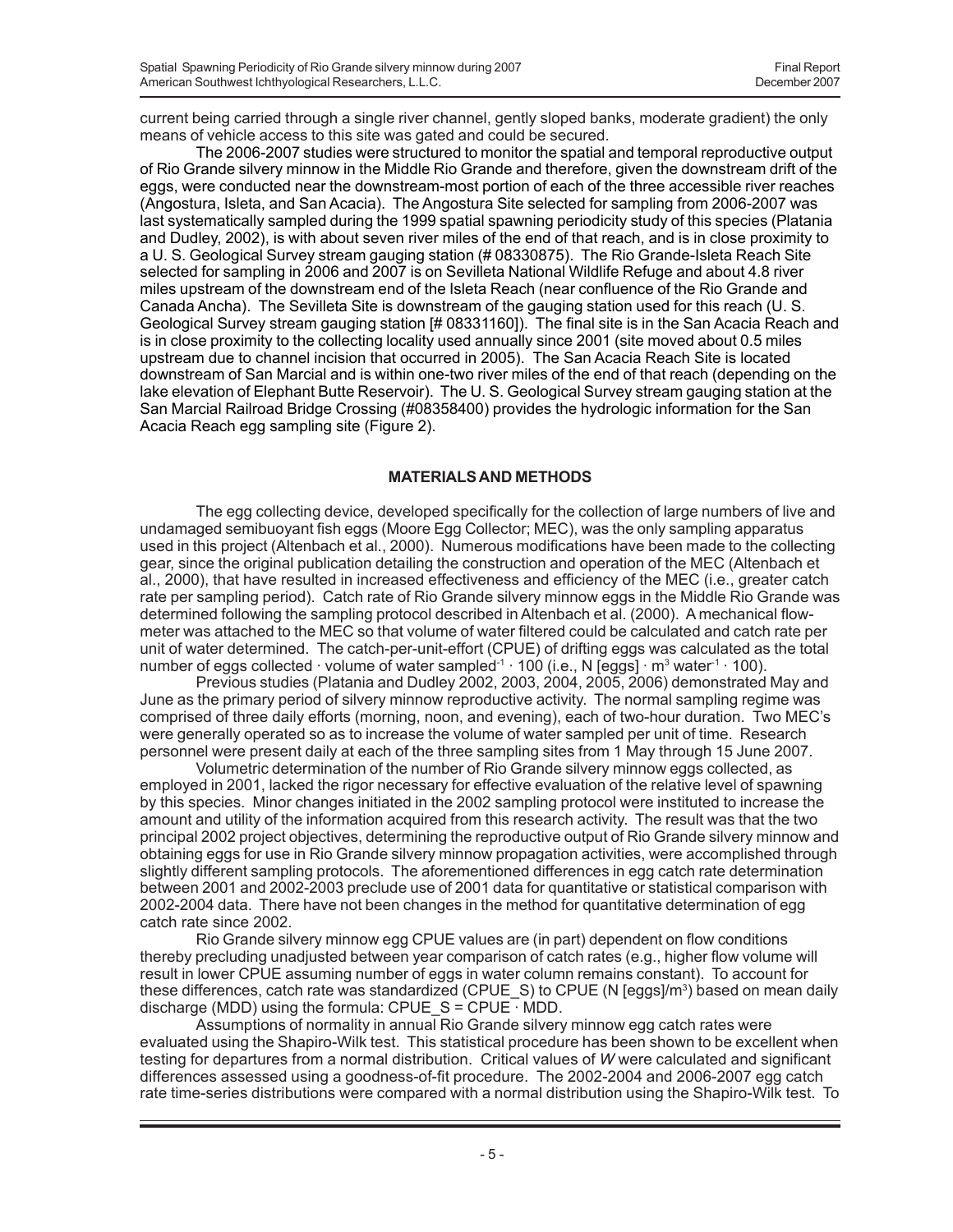current being carried through a single river channel, gently sloped banks, moderate gradient) the only means of vehicle access to this site was gated and could be secured.

The 2006-2007 studies were structured to monitor the spatial and temporal reproductive output of Rio Grande silvery minnow in the Middle Rio Grande and therefore, given the downstream drift of the eggs, were conducted near the downstream-most portion of each of the three accessible river reaches (Angostura, Isleta, and San Acacia). The Angostura Site selected for sampling from 2006-2007 was last systematically sampled during the 1999 spatial spawning periodicity study of this species (Platania and Dudley, 2002), is with about seven river miles of the end of that reach, and is in close proximity to a U. S. Geological Survey stream gauging station (# 08330875). The Rio Grande-Isleta Reach Site selected for sampling in 2006 and 2007 is on Sevilleta National Wildlife Refuge and about 4.8 river miles upstream of the downstream end of the Isleta Reach (near confluence of the Rio Grande and Canada Ancha). The Sevilleta Site is downstream of the gauging station used for this reach (U. S. Geological Survey stream gauging station [# 08331160]). The final site is in the San Acacia Reach and is in close proximity to the collecting locality used annually since 2001 (site moved about 0.5 miles upstream due to channel incision that occurred in 2005). The San Acacia Reach Site is located downstream of San Marcial and is within one-two river miles of the end of that reach (depending on the lake elevation of Elephant Butte Reservoir). The U. S. Geological Survey stream gauging station at the San Marcial Railroad Bridge Crossing (#08358400) provides the hydrologic information for the San Acacia Reach egg sampling site (Figure 2).

## **MATERIALS AND METHODS**

The egg collecting device, developed specifically for the collection of large numbers of live and undamaged semibuoyant fish eggs (Moore Egg Collector; MEC), was the only sampling apparatus used in this project (Altenbach et al., 2000). Numerous modifications have been made to the collecting gear, since the original publication detailing the construction and operation of the MEC (Altenbach et al., 2000), that have resulted in increased effectiveness and efficiency of the MEC (i.e., greater catch rate per sampling period). Catch rate of Rio Grande silvery minnow eggs in the Middle Rio Grande was determined following the sampling protocol described in Altenbach et al. (2000). A mechanical flowmeter was attached to the MEC so that volume of water filtered could be calculated and catch rate per unit of water determined. The catch-per-unit-effort (CPUE) of drifting eggs was calculated as the total number of eggs collected  $\cdot$  volume of water sampled $^{\text{-}1}$   $\cdot$  100 (i.e., N [eggs]  $\cdot$  m $^{\text{3}}$  water $^{\text{-}1}$   $\cdot$  100).

Previous studies (Platania and Dudley 2002, 2003, 2004, 2005, 2006) demonstrated May and June as the primary period of silvery minnow reproductive activity. The normal sampling regime was comprised of three daily efforts (morning, noon, and evening), each of two-hour duration. Two MEC's were generally operated so as to increase the volume of water sampled per unit of time. Research personnel were present daily at each of the three sampling sites from 1 May through 15 June 2007.

Volumetric determination of the number of Rio Grande silvery minnow eggs collected, as employed in 2001, lacked the rigor necessary for effective evaluation of the relative level of spawning by this species. Minor changes initiated in the 2002 sampling protocol were instituted to increase the amount and utility of the information acquired from this research activity. The result was that the two principal 2002 project objectives, determining the reproductive output of Rio Grande silvery minnow and obtaining eggs for use in Rio Grande silvery minnow propagation activities, were accomplished through slightly different sampling protocols. The aforementioned differences in egg catch rate determination between 2001 and 2002-2003 preclude use of 2001 data for quantitative or statistical comparison with 2002-2004 data. There have not been changes in the method for quantitative determination of egg catch rate since 2002.

Rio Grande silvery minnow egg CPUE values are (in part) dependent on flow conditions thereby precluding unadjusted between year comparison of catch rates (e.g., higher flow volume will result in lower CPUE assuming number of eggs in water column remains constant). To account for these differences, catch rate was standardized (CPUE\_S) to CPUE (N [eggs]/m<sup>3</sup>) based on mean daily discharge (MDD) using the formula: CPUE  $S = CPUE$  MDD.

Assumptions of normality in annual Rio Grande silvery minnow egg catch rates were evaluated using the Shapiro-Wilk test. This statistical procedure has been shown to be excellent when testing for departures from a normal distribution. Critical values of *W* were calculated and significant differences assessed using a goodness-of-fit procedure. The 2002-2004 and 2006-2007 egg catch rate time-series distributions were compared with a normal distribution using the Shapiro-Wilk test. To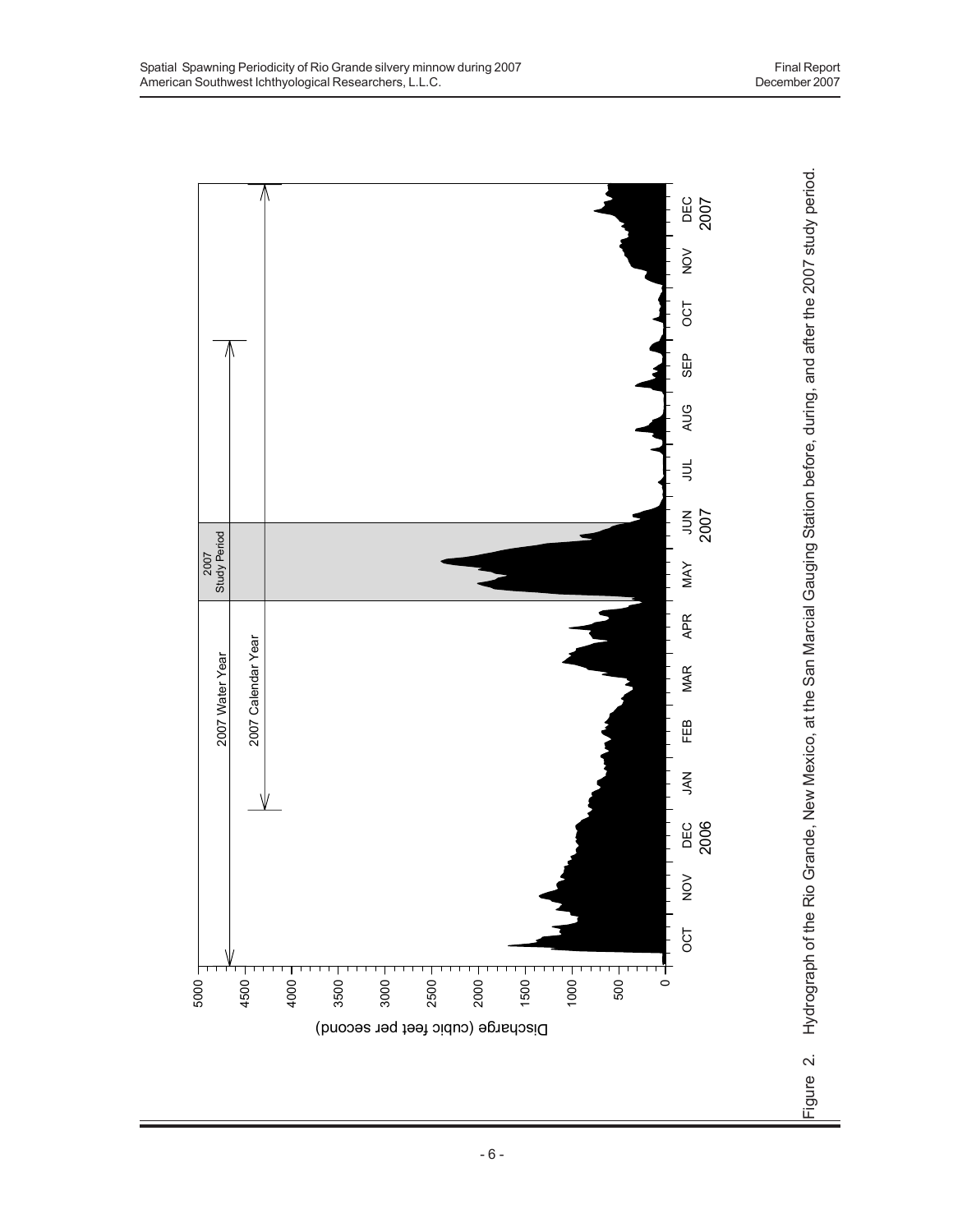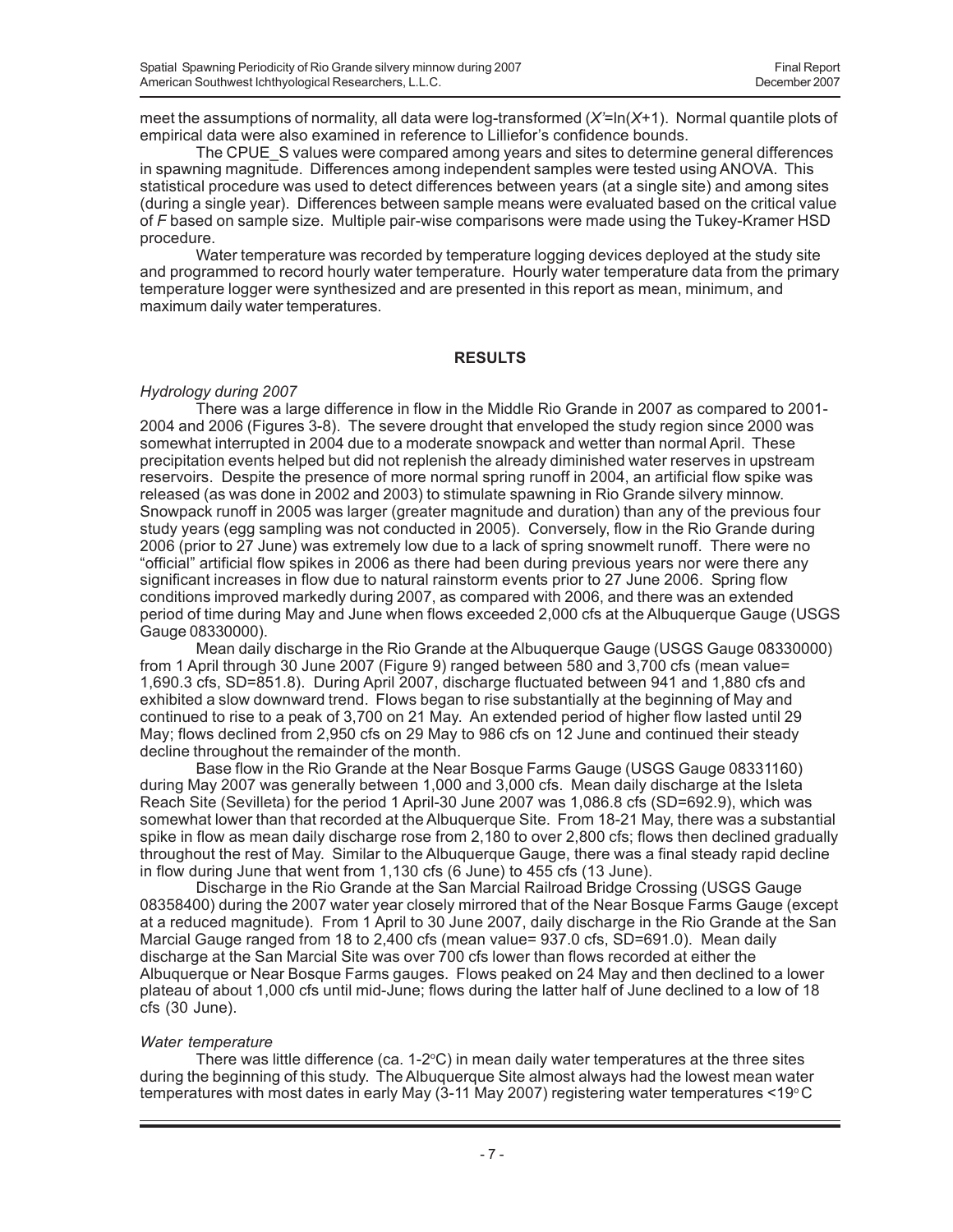meet the assumptions of normality, all data were log-transformed (*X'*=ln(*X*+1). Normal quantile plots of empirical data were also examined in reference to Lilliefor's confidence bounds.

The CPUE S values were compared among years and sites to determine general differences in spawning magnitude. Differences among independent samples were tested using ANOVA. This statistical procedure was used to detect differences between years (at a single site) and among sites (during a single year). Differences between sample means were evaluated based on the critical value of *F* based on sample size. Multiple pair-wise comparisons were made using the Tukey-Kramer HSD procedure.

Water temperature was recorded by temperature logging devices deployed at the study site and programmed to record hourly water temperature. Hourly water temperature data from the primary temperature logger were synthesized and are presented in this report as mean, minimum, and maximum daily water temperatures.

#### **RESULTS**

## *Hydrology during 2007*

There was a large difference in flow in the Middle Rio Grande in 2007 as compared to 2001- 2004 and 2006 (Figures 3-8). The severe drought that enveloped the study region since 2000 was somewhat interrupted in 2004 due to a moderate snowpack and wetter than normal April. These precipitation events helped but did not replenish the already diminished water reserves in upstream reservoirs. Despite the presence of more normal spring runoff in 2004, an artificial flow spike was released (as was done in 2002 and 2003) to stimulate spawning in Rio Grande silvery minnow. Snowpack runoff in 2005 was larger (greater magnitude and duration) than any of the previous four study years (egg sampling was not conducted in 2005). Conversely, flow in the Rio Grande during 2006 (prior to 27 June) was extremely low due to a lack of spring snowmelt runoff. There were no "official" artificial flow spikes in 2006 as there had been during previous years nor were there any significant increases in flow due to natural rainstorm events prior to 27 June 2006. Spring flow conditions improved markedly during 2007, as compared with 2006, and there was an extended period of time during May and June when flows exceeded 2,000 cfs at the Albuquerque Gauge (USGS Gauge 08330000).

Mean daily discharge in the Rio Grande at the Albuquerque Gauge (USGS Gauge 08330000) from 1 April through 30 June 2007 (Figure 9) ranged between 580 and 3,700 cfs (mean value= 1,690.3 cfs, SD=851.8). During April 2007, discharge fluctuated between 941 and 1,880 cfs and exhibited a slow downward trend. Flows began to rise substantially at the beginning of May and continued to rise to a peak of 3,700 on 21 May. An extended period of higher flow lasted until 29 May; flows declined from 2,950 cfs on 29 May to 986 cfs on 12 June and continued their steady decline throughout the remainder of the month.

Base flow in the Rio Grande at the Near Bosque Farms Gauge (USGS Gauge 08331160) during May 2007 was generally between 1,000 and 3,000 cfs. Mean daily discharge at the Isleta Reach Site (Sevilleta) for the period 1 April-30 June 2007 was 1,086.8 cfs (SD=692.9), which was somewhat lower than that recorded at the Albuquerque Site. From 18-21 May, there was a substantial spike in flow as mean daily discharge rose from 2,180 to over 2,800 cfs; flows then declined gradually throughout the rest of May. Similar to the Albuquerque Gauge, there was a final steady rapid decline in flow during June that went from 1,130 cfs (6 June) to 455 cfs (13 June).

Discharge in the Rio Grande at the San Marcial Railroad Bridge Crossing (USGS Gauge 08358400) during the 2007 water year closely mirrored that of the Near Bosque Farms Gauge (except at a reduced magnitude). From 1 April to 30 June 2007, daily discharge in the Rio Grande at the San Marcial Gauge ranged from 18 to 2,400 cfs (mean value= 937.0 cfs, SD=691.0). Mean daily discharge at the San Marcial Site was over 700 cfs lower than flows recorded at either the Albuquerque or Near Bosque Farms gauges. Flows peaked on 24 May and then declined to a lower plateau of about 1,000 cfs until mid-June; flows during the latter half of June declined to a low of 18 cfs (30 June).

## *Water temperature*

There was little difference (ca. 1-2°C) in mean daily water temperatures at the three sites during the beginning of this study. The Albuquerque Site almost always had the lowest mean water temperatures with most dates in early May  $(3-11$  May 2007) registering water temperatures <19 $^{\circ}$ C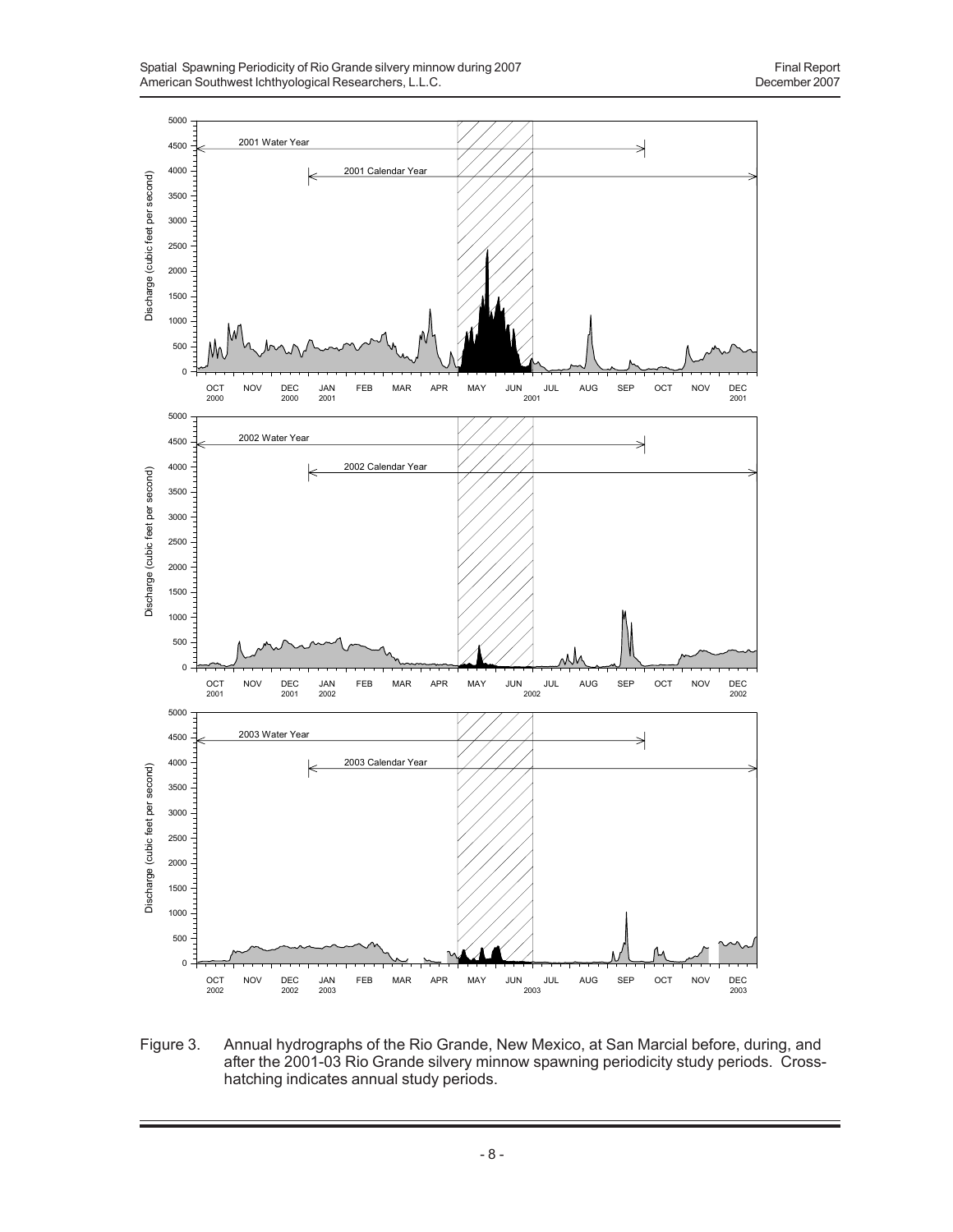

Figure 3. Annual hydrographs of the Rio Grande, New Mexico, at San Marcial before, during, and after the 2001-03 Rio Grande silvery minnow spawning periodicity study periods. Crosshatching indicates annual study periods.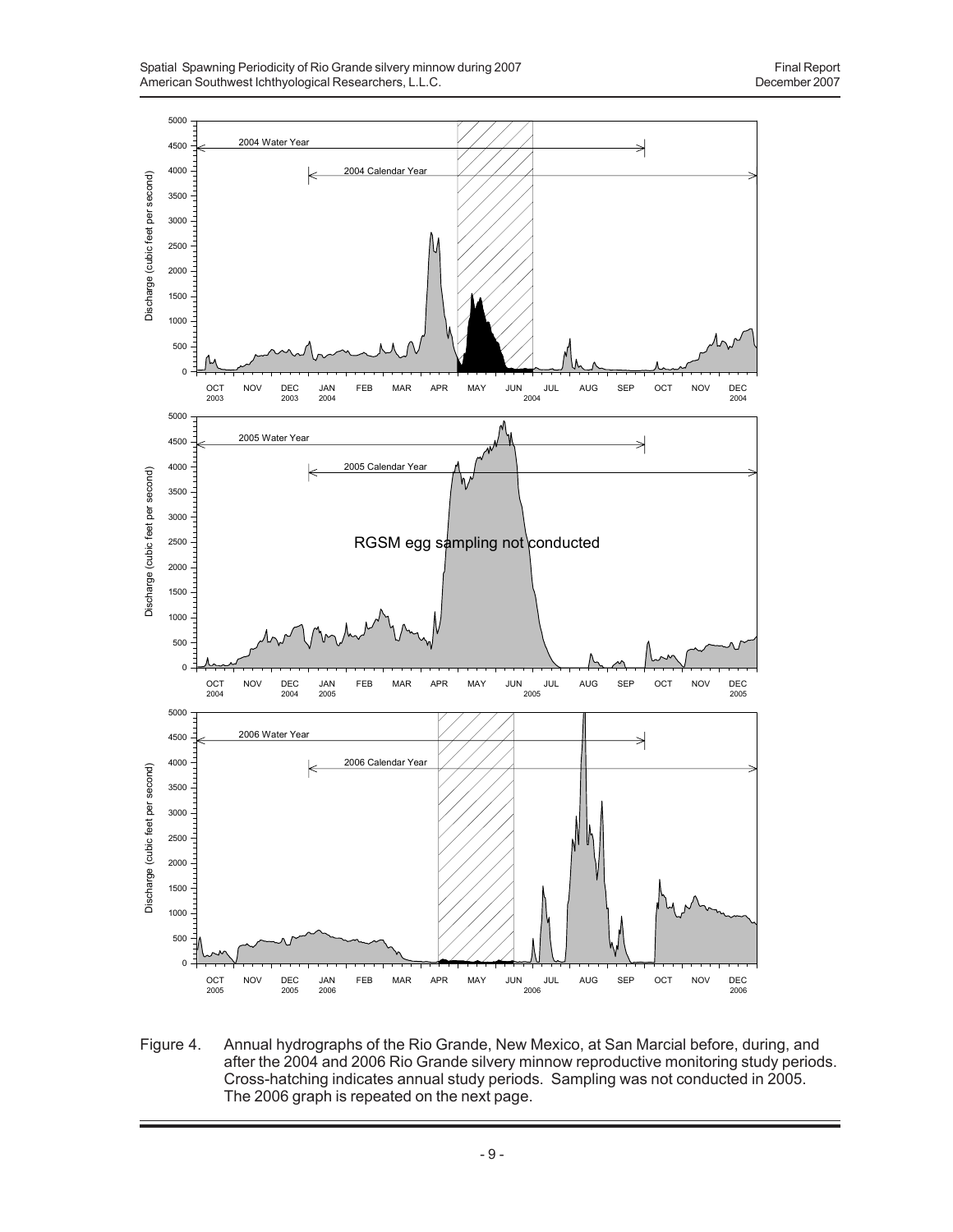

Figure 4. Annual hydrographs of the Rio Grande, New Mexico, at San Marcial before, during, and after the 2004 and 2006 Rio Grande silvery minnow reproductive monitoring study periods. Cross-hatching indicates annual study periods. Sampling was not conducted in 2005. The 2006 graph is repeated on the next page.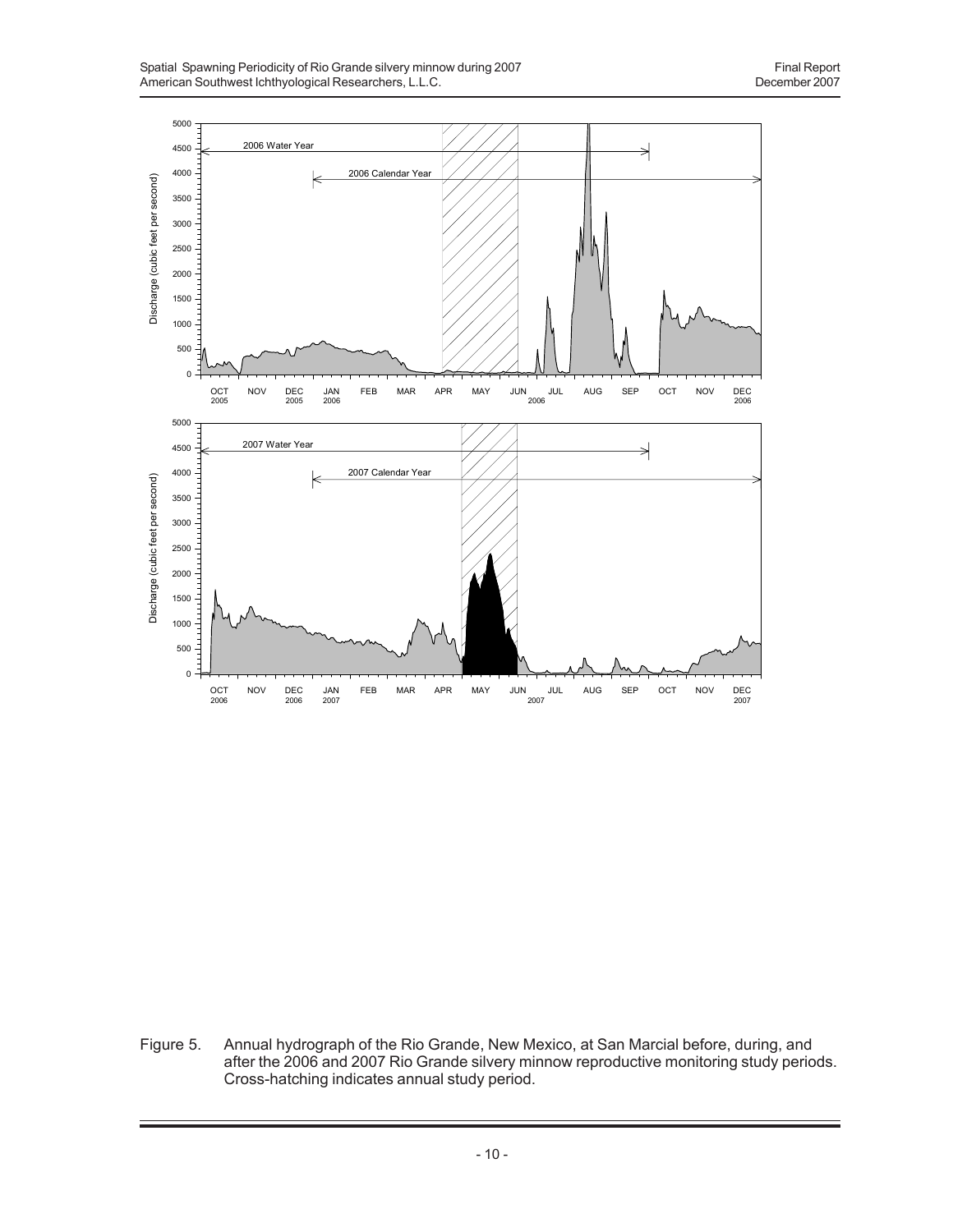

Figure 5. Annual hydrograph of the Rio Grande, New Mexico, at San Marcial before, during, and after the 2006 and 2007 Rio Grande silvery minnow reproductive monitoring study periods. Cross-hatching indicates annual study period.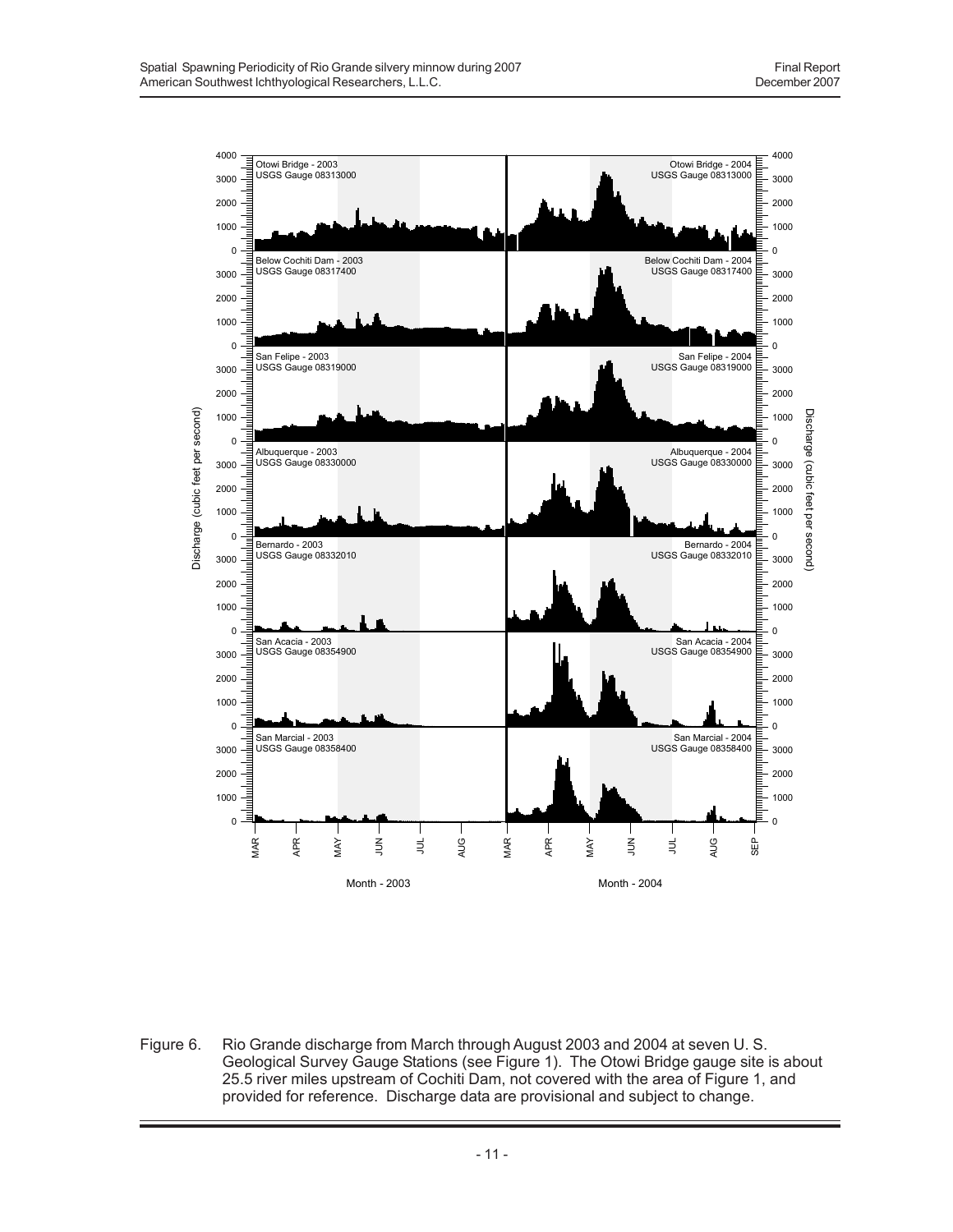

Figure 6. Rio Grande discharge from March through August 2003 and 2004 at seven U. S. Geological Survey Gauge Stations (see Figure 1). The Otowi Bridge gauge site is about 25.5 river miles upstream of Cochiti Dam, not covered with the area of Figure 1, and provided for reference. Discharge data are provisional and subject to change.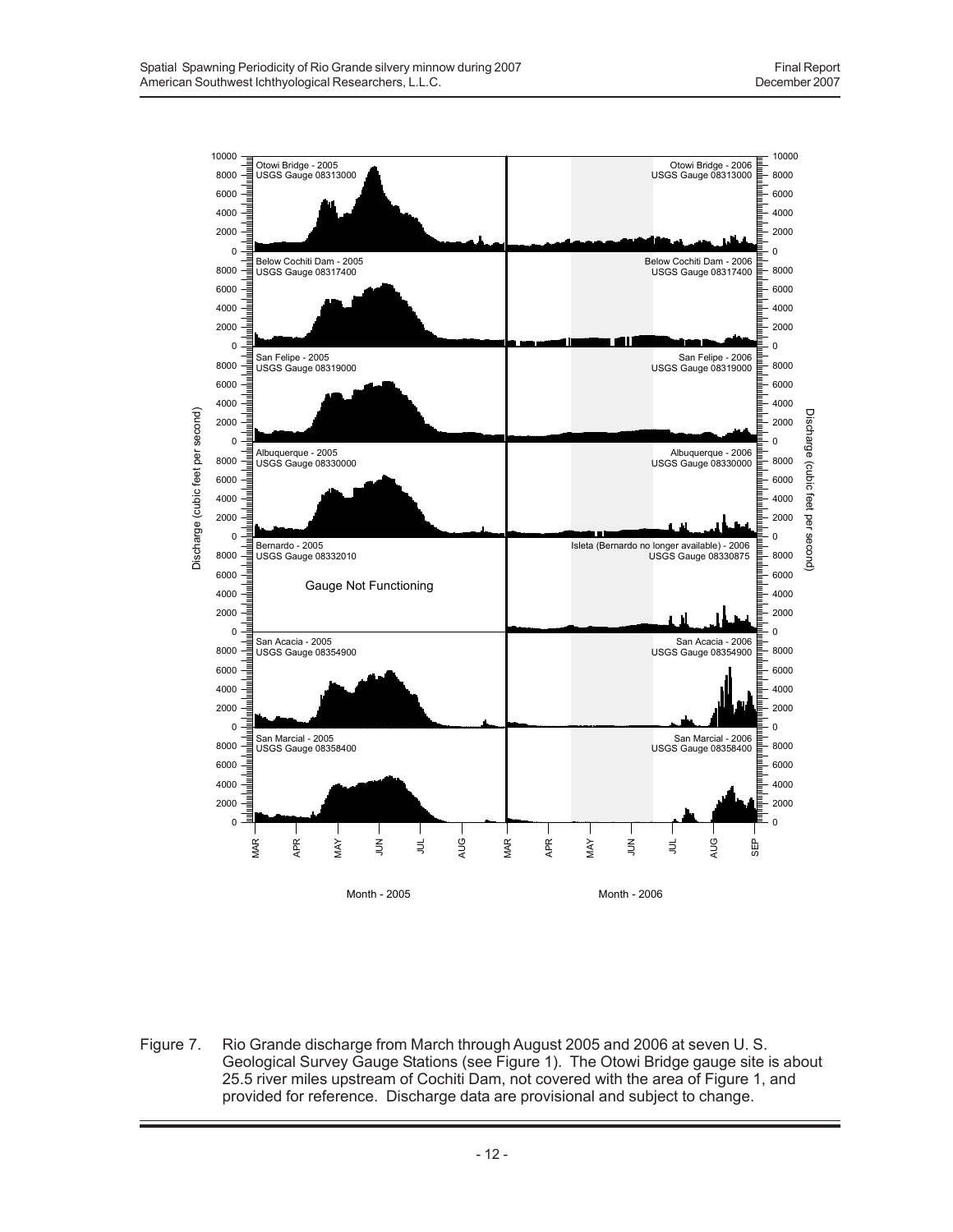

Figure 7. Rio Grande discharge from March through August 2005 and 2006 at seven U. S. Geological Survey Gauge Stations (see Figure 1). The Otowi Bridge gauge site is about 25.5 river miles upstream of Cochiti Dam, not covered with the area of Figure 1, and provided for reference. Discharge data are provisional and subject to change.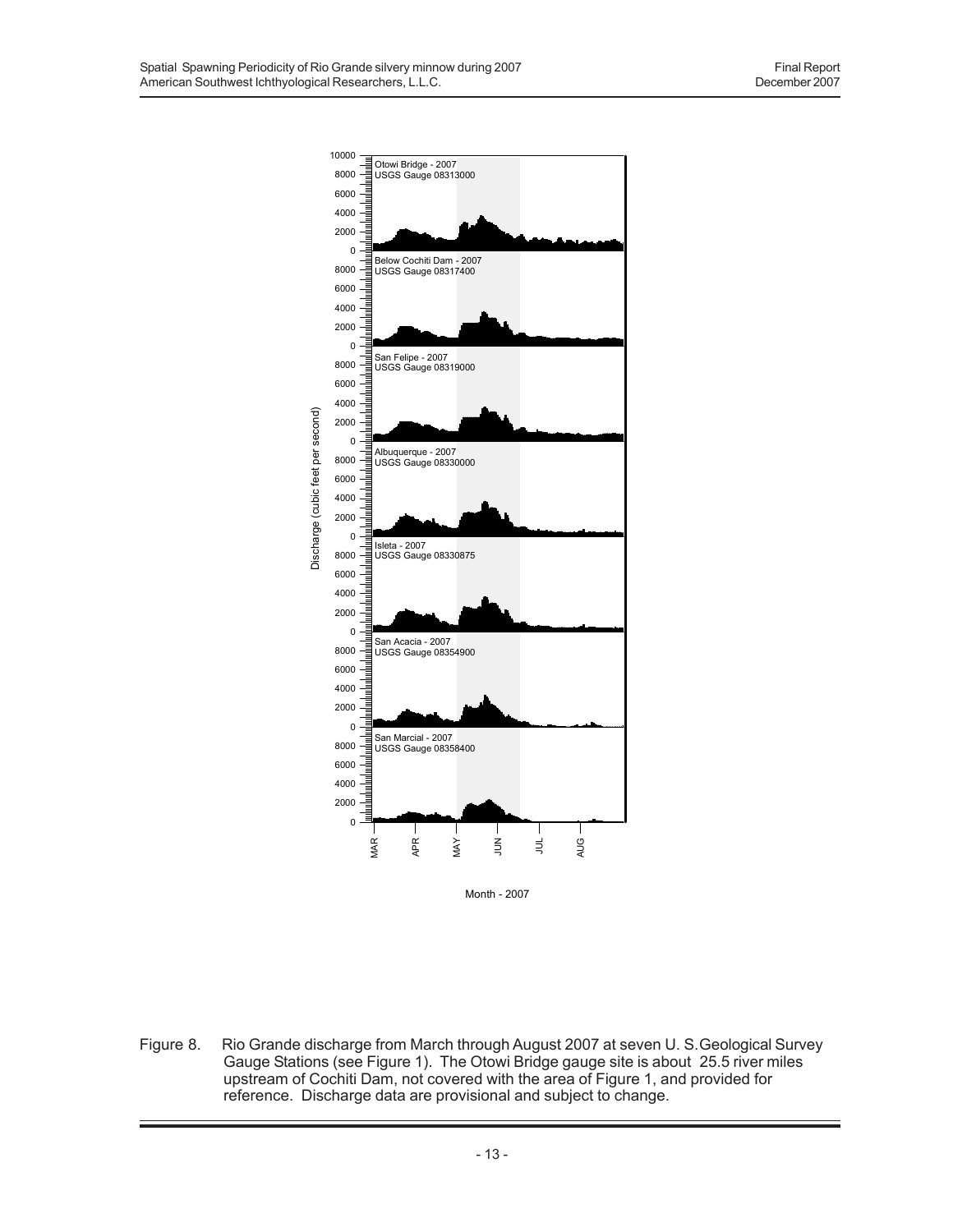

Figure 8. Rio Grande discharge from March through August 2007 at seven U. S.Geological Survey Gauge Stations (see Figure 1). The Otowi Bridge gauge site is about 25.5 river miles upstream of Cochiti Dam, not covered with the area of Figure 1, and provided for reference. Discharge data are provisional and subject to change.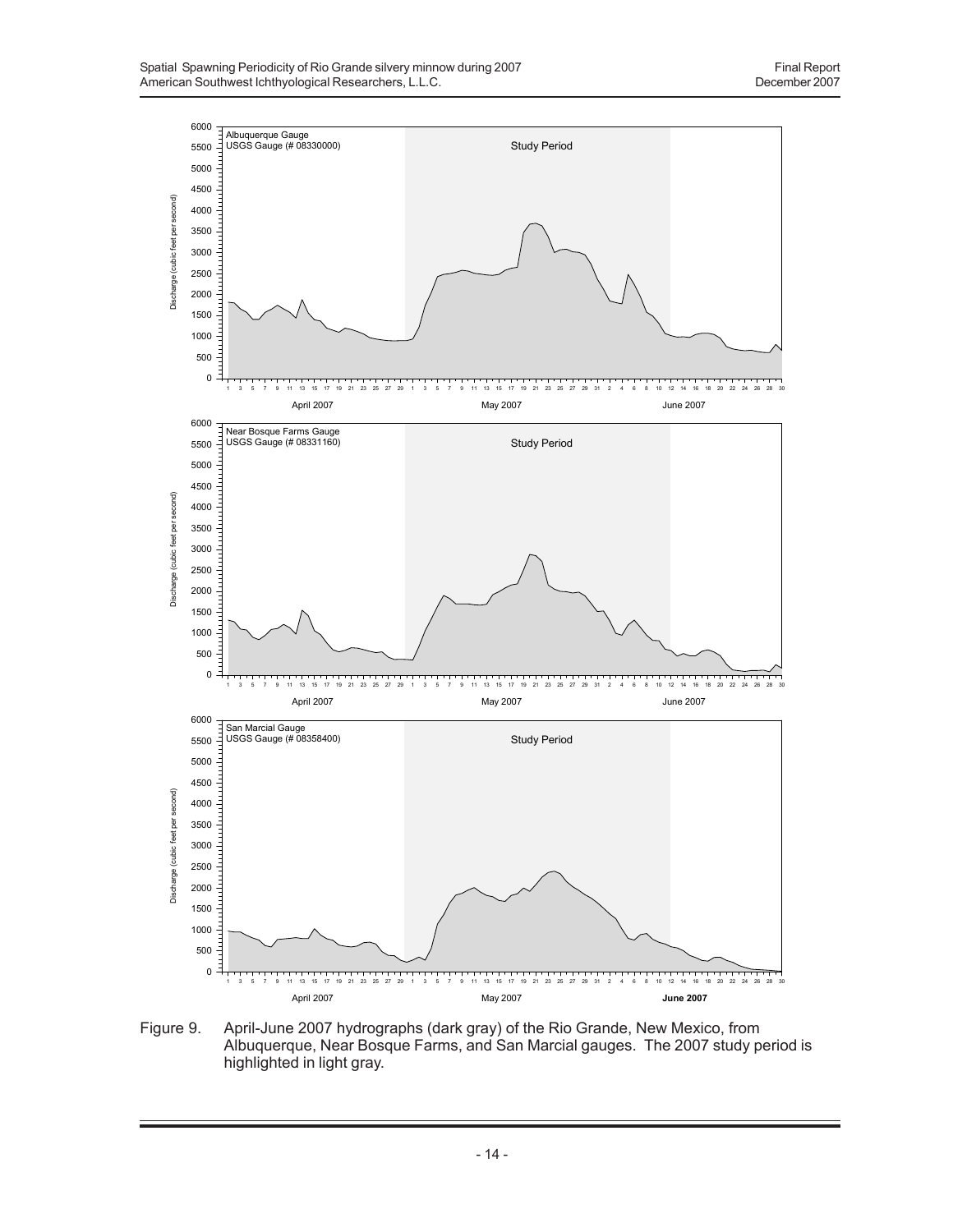

Figure 9. April-June 2007 hydrographs (dark gray) of the Rio Grande, New Mexico, from Albuquerque, Near Bosque Farms, and San Marcial gauges. The 2007 study period is highlighted in light gray.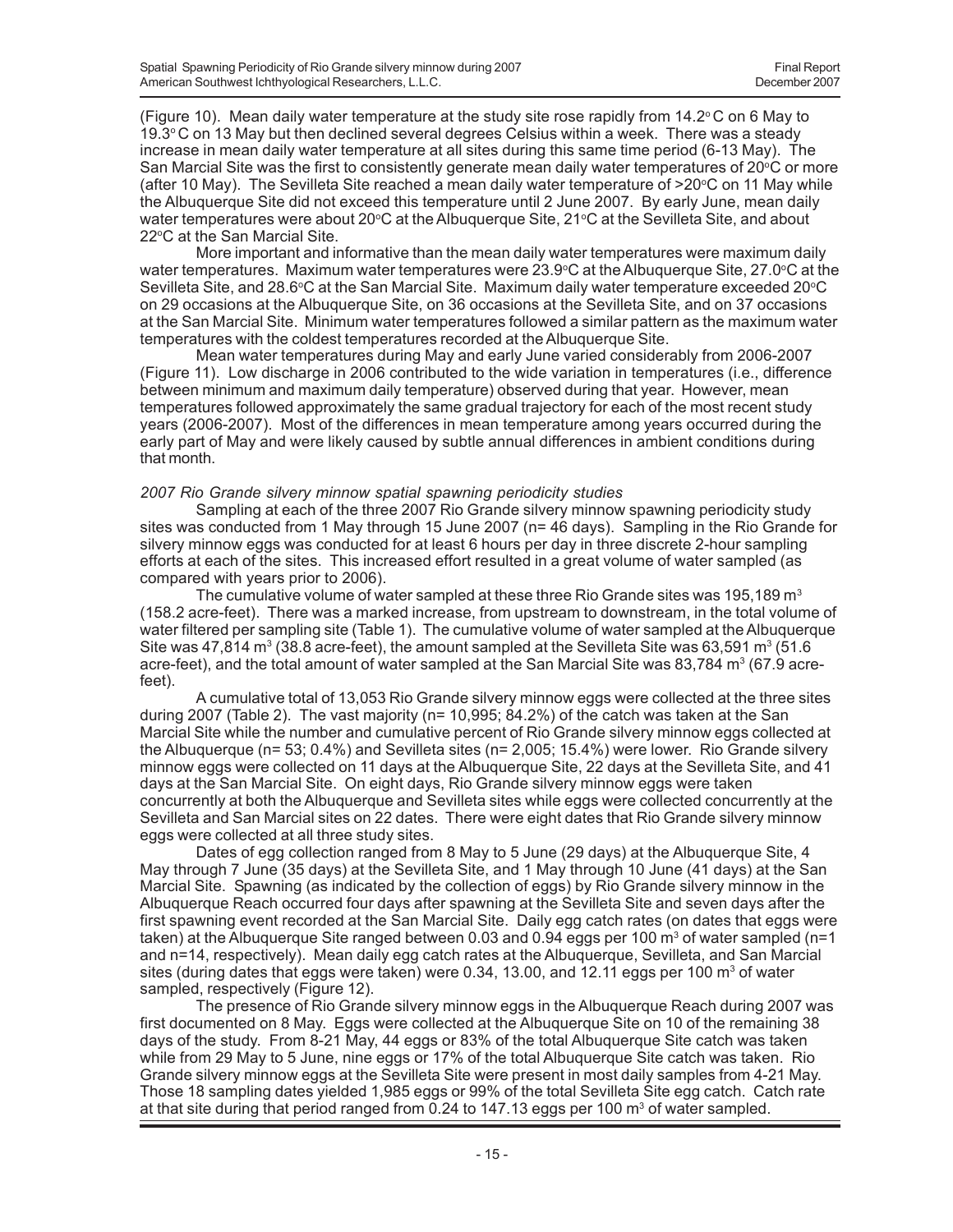(Figure 10). Mean daily water temperature at the study site rose rapidly from 14.2°C on 6 May to  $19.3^{\circ}$ C on 13 May but then declined several degrees Celsius within a week. There was a steady increase in mean daily water temperature at all sites during this same time period (6-13 May). The San Marcial Site was the first to consistently generate mean daily water temperatures of 20°C or more (after 10 May). The Sevilleta Site reached a mean daily water temperature of  $>20^{\circ}$ C on 11 May while the Albuquerque Site did not exceed this temperature until 2 June 2007. By early June, mean daily water temperatures were about 20°C at the Albuquerque Site, 21°C at the Sevilleta Site, and about 22°C at the San Marcial Site.

More important and informative than the mean daily water temperatures were maximum daily water temperatures. Maximum water temperatures were 23.9°C at the Albuquerque Site, 27.0°C at the Sevilleta Site, and 28.6°C at the San Marcial Site. Maximum daily water temperature exceeded 20°C on 29 occasions at the Albuquerque Site, on 36 occasions at the Sevilleta Site, and on 37 occasions at the San Marcial Site. Minimum water temperatures followed a similar pattern as the maximum water temperatures with the coldest temperatures recorded at the Albuquerque Site.

Mean water temperatures during May and early June varied considerably from 2006-2007 (Figure 11). Low discharge in 2006 contributed to the wide variation in temperatures (i.e., difference between minimum and maximum daily temperature) observed during that year. However, mean temperatures followed approximately the same gradual trajectory for each of the most recent study years (2006-2007). Most of the differences in mean temperature among years occurred during the early part of May and were likely caused by subtle annual differences in ambient conditions during that month.

## *2007 Rio Grande silvery minnow spatial spawning periodicity studies*

Sampling at each of the three 2007 Rio Grande silvery minnow spawning periodicity study sites was conducted from 1 May through 15 June 2007 (n= 46 days). Sampling in the Rio Grande for silvery minnow eggs was conducted for at least 6 hours per day in three discrete 2-hour sampling efforts at each of the sites. This increased effort resulted in a great volume of water sampled (as compared with years prior to 2006).

The cumulative volume of water sampled at these three Rio Grande sites was 195,189 m<sup>3</sup> (158.2 acre-feet). There was a marked increase, from upstream to downstream, in the total volume of water filtered per sampling site (Table 1). The cumulative volume of water sampled at the Albuquerque Site was 47,814 m<sup>3</sup> (38.8 acre-feet), the amount sampled at the Sevilleta Site was 63,591 m<sup>3</sup> (51.6 acre-feet), and the total amount of water sampled at the San Marcial Site was 83,784 m<sup>3</sup> (67.9 acrefeet).

A cumulative total of 13,053 Rio Grande silvery minnow eggs were collected at the three sites during 2007 (Table 2). The vast majority (n= 10,995; 84.2%) of the catch was taken at the San Marcial Site while the number and cumulative percent of Rio Grande silvery minnow eggs collected at the Albuquerque (n= 53; 0.4%) and Sevilleta sites (n= 2,005; 15.4%) were lower. Rio Grande silvery minnow eggs were collected on 11 days at the Albuquerque Site, 22 days at the Sevilleta Site, and 41 days at the San Marcial Site. On eight days, Rio Grande silvery minnow eggs were taken concurrently at both the Albuquerque and Sevilleta sites while eggs were collected concurrently at the Sevilleta and San Marcial sites on 22 dates. There were eight dates that Rio Grande silvery minnow eggs were collected at all three study sites.

Dates of egg collection ranged from 8 May to 5 June (29 days) at the Albuquerque Site, 4 May through 7 June (35 days) at the Sevilleta Site, and 1 May through 10 June (41 days) at the San Marcial Site. Spawning (as indicated by the collection of eggs) by Rio Grande silvery minnow in the Albuquerque Reach occurred four days after spawning at the Sevilleta Site and seven days after the first spawning event recorded at the San Marcial Site. Daily egg catch rates (on dates that eggs were taken) at the Albuquerque Site ranged between 0.03 and 0.94 eggs per 100  $\mathrm{m}^{\mathrm{3}}$  of water sampled (n=1 and n=14, respectively). Mean daily egg catch rates at the Albuquerque, Sevilleta, and San Marcial sites (during dates that eggs were taken) were 0.34, 13.00, and 12.11 eggs per 100  $\text{m}^3$  of water sampled, respectively (Figure 12).

The presence of Rio Grande silvery minnow eggs in the Albuquerque Reach during 2007 was first documented on 8 May. Eggs were collected at the Albuquerque Site on 10 of the remaining 38 days of the study. From 8-21 May, 44 eggs or 83% of the total Albuquerque Site catch was taken while from 29 May to 5 June, nine eggs or 17% of the total Albuquerque Site catch was taken. Rio Grande silvery minnow eggs at the Sevilleta Site were present in most daily samples from 4-21 May. Those 18 sampling dates yielded 1,985 eggs or 99% of the total Sevilleta Site egg catch. Catch rate at that site during that period ranged from  $0.24$  to 147.13 eggs per 100 m<sup>3</sup> of water sampled.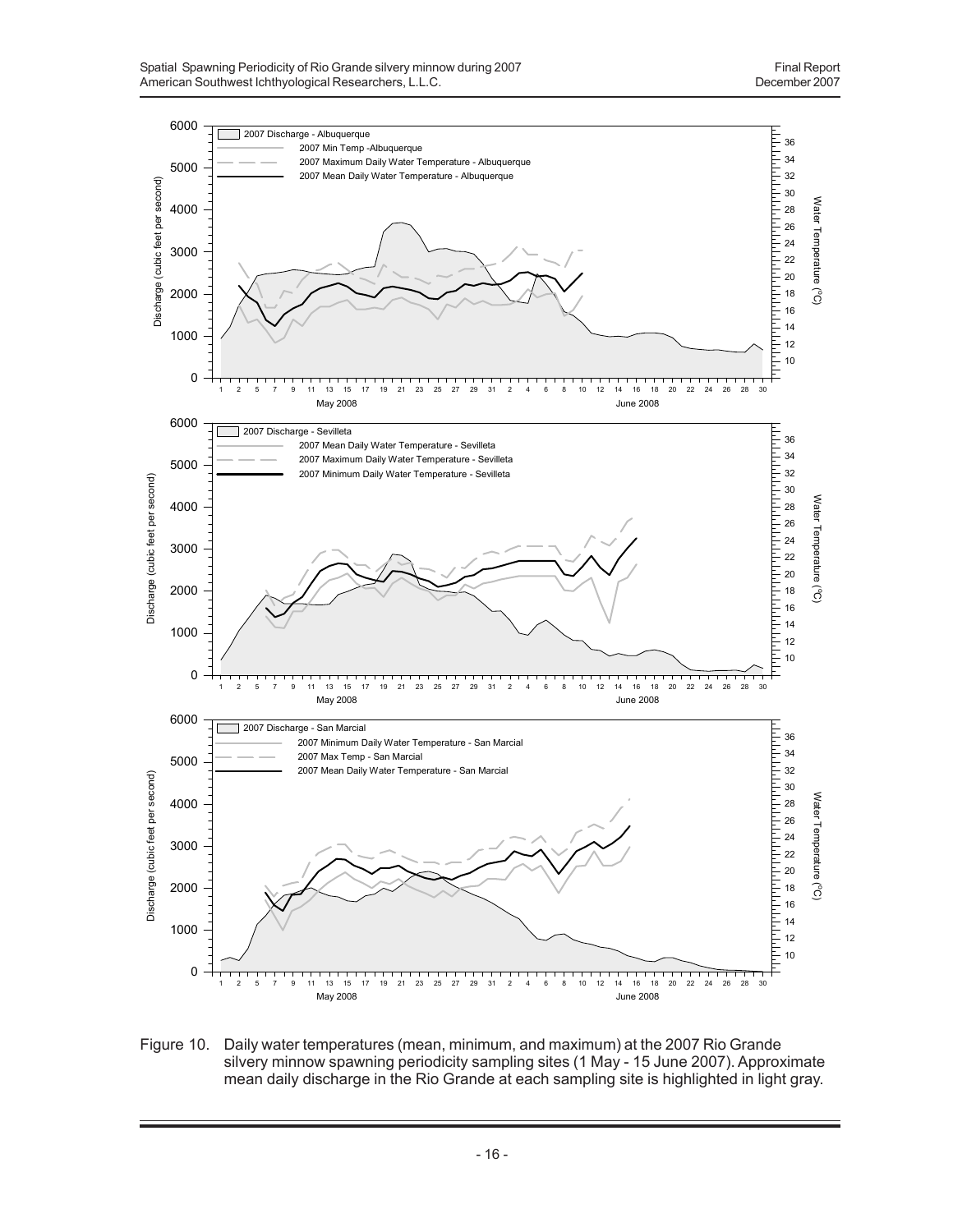

Figure 10. Daily water temperatures (mean, minimum, and maximum) at the 2007 Rio Grande silvery minnow spawning periodicity sampling sites (1 May - 15 June 2007). Approximate mean daily discharge in the Rio Grande at each sampling site is highlighted in light gray.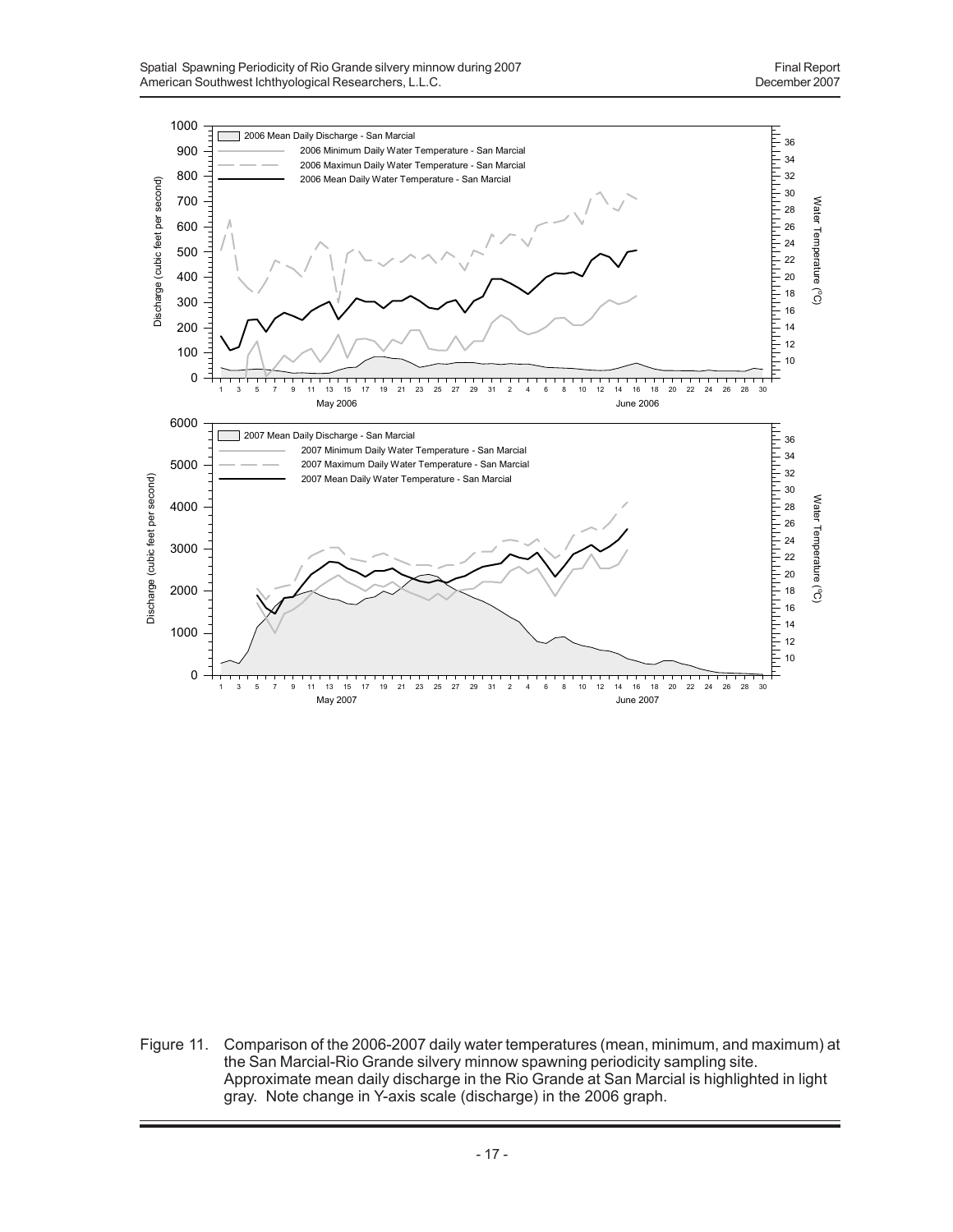

Figure 11. Comparison of the 2006-2007 daily water temperatures (mean, minimum, and maximum) at the San Marcial-Rio Grande silvery minnow spawning periodicity sampling site. Approximate mean daily discharge in the Rio Grande at San Marcial is highlighted in light gray. Note change in Y-axis scale (discharge) in the 2006 graph.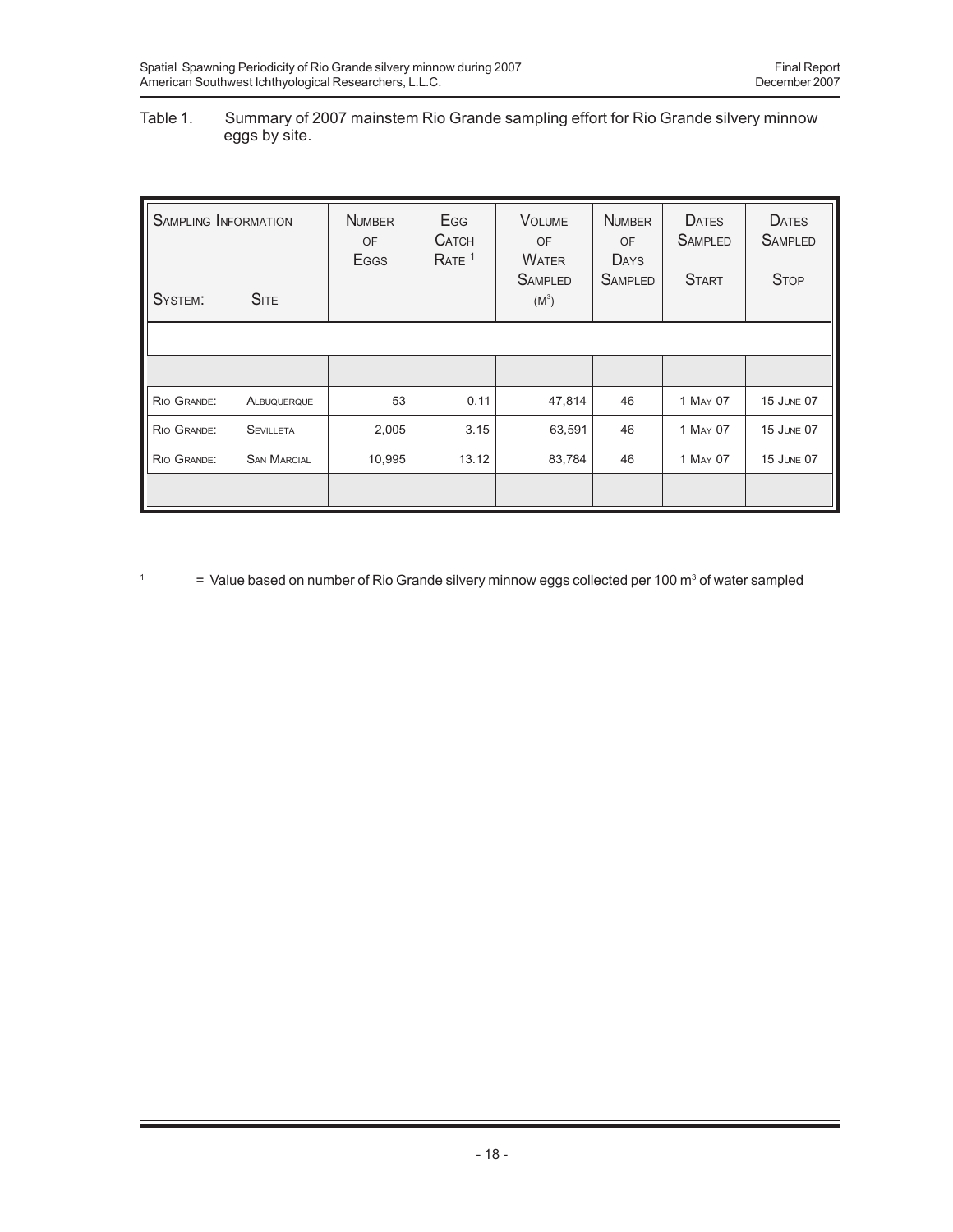## Table 1. Summary of 2007 mainstem Rio Grande sampling effort for Rio Grande silvery minnow eggs by site.

| <b>SAMPLING INFORMATION</b><br><b>SITE</b><br>SYSTEM: |                    | <b>NUMBER</b><br><b>OF</b><br><b>E</b> GGS | Egg<br><b>CATCH</b><br>RATE <sup>1</sup> | <b>VOLUME</b><br><b>OF</b><br><b>WATER</b><br><b>SAMPLED</b><br>$(M^3)$ | <b>NUMBER</b><br>OF<br><b>DAYS</b><br><b>SAMPLED</b> | <b>DATES</b><br><b>SAMPLED</b><br><b>START</b> | <b>DATES</b><br><b>SAMPLED</b><br><b>STOP</b> |
|-------------------------------------------------------|--------------------|--------------------------------------------|------------------------------------------|-------------------------------------------------------------------------|------------------------------------------------------|------------------------------------------------|-----------------------------------------------|
|                                                       |                    |                                            |                                          |                                                                         |                                                      |                                                |                                               |
|                                                       |                    |                                            |                                          |                                                                         |                                                      |                                                |                                               |
| RIO GRANDE:                                           | ALBUQUERQUE        | 53                                         | 0.11                                     | 47,814                                                                  | 46                                                   | 1 MAY 07                                       | <b>15 JUNE 07</b>                             |
| RIO GRANDE:                                           | <b>SEVILLETA</b>   | 2,005                                      | 3.15                                     | 63,591                                                                  | 46                                                   | 1 MAY 07                                       | <b>15 JUNE 07</b>                             |
| RIO GRANDE:                                           | <b>SAN MARCIAL</b> | 10,995<br>13.12                            |                                          | 83,784                                                                  | 46                                                   | 1 MAY 07                                       | 15 JUNE 07                                    |
|                                                       |                    |                                            |                                          |                                                                         |                                                      |                                                |                                               |

<sup>1</sup>  $=$  Value based on number of Rio Grande silvery minnow eggs collected per 100 m<sup>3</sup> of water sampled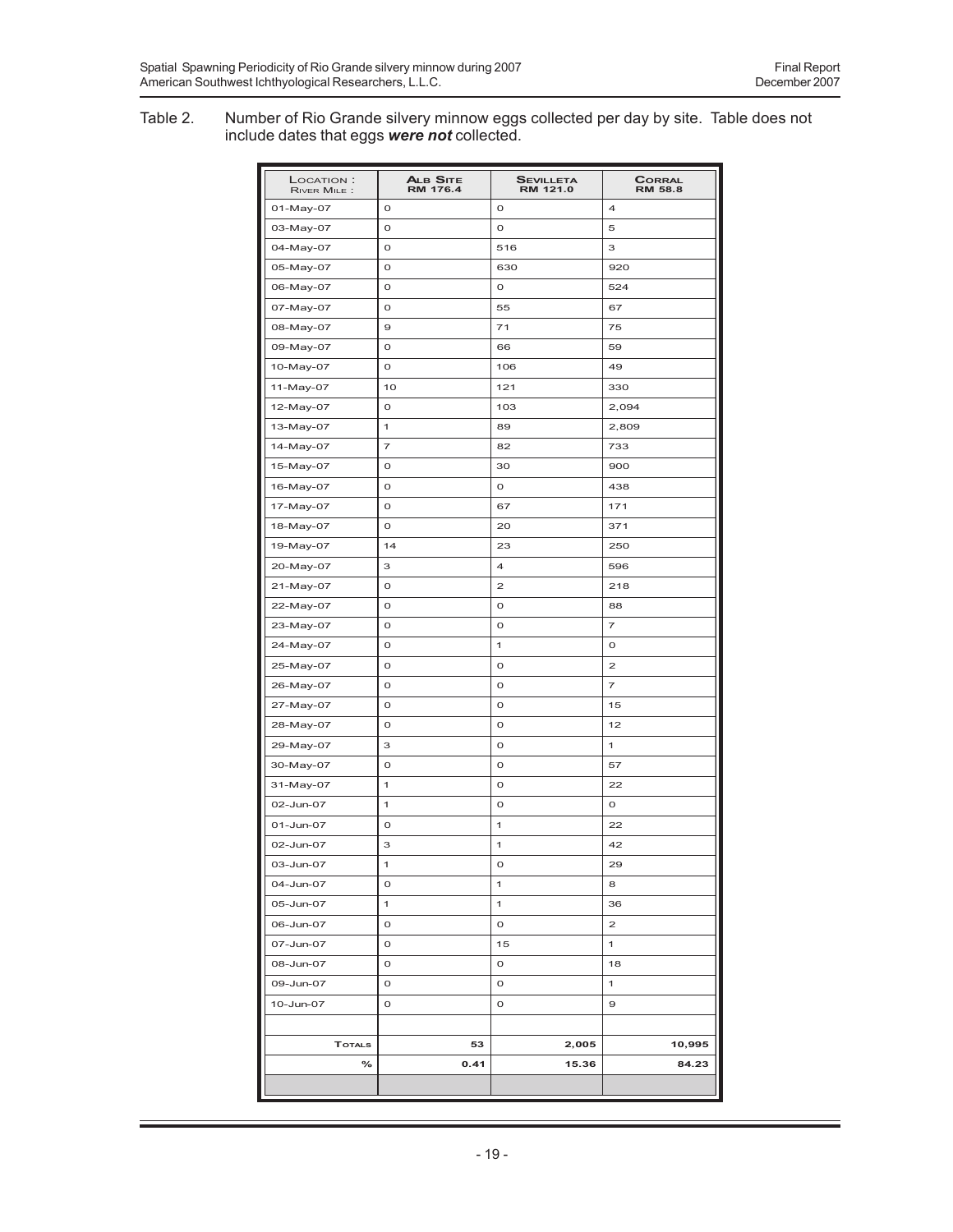#### Table 2. Number of Rio Grande silvery minnow eggs collected per day by site. Table does not include dates that eggs *were not* collected.

| LOCATION:<br>RIVER MILE: | <b>ALB SITE</b><br><b>RM 176.4</b> | <b>SEVILLETA</b><br>RM 121.0 | <b>CORRAL</b><br><b>RM 58.8</b> |
|--------------------------|------------------------------------|------------------------------|---------------------------------|
| 01-May-07                | O                                  | o                            | 4                               |
| 03-May-07                | o                                  | o                            | 5                               |
| 04-May-07                | O                                  | 516                          | 3                               |
| 05-May-07                | o                                  | 630                          | 920                             |
| 06-May-07                | O                                  | 0                            | 524                             |
| 07-May-07                | o                                  | 55                           | 67                              |
| 08-May-07                | $\mathbf 9$                        | 71                           | 75                              |
| 09-May-07                | O                                  | 66                           | 59                              |
| 10-May-07                | o                                  | 106                          | 49                              |
| 11-May-07                | 10                                 | 121                          | 330                             |
| 12-May-07                | O                                  | 103                          | 2,094                           |
| 13-May-07                | 1                                  | 89                           | 2,809                           |
| 14-May-07                | 7                                  | 82                           | 733                             |
| 15-May-07                | O                                  | 30                           | 900                             |
| 16-May-07                | O                                  | O                            | 438                             |
| 17-May-07                | O                                  | 67                           | 171                             |
| 18-May-07                | o                                  | 20                           | 371                             |
| 19-May-07                | 14                                 | 23                           | 250                             |
| 20-May-07                | З                                  | 4                            | 596                             |
| 21-May-07                | O                                  | 2                            | 218                             |
| 22-May-07                | o                                  | o                            | 88                              |
| 23-May-07                | O                                  | O                            | 7                               |
| 24-May-07                | o                                  | 1                            | o                               |
| 25-May-07                | O                                  | o                            | 2                               |
| 26-May-07                | O                                  | o                            | 7                               |
| 27-May-07                | O                                  | O                            | 15                              |
| 28-May-07                | O                                  | o                            | 12                              |
| 29-May-07                | З                                  | O                            | 1                               |
| 30-May-07                | O                                  | o                            | 57                              |
| 31-May-07                | 1                                  | O                            | 22                              |
| 02-Jun-07                | 1                                  | o                            | O                               |
| 01-Jun-07                | o                                  | 1                            | 22                              |
| 02-Jun-07                | З                                  | 1                            | 42                              |
| 03-Jun-07                | 1                                  | o                            | 29                              |
| 04-Jun-07                | o                                  | 1                            | 8                               |
| 05-Jun-07                | 1                                  | 1                            | 36                              |
| 06-Jun-07                | O                                  | 0                            | $\mathbf{2}$                    |
| 07-Jun-07                | 0                                  | 15                           | 1                               |
| 08-Jun-07                | o                                  | o                            | 18                              |
| 09-Jun-07                | o                                  | 0                            | 1                               |
| 10-Jun-07                | O                                  | 0                            | 9                               |
|                          |                                    |                              |                                 |
| <b>TOTALS</b>            | 53                                 | 2,005                        | 10,995                          |
| $\%$                     | 0.41                               | 15.36                        | 84.23                           |
|                          |                                    |                              |                                 |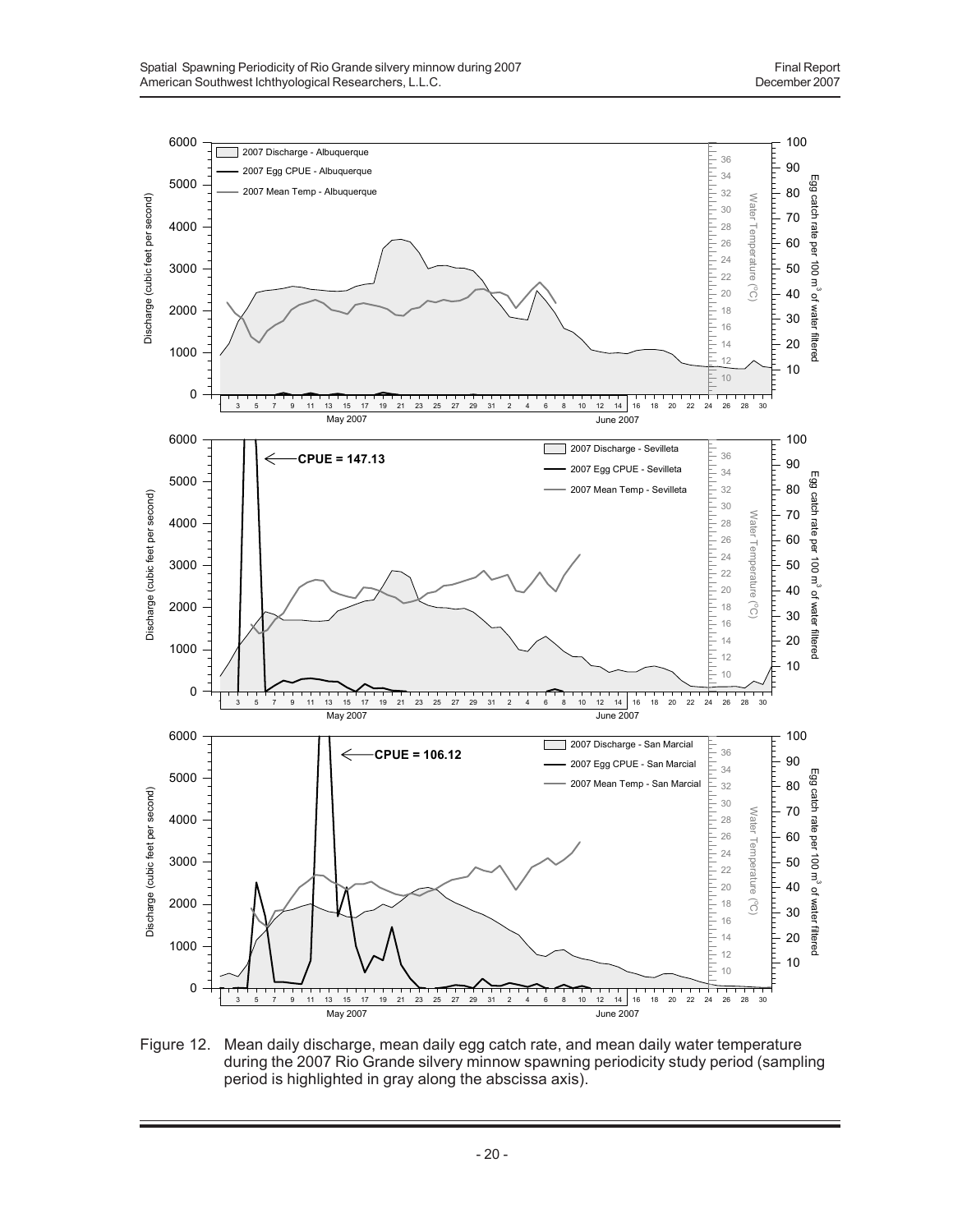

Figure 12. Mean daily discharge, mean daily egg catch rate, and mean daily water temperature during the 2007 Rio Grande silvery minnow spawning periodicity study period (sampling period is highlighted in gray along the abscissa axis).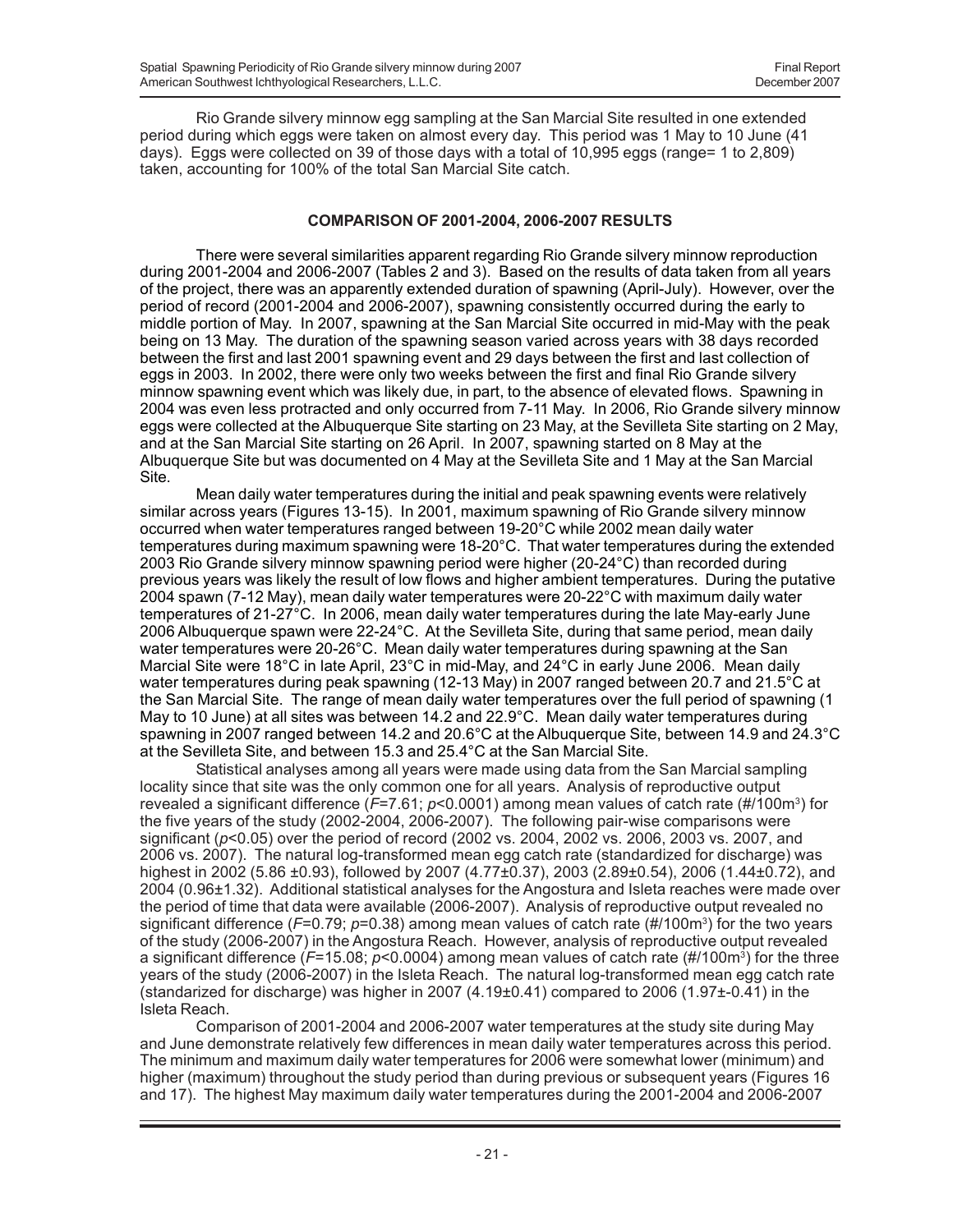Rio Grande silvery minnow egg sampling at the San Marcial Site resulted in one extended period during which eggs were taken on almost every day. This period was 1 May to 10 June (41 days). Eggs were collected on 39 of those days with a total of 10,995 eggs (range= 1 to 2,809) taken, accounting for 100% of the total San Marcial Site catch.

## **COMPARISON OF 2001-2004, 2006-2007 RESULTS**

There were several similarities apparent regarding Rio Grande silvery minnow reproduction during 2001-2004 and 2006-2007 (Tables 2 and 3). Based on the results of data taken from all years of the project, there was an apparently extended duration of spawning (April-July). However, over the period of record (2001-2004 and 2006-2007), spawning consistently occurred during the early to middle portion of May. In 2007, spawning at the San Marcial Site occurred in mid-May with the peak being on 13 May. The duration of the spawning season varied across years with 38 days recorded between the first and last 2001 spawning event and 29 days between the first and last collection of eggs in 2003. In 2002, there were only two weeks between the first and final Rio Grande silvery minnow spawning event which was likely due, in part, to the absence of elevated flows. Spawning in 2004 was even less protracted and only occurred from 7-11 May. In 2006, Rio Grande silvery minnow eggs were collected at the Albuquerque Site starting on 23 May, at the Sevilleta Site starting on 2 May, and at the San Marcial Site starting on 26 April. In 2007, spawning started on 8 May at the Albuquerque Site but was documented on 4 May at the Sevilleta Site and 1 May at the San Marcial Site.

Mean daily water temperatures during the initial and peak spawning events were relatively similar across years (Figures 13-15). In 2001, maximum spawning of Rio Grande silvery minnow occurred when water temperatures ranged between 19-20°C while 2002 mean daily water temperatures during maximum spawning were 18-20°C. That water temperatures during the extended 2003 Rio Grande silvery minnow spawning period were higher (20-24°C) than recorded during previous years was likely the result of low flows and higher ambient temperatures. During the putative 2004 spawn (7-12 May), mean daily water temperatures were 20-22°C with maximum daily water temperatures of 21-27°C. In 2006, mean daily water temperatures during the late May-early June 2006 Albuquerque spawn were 22-24°C. At the Sevilleta Site, during that same period, mean daily water temperatures were 20-26°C. Mean daily water temperatures during spawning at the San Marcial Site were 18°C in late April, 23°C in mid-May, and 24°C in early June 2006. Mean daily water temperatures during peak spawning (12-13 May) in 2007 ranged between 20.7 and 21.5°C at the San Marcial Site. The range of mean daily water temperatures over the full period of spawning (1 May to 10 June) at all sites was between 14.2 and 22.9°C. Mean daily water temperatures during spawning in 2007 ranged between 14.2 and 20.6°C at the Albuquerque Site, between 14.9 and 24.3°C at the Sevilleta Site, and between 15.3 and 25.4°C at the San Marcial Site.

Statistical analyses among all years were made using data from the San Marcial sampling locality since that site was the only common one for all years. Analysis of reproductive output revealed a significant difference (*F*=7.61; *p*<0.0001) among mean values of catch rate (#/100m3) for the five years of the study (2002-2004, 2006-2007). The following pair-wise comparisons were significant (*p*<0.05) over the period of record (2002 vs. 2004, 2002 vs. 2006, 2003 vs. 2007, and 2006 vs. 2007). The natural log-transformed mean egg catch rate (standardized for discharge) was highest in 2002 (5.86 ±0.93), followed by 2007 (4.77±0.37), 2003 (2.89±0.54), 2006 (1.44±0.72), and 2004 (0.96±1.32). Additional statistical analyses for the Angostura and Isleta reaches were made over the period of time that data were available (2006-2007). Analysis of reproductive output revealed no significant difference (*F*=0.79; *p*=0.38) among mean values of catch rate (#/100m3 ) for the two years of the study (2006-2007) in the Angostura Reach. However, analysis of reproductive output revealed a significant difference (*F*=15.08; *p*<0.0004) among mean values of catch rate (#/100m3) for the three years of the study (2006-2007) in the Isleta Reach. The natural log-transformed mean egg catch rate (standarized for discharge) was higher in 2007 (4.19 $\pm$ 0.41) compared to 2006 (1.97 $\pm$ -0.41) in the Isleta Reach.

Comparison of 2001-2004 and 2006-2007 water temperatures at the study site during May and June demonstrate relatively few differences in mean daily water temperatures across this period. The minimum and maximum daily water temperatures for 2006 were somewhat lower (minimum) and higher (maximum) throughout the study period than during previous or subsequent years (Figures 16 and 17). The highest May maximum daily water temperatures during the 2001-2004 and 2006-2007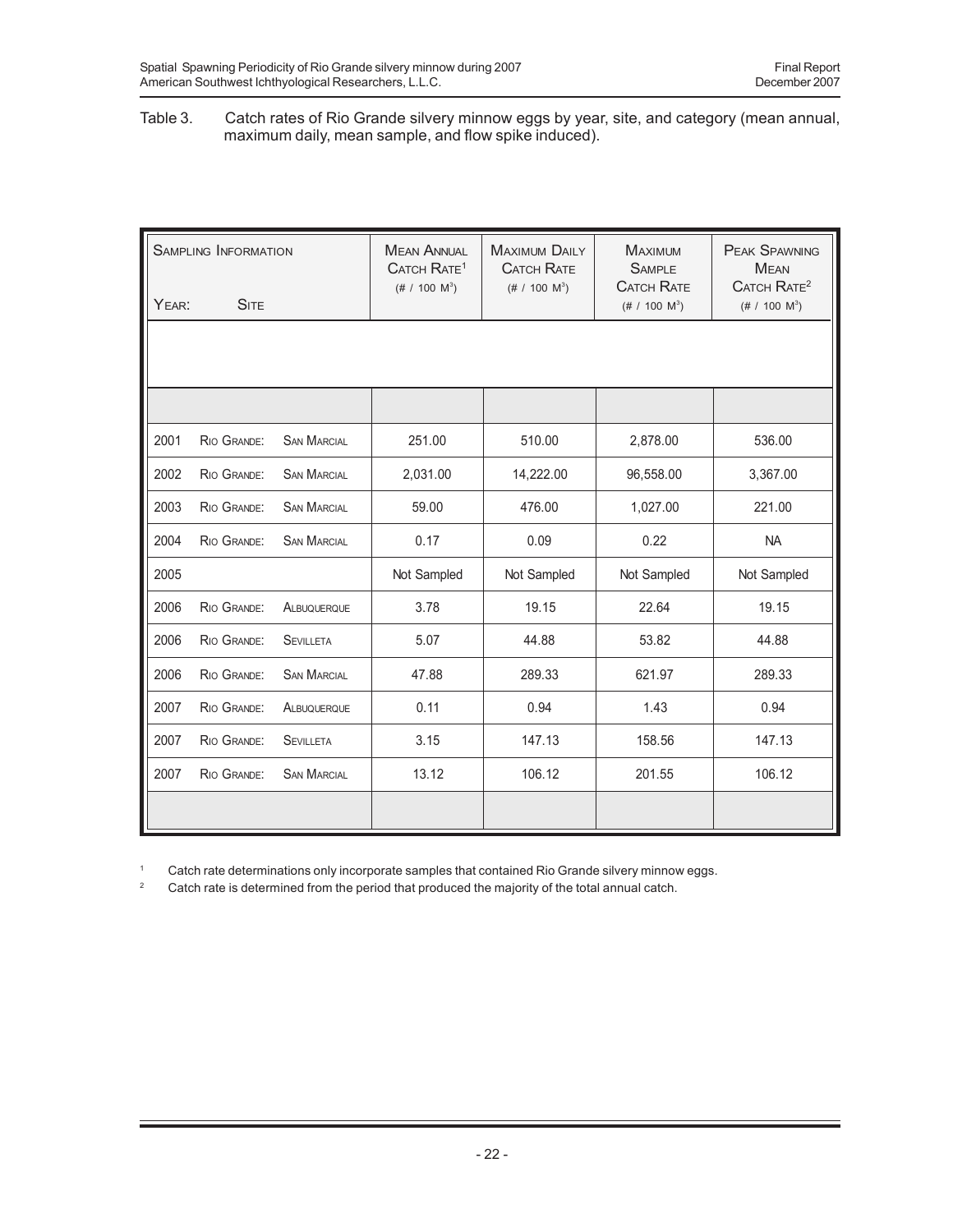#### Table 3. Catch rates of Rio Grande silvery minnow eggs by year, site, and category (mean annual, maximum daily, mean sample, and flow spike induced).

| YEAR: | <b>SAMPLING INFORMATION</b><br><b>SITE</b> |                    | <b>MEAN ANNUAL</b><br>CATCH RATE <sup>1</sup><br>$(\# 7 100 M^3)$ | <b>MAXIMUM DAILY</b><br><b>CATCH RATE</b><br>(# / 100 $M^3$ ) | <b>MAXIMUM</b><br><b>SAMPLE</b><br><b>CATCH RATE</b><br>$(\# 7 100 M^3)$ | <b>PEAK SPAWNING</b><br><b>MEAN</b><br>CATCH RATE <sup>2</sup><br>$(\# 7 100 M^3)$ |
|-------|--------------------------------------------|--------------------|-------------------------------------------------------------------|---------------------------------------------------------------|--------------------------------------------------------------------------|------------------------------------------------------------------------------------|
|       |                                            |                    |                                                                   |                                                               |                                                                          |                                                                                    |
|       |                                            |                    |                                                                   |                                                               |                                                                          |                                                                                    |
| 2001  | RIO GRANDE:                                | <b>SAN MARCIAL</b> | 251.00                                                            | 510.00                                                        | 2,878.00                                                                 | 536.00                                                                             |
| 2002  | RIO GRANDE:                                | <b>SAN MARCIAL</b> | 2,031.00                                                          | 14,222.00                                                     | 96,558.00                                                                | 3,367.00                                                                           |
| 2003  | RIO GRANDE:                                | <b>SAN MARCIAL</b> | 59.00                                                             | 476.00                                                        | 1,027.00                                                                 | 221.00                                                                             |
| 2004  | RIO GRANDE:                                | <b>SAN MARCIAL</b> | 0.17                                                              | 0.09                                                          | 0.22                                                                     | <b>NA</b>                                                                          |
| 2005  |                                            |                    | Not Sampled                                                       | Not Sampled                                                   | Not Sampled                                                              | Not Sampled                                                                        |
| 2006  | RIO GRANDE:                                | ALBUQUERQUE        | 3.78                                                              | 19.15                                                         | 22.64                                                                    | 19.15                                                                              |
| 2006  | RIO GRANDE:                                | <b>SEVILLETA</b>   | 5.07                                                              | 44.88                                                         | 53.82                                                                    | 44.88                                                                              |
| 2006  | RIO GRANDE:                                | <b>SAN MARCIAL</b> | 47.88                                                             | 289.33                                                        | 621.97                                                                   | 289.33                                                                             |
| 2007  | RIO GRANDE:                                | ALBUQUERQUE        | 0.11                                                              | 0.94                                                          | 1.43                                                                     | 0.94                                                                               |
| 2007  | RIO GRANDE:                                | <b>SEVILLETA</b>   | 3.15                                                              | 147.13                                                        | 158.56                                                                   | 147.13                                                                             |
| 2007  | RIO GRANDE:                                | <b>SAN MARCIAL</b> | 13.12                                                             | 106.12                                                        | 201.55                                                                   | 106.12                                                                             |
|       |                                            |                    |                                                                   |                                                               |                                                                          |                                                                                    |

<sup>1</sup> Catch rate determinations only incorporate samples that contained Rio Grande silvery minnow eggs.

<sup>2</sup> Catch rate is determined from the period that produced the majority of the total annual catch.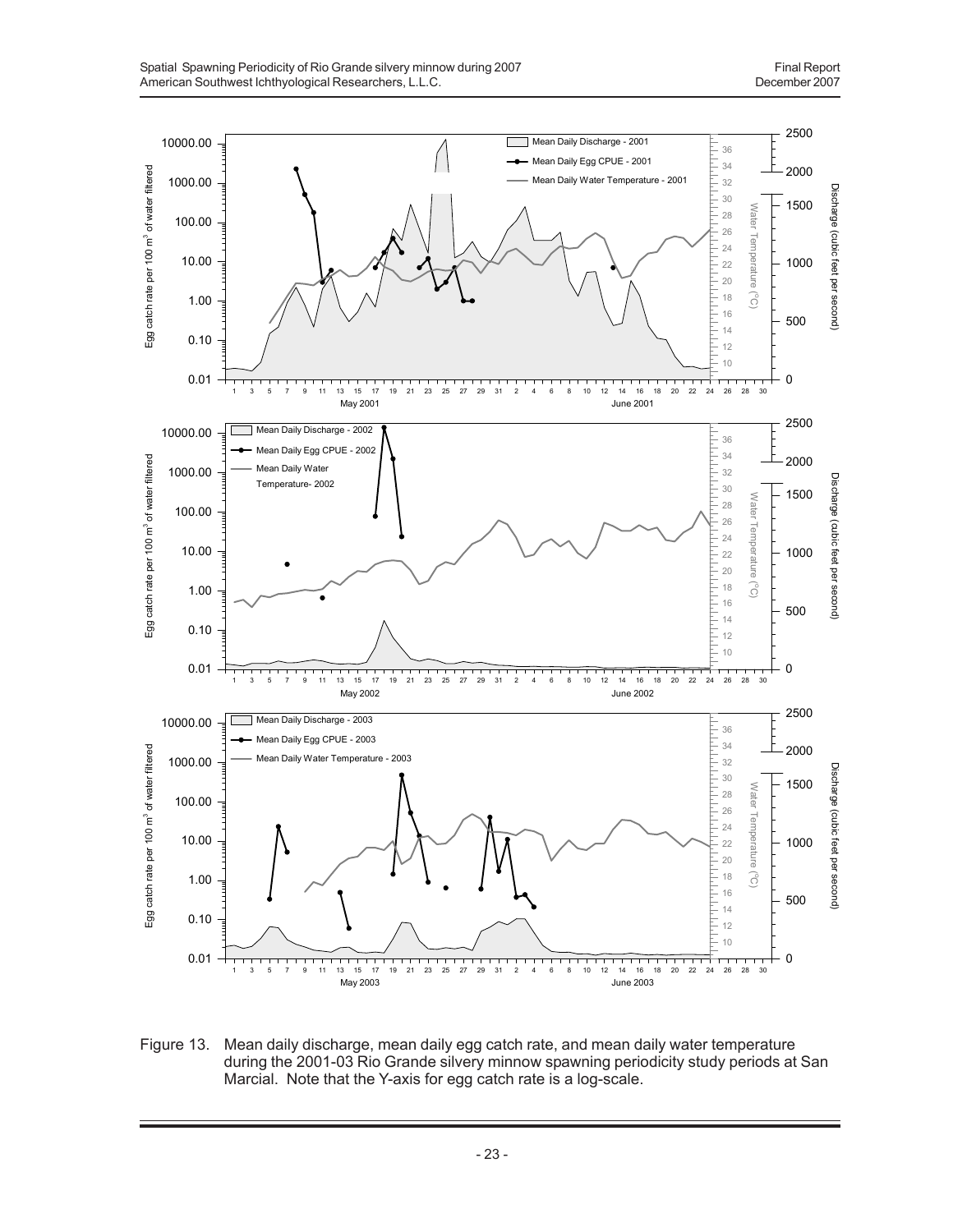

Figure 13. Mean daily discharge, mean daily egg catch rate, and mean daily water temperature during the 2001-03 Rio Grande silvery minnow spawning periodicity study periods at San Marcial. Note that the Y-axis for egg catch rate is a log-scale.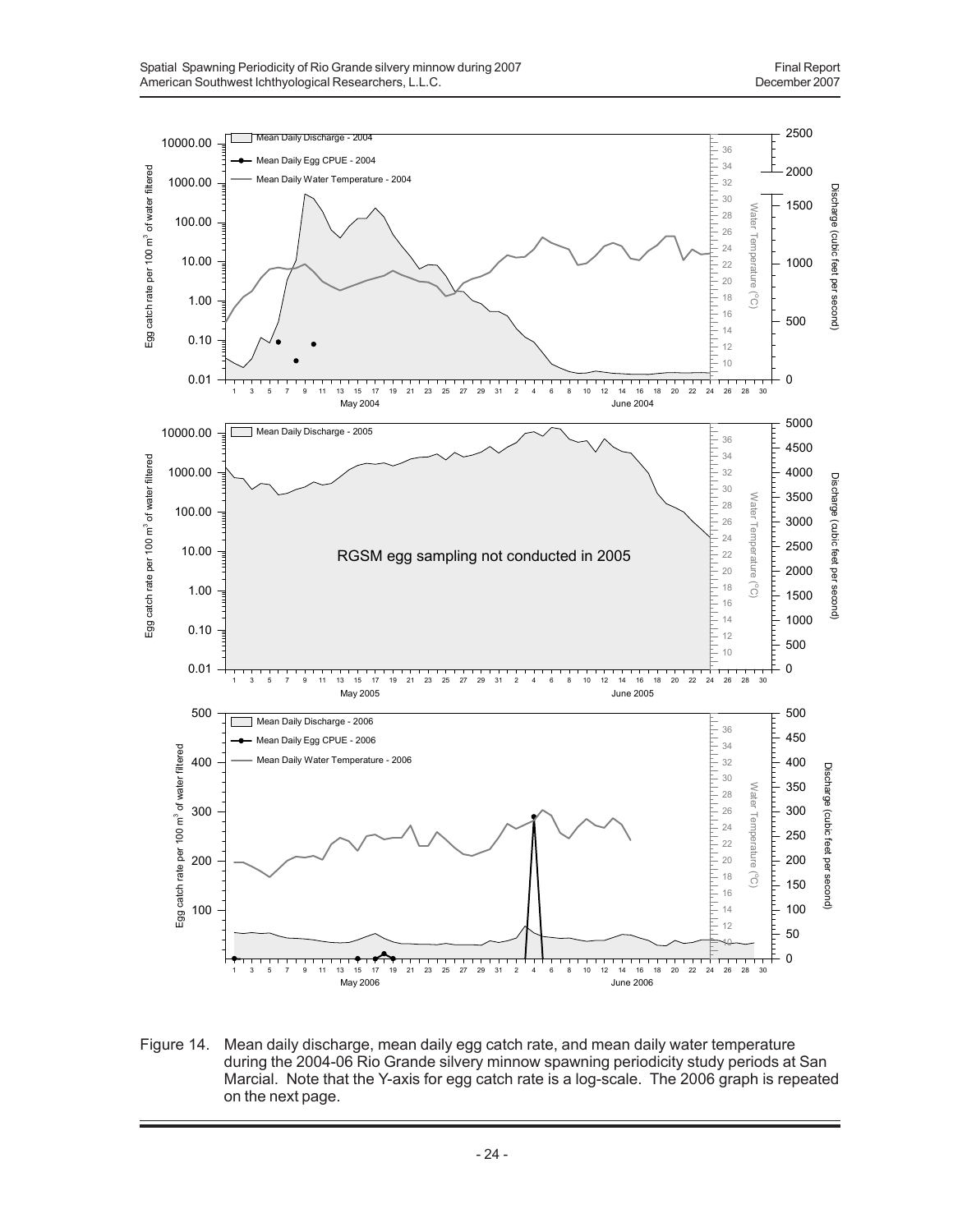

Figure 14. Mean daily discharge, mean daily egg catch rate, and mean daily water temperature during the 2004-06 Rio Grande silvery minnow spawning periodicity study periods at San Marcial. Note that the Y-axis for egg catch rate is a log-scale. The 2006 graph is repeated on the next page.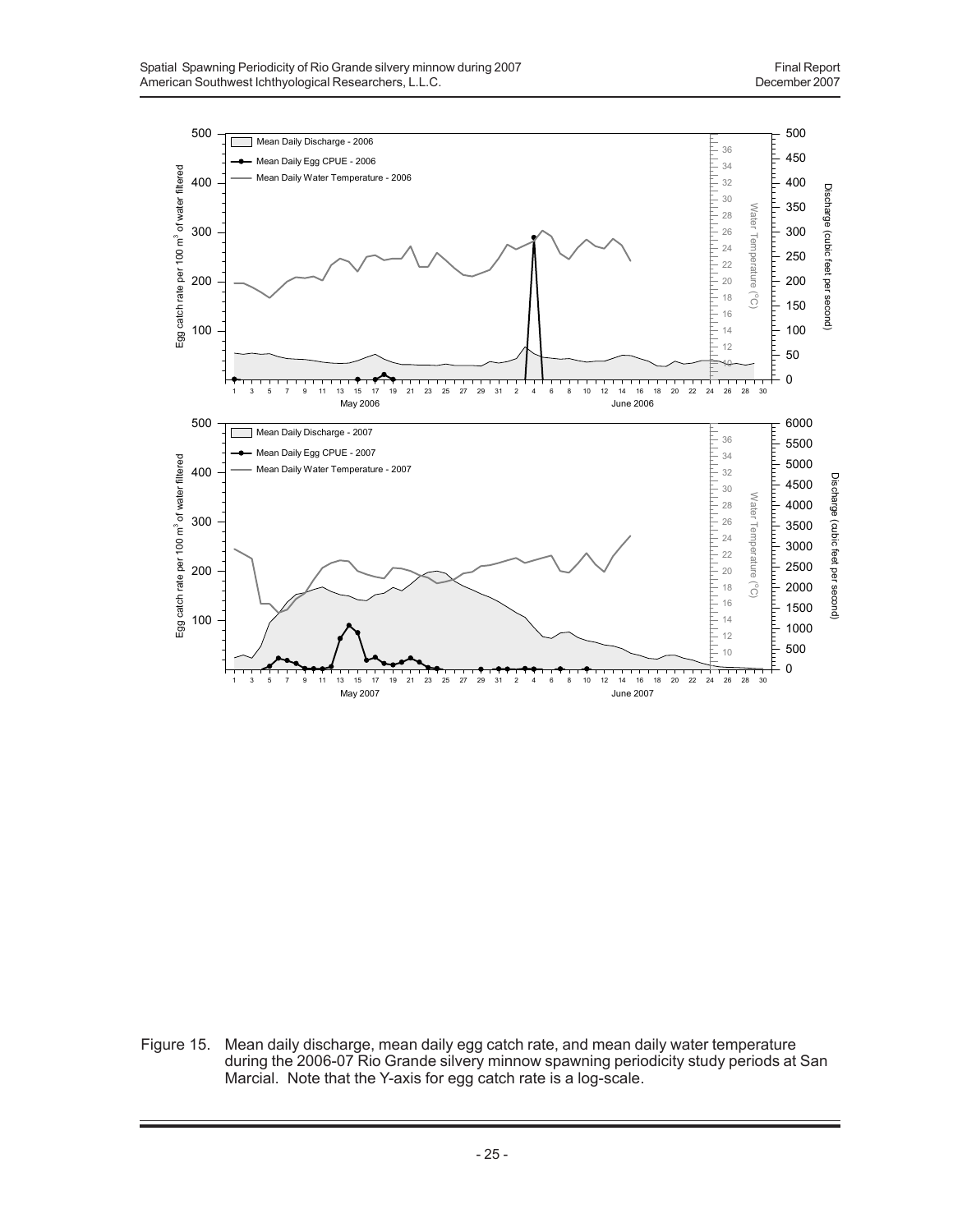

Figure 15. Mean daily discharge, mean daily egg catch rate, and mean daily water temperature during the 2006-07 Rio Grande silvery minnow spawning periodicity study periods at San Marcial. Note that the Y-axis for egg catch rate is a log-scale.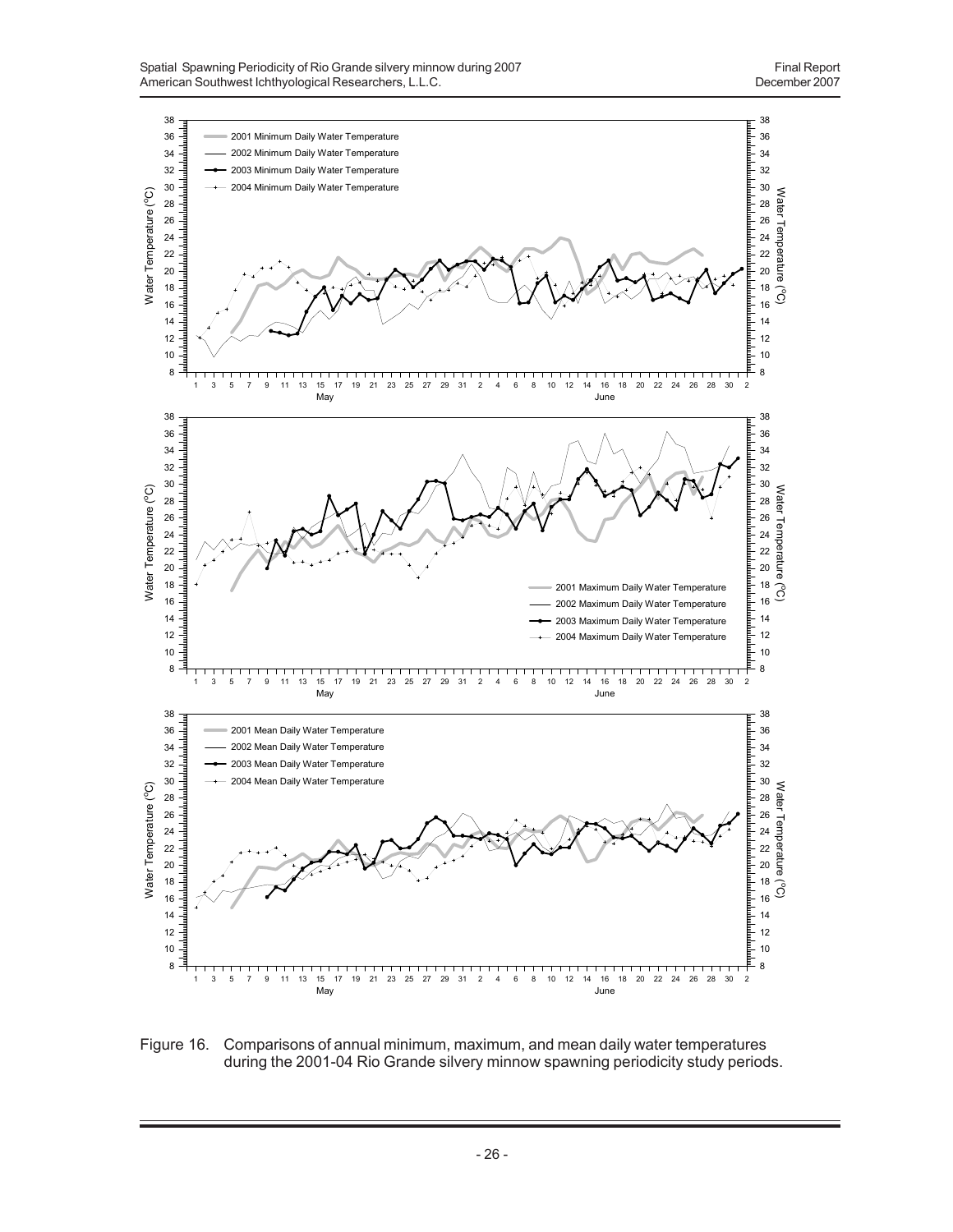

Figure 16. Comparisons of annual minimum, maximum, and mean daily water temperatures during the 2001-04 Rio Grande silvery minnow spawning periodicity study periods.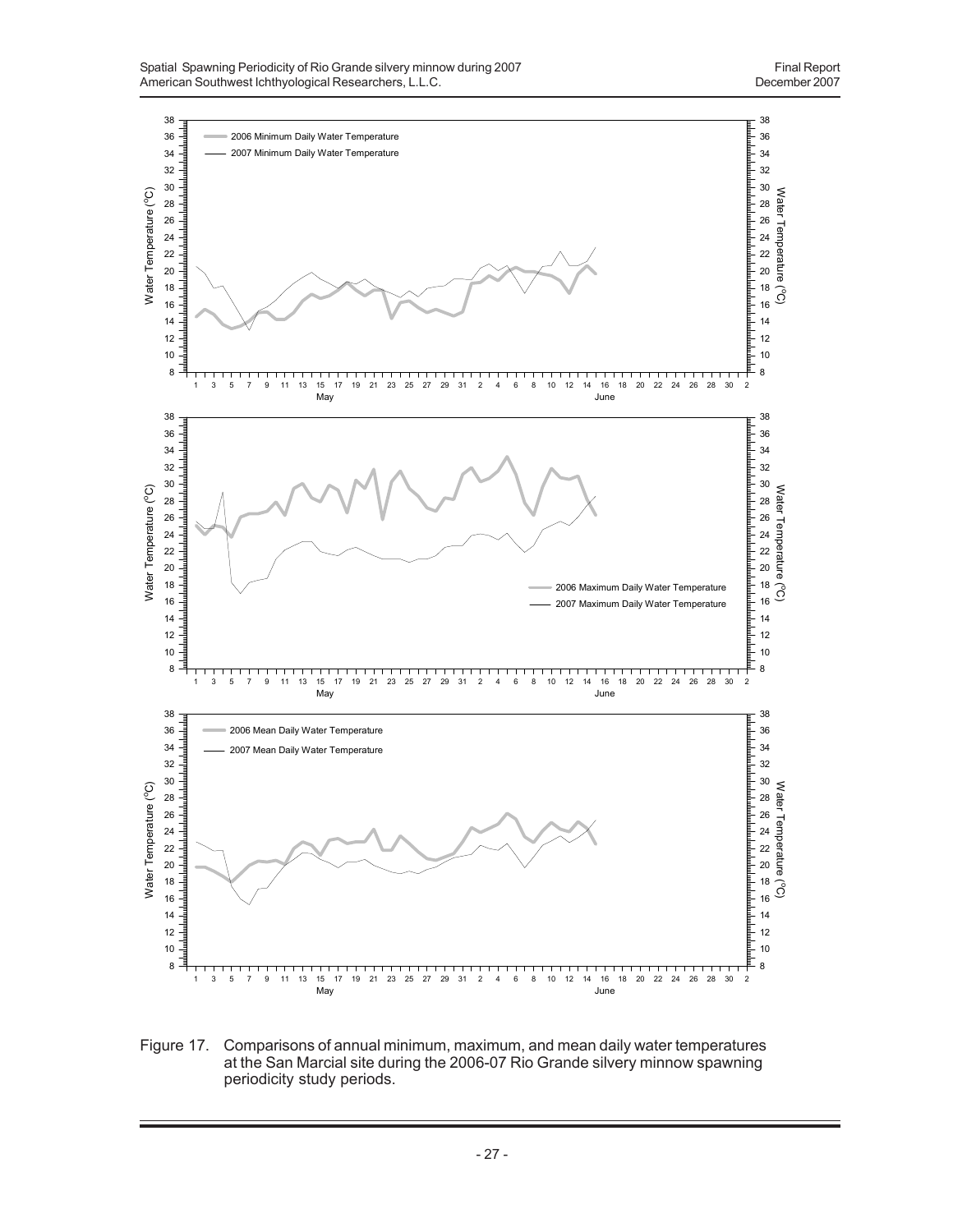

Figure 17. Comparisons of annual minimum, maximum, and mean daily water temperatures at the San Marcial site during the 2006-07 Rio Grande silvery minnow spawning periodicity study periods.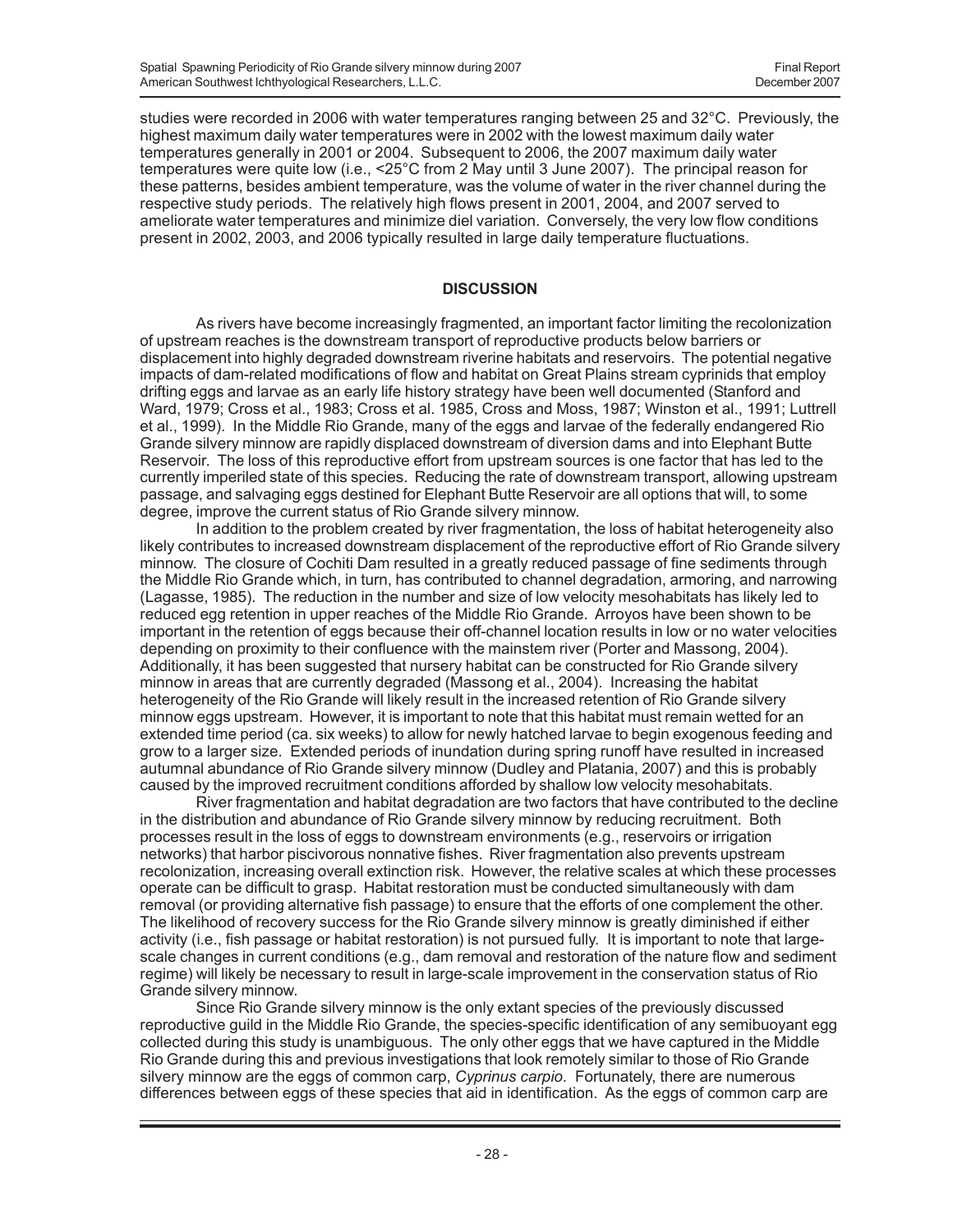studies were recorded in 2006 with water temperatures ranging between 25 and 32°C. Previously, the highest maximum daily water temperatures were in 2002 with the lowest maximum daily water temperatures generally in 2001 or 2004. Subsequent to 2006, the 2007 maximum daily water temperatures were quite low (i.e., <25°C from 2 May until 3 June 2007). The principal reason for these patterns, besides ambient temperature, was the volume of water in the river channel during the respective study periods. The relatively high flows present in 2001, 2004, and 2007 served to ameliorate water temperatures and minimize diel variation. Conversely, the very low flow conditions present in 2002, 2003, and 2006 typically resulted in large daily temperature fluctuations.

## **DISCUSSION**

As rivers have become increasingly fragmented, an important factor limiting the recolonization of upstream reaches is the downstream transport of reproductive products below barriers or displacement into highly degraded downstream riverine habitats and reservoirs. The potential negative impacts of dam-related modifications of flow and habitat on Great Plains stream cyprinids that employ drifting eggs and larvae as an early life history strategy have been well documented (Stanford and Ward, 1979; Cross et al., 1983; Cross et al. 1985, Cross and Moss, 1987; Winston et al., 1991; Luttrell et al., 1999). In the Middle Rio Grande, many of the eggs and larvae of the federally endangered Rio Grande silvery minnow are rapidly displaced downstream of diversion dams and into Elephant Butte Reservoir. The loss of this reproductive effort from upstream sources is one factor that has led to the currently imperiled state of this species. Reducing the rate of downstream transport, allowing upstream passage, and salvaging eggs destined for Elephant Butte Reservoir are all options that will, to some degree, improve the current status of Rio Grande silvery minnow.

In addition to the problem created by river fragmentation, the loss of habitat heterogeneity also likely contributes to increased downstream displacement of the reproductive effort of Rio Grande silvery minnow. The closure of Cochiti Dam resulted in a greatly reduced passage of fine sediments through the Middle Rio Grande which, in turn, has contributed to channel degradation, armoring, and narrowing (Lagasse, 1985). The reduction in the number and size of low velocity mesohabitats has likely led to reduced egg retention in upper reaches of the Middle Rio Grande. Arroyos have been shown to be important in the retention of eggs because their off-channel location results in low or no water velocities depending on proximity to their confluence with the mainstem river (Porter and Massong, 2004). Additionally, it has been suggested that nursery habitat can be constructed for Rio Grande silvery minnow in areas that are currently degraded (Massong et al., 2004). Increasing the habitat heterogeneity of the Rio Grande will likely result in the increased retention of Rio Grande silvery minnow eggs upstream. However, it is important to note that this habitat must remain wetted for an extended time period (ca. six weeks) to allow for newly hatched larvae to begin exogenous feeding and grow to a larger size. Extended periods of inundation during spring runoff have resulted in increased autumnal abundance of Rio Grande silvery minnow (Dudley and Platania, 2007) and this is probably caused by the improved recruitment conditions afforded by shallow low velocity mesohabitats.

River fragmentation and habitat degradation are two factors that have contributed to the decline in the distribution and abundance of Rio Grande silvery minnow by reducing recruitment. Both processes result in the loss of eggs to downstream environments (e.g., reservoirs or irrigation networks) that harbor piscivorous nonnative fishes. River fragmentation also prevents upstream recolonization, increasing overall extinction risk. However, the relative scales at which these processes operate can be difficult to grasp. Habitat restoration must be conducted simultaneously with dam removal (or providing alternative fish passage) to ensure that the efforts of one complement the other. The likelihood of recovery success for the Rio Grande silvery minnow is greatly diminished if either activity (i.e., fish passage or habitat restoration) is not pursued fully. It is important to note that largescale changes in current conditions (e.g., dam removal and restoration of the nature flow and sediment regime) will likely be necessary to result in large-scale improvement in the conservation status of Rio Grande silvery minnow.

Since Rio Grande silvery minnow is the only extant species of the previously discussed reproductive guild in the Middle Rio Grande, the species-specific identification of any semibuoyant egg collected during this study is unambiguous. The only other eggs that we have captured in the Middle Rio Grande during this and previous investigations that look remotely similar to those of Rio Grande silvery minnow are the eggs of common carp, *Cyprinus carpio*. Fortunately, there are numerous differences between eggs of these species that aid in identification. As the eggs of common carp are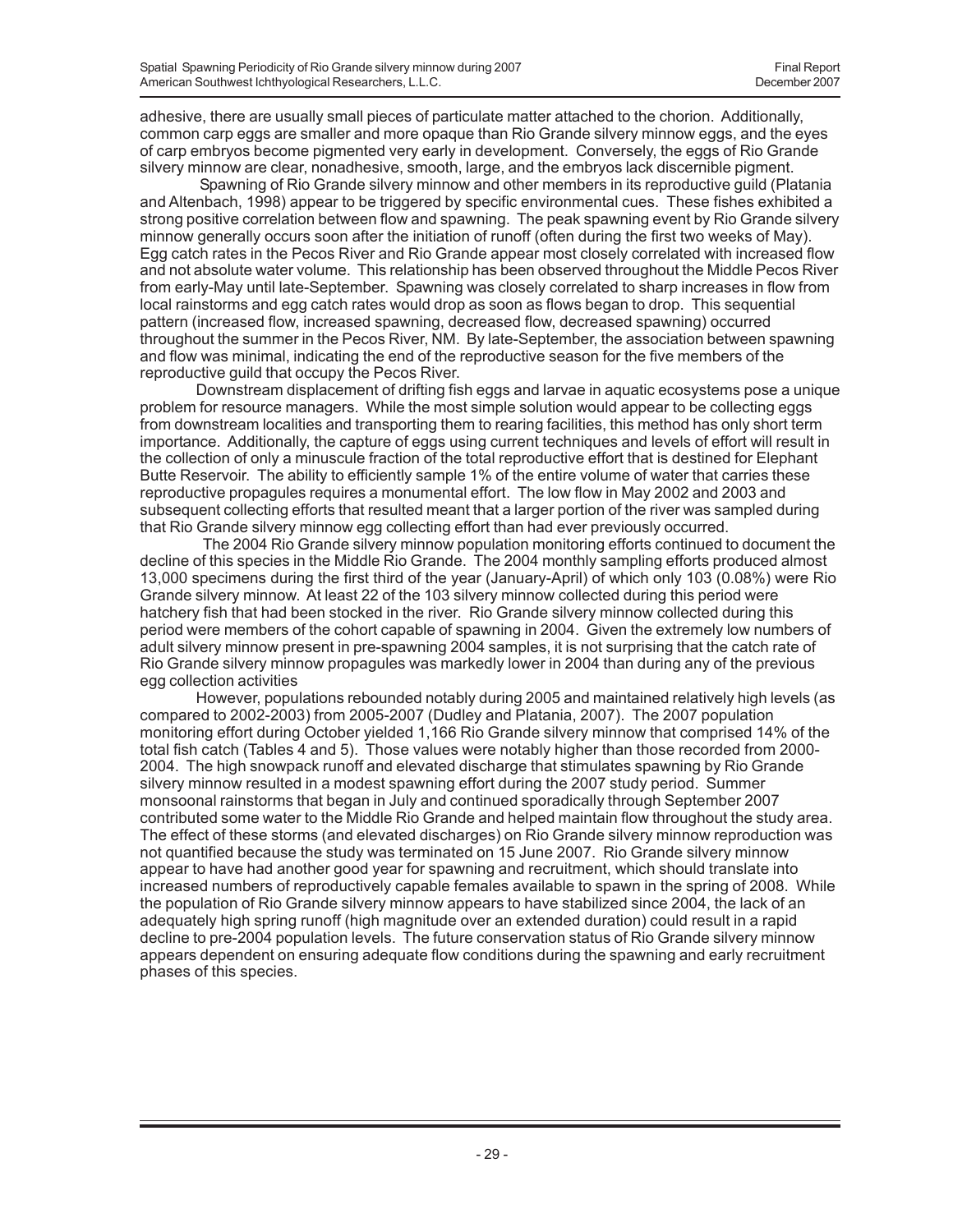adhesive, there are usually small pieces of particulate matter attached to the chorion. Additionally, common carp eggs are smaller and more opaque than Rio Grande silvery minnow eggs, and the eyes of carp embryos become pigmented very early in development. Conversely, the eggs of Rio Grande silvery minnow are clear, nonadhesive, smooth, large, and the embryos lack discernible pigment.

 Spawning of Rio Grande silvery minnow and other members in its reproductive guild (Platania and Altenbach, 1998) appear to be triggered by specific environmental cues. These fishes exhibited a strong positive correlation between flow and spawning. The peak spawning event by Rio Grande silvery minnow generally occurs soon after the initiation of runoff (often during the first two weeks of May). Egg catch rates in the Pecos River and Rio Grande appear most closely correlated with increased flow and not absolute water volume. This relationship has been observed throughout the Middle Pecos River from early-May until late-September. Spawning was closely correlated to sharp increases in flow from local rainstorms and egg catch rates would drop as soon as flows began to drop. This sequential pattern (increased flow, increased spawning, decreased flow, decreased spawning) occurred throughout the summer in the Pecos River, NM. By late-September, the association between spawning and flow was minimal, indicating the end of the reproductive season for the five members of the reproductive guild that occupy the Pecos River.

Downstream displacement of drifting fish eggs and larvae in aquatic ecosystems pose a unique problem for resource managers. While the most simple solution would appear to be collecting eggs from downstream localities and transporting them to rearing facilities, this method has only short term importance. Additionally, the capture of eggs using current techniques and levels of effort will result in the collection of only a minuscule fraction of the total reproductive effort that is destined for Elephant Butte Reservoir. The ability to efficiently sample 1% of the entire volume of water that carries these reproductive propagules requires a monumental effort. The low flow in May 2002 and 2003 and subsequent collecting efforts that resulted meant that a larger portion of the river was sampled during that Rio Grande silvery minnow egg collecting effort than had ever previously occurred.

 The 2004 Rio Grande silvery minnow population monitoring efforts continued to document the decline of this species in the Middle Rio Grande. The 2004 monthly sampling efforts produced almost 13,000 specimens during the first third of the year (January-April) of which only 103 (0.08%) were Rio Grande silvery minnow. At least 22 of the 103 silvery minnow collected during this period were hatchery fish that had been stocked in the river. Rio Grande silvery minnow collected during this period were members of the cohort capable of spawning in 2004. Given the extremely low numbers of adult silvery minnow present in pre-spawning 2004 samples, it is not surprising that the catch rate of Rio Grande silvery minnow propagules was markedly lower in 2004 than during any of the previous egg collection activities

However, populations rebounded notably during 2005 and maintained relatively high levels (as compared to 2002-2003) from 2005-2007 (Dudley and Platania, 2007). The 2007 population monitoring effort during October yielded 1,166 Rio Grande silvery minnow that comprised 14% of the total fish catch (Tables 4 and 5). Those values were notably higher than those recorded from 2000- 2004. The high snowpack runoff and elevated discharge that stimulates spawning by Rio Grande silvery minnow resulted in a modest spawning effort during the 2007 study period. Summer monsoonal rainstorms that began in July and continued sporadically through September 2007 contributed some water to the Middle Rio Grande and helped maintain flow throughout the study area. The effect of these storms (and elevated discharges) on Rio Grande silvery minnow reproduction was not quantified because the study was terminated on 15 June 2007. Rio Grande silvery minnow appear to have had another good year for spawning and recruitment, which should translate into increased numbers of reproductively capable females available to spawn in the spring of 2008. While the population of Rio Grande silvery minnow appears to have stabilized since 2004, the lack of an adequately high spring runoff (high magnitude over an extended duration) could result in a rapid decline to pre-2004 population levels. The future conservation status of Rio Grande silvery minnow appears dependent on ensuring adequate flow conditions during the spawning and early recruitment phases of this species.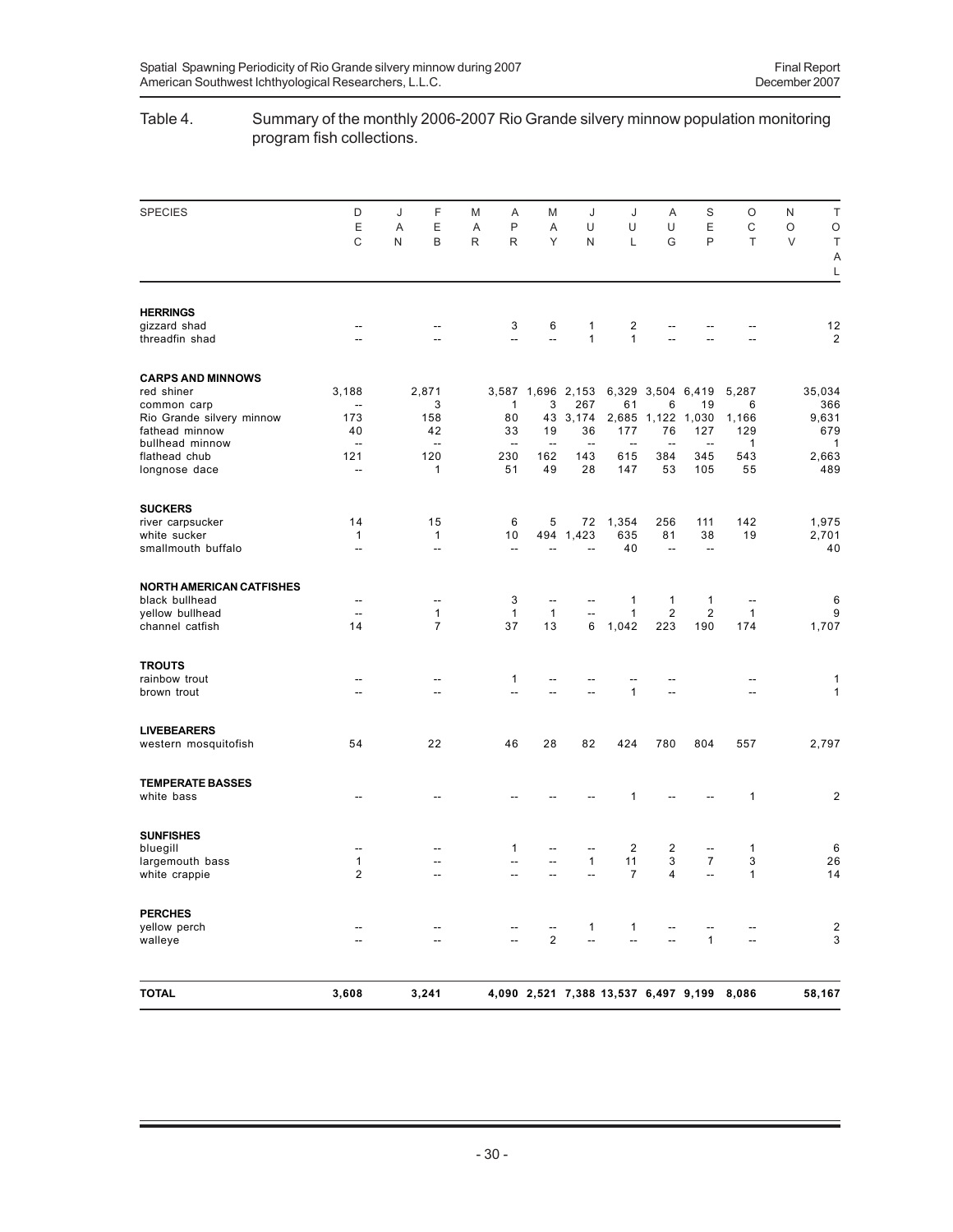# Table 4. Summary of the monthly 2006-2007 Rio Grande silvery minnow population monitoring program fish collections.

| <b>SPECIES</b>                     | D                                                    | F<br>J                   | M      | Α                        | M                        | J                        | J                                          | Α                        | S                        | O                                                        | N      | $\top$                  |
|------------------------------------|------------------------------------------------------|--------------------------|--------|--------------------------|--------------------------|--------------------------|--------------------------------------------|--------------------------|--------------------------|----------------------------------------------------------|--------|-------------------------|
|                                    | Ε<br>C                                               | Ε<br>Α<br>B<br>N         | Α<br>R | P<br>R                   | A<br>Y                   | U<br>N                   | U<br>L                                     | U<br>G                   | E<br>$\mathsf{P}$        | C<br>T                                                   | O<br>V | $\circ$<br>$\top$<br>Α  |
|                                    |                                                      |                          |        |                          |                          |                          |                                            |                          |                          |                                                          |        | L                       |
| <b>HERRINGS</b>                    |                                                      |                          |        |                          |                          |                          |                                            |                          |                          |                                                          |        |                         |
| gizzard shad                       | $\hspace{0.05cm} -\hspace{0.05cm} -\hspace{0.05cm}$  |                          |        | 3                        | 6                        | 1                        | $\overline{\mathbf{c}}$                    |                          |                          |                                                          |        | 12                      |
| threadfin shad                     | $\overline{\phantom{a}}$                             |                          |        | $\overline{\phantom{a}}$ | Ξ.                       | 1                        | $\mathbf{1}$                               |                          |                          |                                                          |        | $\overline{\mathbf{c}}$ |
| <b>CARPS AND MINNOWS</b>           |                                                      |                          |        |                          |                          |                          |                                            |                          |                          |                                                          |        |                         |
| red shiner                         | 3,188                                                | 2,871                    |        |                          |                          | 3,587 1,696 2,153        | 6,329                                      | 3,504                    | 6,419                    | 5,287                                                    |        | 35,034                  |
| common carp                        | $\overline{\phantom{a}}$                             | 3                        |        | 1                        | 3                        | 267                      | 61                                         | 6                        | 19                       | 6                                                        |        | 366                     |
| Rio Grande silvery minnow          | 173                                                  | 158                      |        | 80                       | 43                       | 3,174                    | 2,685                                      | 1,122                    | 1,030                    | 1,166                                                    |        | 9,631                   |
| fathead minnow                     | 40                                                   | 42                       |        | 33                       | 19                       | 36                       | 177                                        | 76                       | 127                      | 129                                                      |        | 679                     |
| bullhead minnow                    | $\overline{a}$                                       | $\overline{a}$           |        | $\overline{\phantom{a}}$ | $\overline{\phantom{a}}$ | $\overline{\phantom{a}}$ | $\overline{a}$                             | $\overline{\phantom{a}}$ | $\overline{\phantom{a}}$ | 1                                                        |        | 1                       |
| flathead chub                      | 121                                                  | 120                      |        | 230                      | 162                      | 143                      | 615                                        | 384                      | 345                      | 543                                                      |        | 2,663                   |
| longnose dace                      | $\overline{\phantom{a}}$                             | 1                        |        | 51                       | 49                       | 28                       | 147                                        | 53                       | 105                      | 55                                                       |        | 489                     |
| <b>SUCKERS</b>                     |                                                      |                          |        |                          |                          |                          |                                            |                          |                          |                                                          |        |                         |
| river carpsucker                   | 14                                                   | 15                       |        | 6                        | 5                        | 72                       | 1,354                                      | 256                      | 111                      | 142                                                      |        | 1,975                   |
| white sucker                       | 1                                                    | $\mathbf{1}$             |        | 10                       | 494                      | 1,423                    | 635                                        | 81                       | 38                       | 19                                                       |        | 2,701                   |
| smallmouth buffalo                 | $\overline{\phantom{a}}$                             | $\overline{\phantom{a}}$ |        | $\sim$ $\sim$            |                          | $\overline{a}$           | 40                                         | $\overline{\phantom{a}}$ | $\overline{\phantom{a}}$ |                                                          |        | 40                      |
|                                    |                                                      |                          |        |                          |                          |                          |                                            |                          |                          |                                                          |        |                         |
| <b>NORTH AMERICAN CATFISHES</b>    |                                                      |                          |        |                          |                          |                          |                                            |                          |                          |                                                          |        |                         |
| black bullhead                     | $\overline{\phantom{a}}$<br>$\overline{\phantom{a}}$ | --<br>$\mathbf{1}$       |        | 3<br>$\mathbf{1}$        | --<br>$\mathbf{1}$       | --                       | 1<br>$\mathbf{1}$                          | 1<br>$\overline{2}$      | 1<br>$\overline{2}$      | $\hspace{0.05cm} -\hspace{0.05cm} -\hspace{0.05cm}$<br>1 |        | 6<br>9                  |
| yellow bullhead<br>channel catfish | 14                                                   | $\overline{7}$           |        | 37                       | 13                       | 6                        | 1,042                                      | 223                      | 190                      | 174                                                      |        | 1,707                   |
| <b>TROUTS</b>                      |                                                      |                          |        |                          |                          |                          |                                            |                          |                          |                                                          |        |                         |
| rainbow trout                      | $\hspace{0.05cm} -\hspace{0.05cm} -\hspace{0.05cm}$  | --                       |        | $\mathbf{1}$             | --                       |                          |                                            |                          |                          | --                                                       |        | 1                       |
| brown trout                        | --                                                   | --                       |        | --                       | --                       | --                       | $\mathbf{1}$                               | $\overline{\phantom{a}}$ |                          | --                                                       |        | $\mathbf{1}$            |
|                                    |                                                      |                          |        |                          |                          |                          |                                            |                          |                          |                                                          |        |                         |
| <b>LIVEBEARERS</b>                 |                                                      |                          |        |                          |                          |                          |                                            |                          |                          |                                                          |        |                         |
| western mosquitofish               | 54                                                   | 22                       |        | 46                       | 28                       | 82                       | 424                                        | 780                      | 804                      | 557                                                      |        | 2,797                   |
| <b>TEMPERATE BASSES</b>            |                                                      |                          |        |                          |                          |                          |                                            |                          |                          |                                                          |        |                         |
| white bass                         | $-$                                                  |                          |        |                          |                          |                          | 1                                          |                          |                          | 1                                                        |        | 2                       |
| <b>SUNFISHES</b>                   |                                                      |                          |        |                          |                          |                          |                                            |                          |                          |                                                          |        |                         |
| bluegill                           | --                                                   |                          |        | 1                        |                          | --                       | $\overline{\mathbf{c}}$                    | 2                        | $\overline{\phantom{a}}$ | 1                                                        |        | 6                       |
| largemouth bass                    | 1                                                    |                          |        | $\overline{\phantom{a}}$ | --                       | 1                        | 11                                         | 3                        | $\overline{7}$           | 3                                                        |        | 26                      |
| white crappie                      | $\overline{2}$                                       |                          |        | $\overline{a}$           | --                       | --                       | $\overline{7}$                             | 4                        | $\overline{a}$           | $\mathbf{1}$                                             |        | 14                      |
| <b>PERCHES</b>                     |                                                      |                          |        |                          |                          |                          |                                            |                          |                          |                                                          |        |                         |
| yellow perch                       | $\overline{\phantom{a}}$                             |                          |        |                          | --                       | 1                        | $\mathbf{1}$                               | --                       |                          |                                                          |        | 2                       |
| walleye                            | $\overline{\phantom{a}}$                             |                          |        |                          | $\mathbf{2}$             | $\overline{\phantom{a}}$ | --                                         | --                       | $\mathbf{1}$             | $\overline{\phantom{a}}$                                 |        | 3                       |
|                                    |                                                      |                          |        |                          |                          |                          |                                            |                          |                          |                                                          |        |                         |
| <b>TOTAL</b>                       | 3,608                                                | 3,241                    |        |                          |                          |                          | 4,090 2,521 7,388 13,537 6,497 9,199 8,086 |                          |                          |                                                          |        | 58,167                  |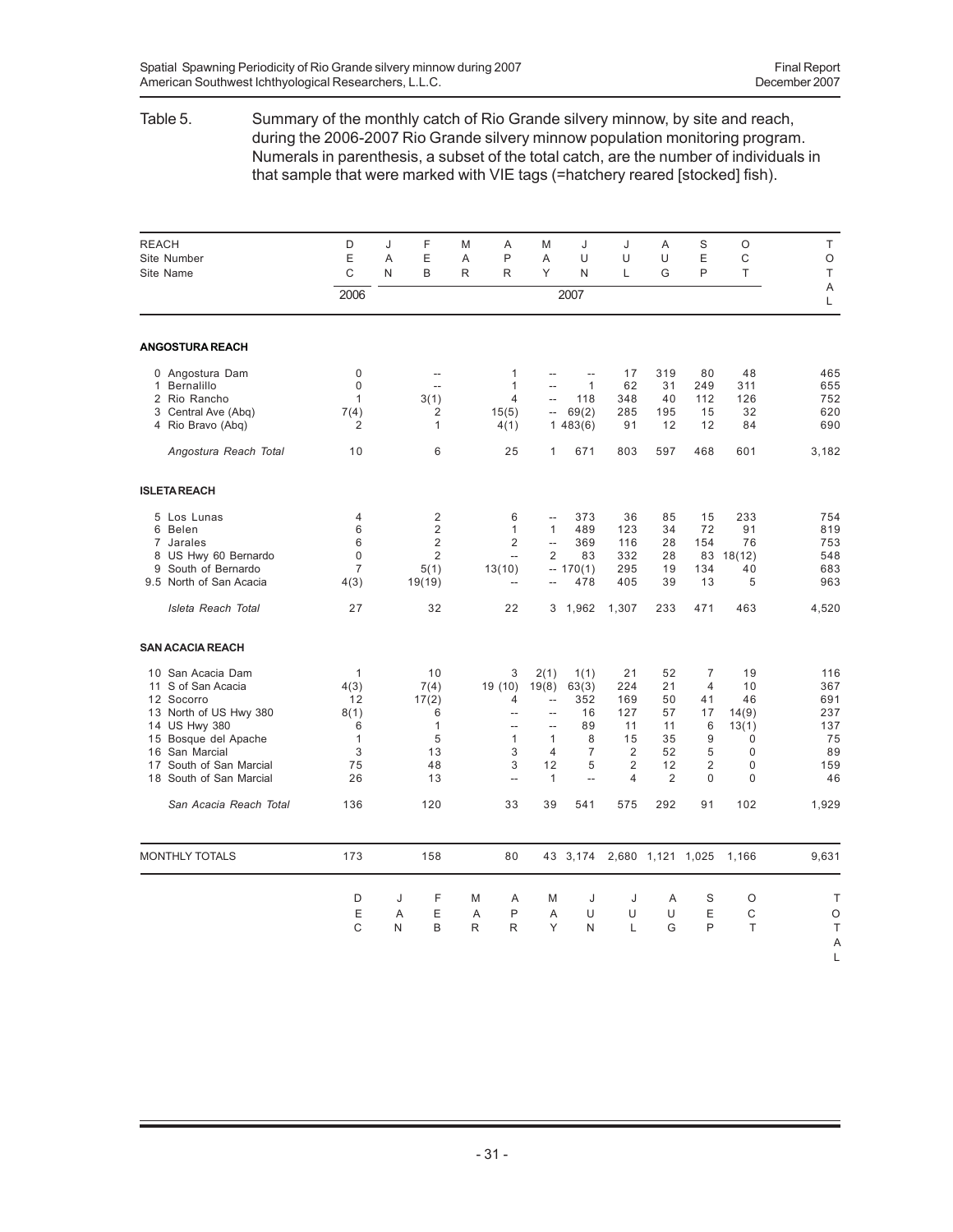## Table 5. Summary of the monthly catch of Rio Grande silvery minnow, by site and reach, during the 2006-2007 Rio Grande silvery minnow population monitoring program. Numerals in parenthesis, a subset of the total catch, are the number of individuals in that sample that were marked with VIE tags (=hatchery reared [stocked] fish).

| <b>REACH</b><br>Site Number<br>Site Name                                                                                                                                                                  | D<br>Ε<br>C                                                              | J<br>A<br>N | F<br>E<br>B                                                               | M<br>A<br>R | A<br>P<br>R                                                                                       | M<br>A<br>Υ                                                                                        | J<br>U<br>N                                                                              | J<br>U<br>L                                                     | A<br>U<br>G                                                    | S<br>E<br>P                                                                                  | O<br>C<br>T                                                                  | T<br>$\circ$<br>T                                        |
|-----------------------------------------------------------------------------------------------------------------------------------------------------------------------------------------------------------|--------------------------------------------------------------------------|-------------|---------------------------------------------------------------------------|-------------|---------------------------------------------------------------------------------------------------|----------------------------------------------------------------------------------------------------|------------------------------------------------------------------------------------------|-----------------------------------------------------------------|----------------------------------------------------------------|----------------------------------------------------------------------------------------------|------------------------------------------------------------------------------|----------------------------------------------------------|
|                                                                                                                                                                                                           | 2006                                                                     |             |                                                                           |             |                                                                                                   |                                                                                                    | 2007                                                                                     |                                                                 |                                                                |                                                                                              |                                                                              | Α<br>L                                                   |
| <b>ANGOSTURA REACH</b>                                                                                                                                                                                    |                                                                          |             |                                                                           |             |                                                                                                   |                                                                                                    |                                                                                          |                                                                 |                                                                |                                                                                              |                                                                              |                                                          |
| 0 Angostura Dam<br>1 Bernalillo<br>2 Rio Rancho<br>3 Central Ave (Abg)<br>4 Rio Bravo (Abq)                                                                                                               | 0<br>0<br>$\mathbf{1}$<br>7(4)<br>$\overline{2}$                         |             | $\overline{a}$<br>$\overline{\phantom{a}}$<br>3(1)<br>2<br>$\mathbf{1}$   |             | $\mathbf{1}$<br>$\mathbf{1}$<br>4<br>15(5)<br>4(1)                                                | $\sim$<br>$\overline{\phantom{a}}$<br>$\overline{a}$<br>$\overline{\phantom{a}}$                   | $\sim$<br>$\mathbf{1}$<br>118<br>69(2)<br>1483(6)                                        | 17<br>62<br>348<br>285<br>91                                    | 319<br>31<br>40<br>195<br>12                                   | 80<br>249<br>112<br>15<br>12                                                                 | 48<br>311<br>126<br>32<br>84                                                 | 465<br>655<br>752<br>620<br>690                          |
| Angostura Reach Total                                                                                                                                                                                     | 10                                                                       |             | 6                                                                         |             | 25                                                                                                | 1                                                                                                  | 671                                                                                      | 803                                                             | 597                                                            | 468                                                                                          | 601                                                                          | 3,182                                                    |
| <b>ISLETA REACH</b>                                                                                                                                                                                       |                                                                          |             |                                                                           |             |                                                                                                   |                                                                                                    |                                                                                          |                                                                 |                                                                |                                                                                              |                                                                              |                                                          |
| 5 Los Lunas<br>6 Belen<br>7 Jarales<br>8 US Hwy 60 Bernardo<br>9 South of Bernardo<br>9.5 North of San Acacia                                                                                             | $\overline{4}$<br>6<br>6<br>0<br>$\overline{7}$<br>4(3)                  |             | $\overline{2}$<br>$\overline{2}$<br>$\overline{2}$<br>2<br>5(1)<br>19(19) |             | 6<br>$\mathbf{1}$<br>$\overline{2}$<br>$\overline{\phantom{a}}$<br>13(10)<br>$\sim$               | $\overline{a}$<br>$\mathbf{1}$<br>$\overline{\phantom{a}}$<br>$\overline{2}$                       | 373<br>489<br>369<br>83<br>$-170(1)$<br>478                                              | 36<br>123<br>116<br>332<br>295<br>405                           | 85<br>34<br>28<br>28<br>19<br>39                               | 15<br>72<br>154<br>83<br>134<br>13                                                           | 233<br>91<br>76<br>18(12)<br>40<br>5                                         | 754<br>819<br>753<br>548<br>683<br>963                   |
| Isleta Reach Total                                                                                                                                                                                        | 27                                                                       |             | 32                                                                        |             | 22                                                                                                |                                                                                                    | 3 1,962                                                                                  | 1,307                                                           | 233                                                            | 471                                                                                          | 463                                                                          | 4,520                                                    |
| <b>SAN ACACIA REACH</b>                                                                                                                                                                                   |                                                                          |             |                                                                           |             |                                                                                                   |                                                                                                    |                                                                                          |                                                                 |                                                                |                                                                                              |                                                                              |                                                          |
| 10 San Acacia Dam<br>S of San Acacia<br>11<br>12<br>Socorro<br>13 North of US Hwy 380<br>14 US Hwy 380<br>15 Bosque del Apache<br>San Marcial<br>16<br>17 South of San Marcial<br>18 South of San Marcial | $\mathbf{1}$<br>4(3)<br>12<br>8(1)<br>6<br>$\mathbf{1}$<br>3<br>75<br>26 |             | 10<br>7(4)<br>17(2)<br>6<br>$\mathbf{1}$<br>5<br>13<br>48<br>13           |             | 3<br>19 (10)<br>4<br>$\overline{a}$<br>$\overline{a}$<br>$\mathbf{1}$<br>3<br>3<br>$\overline{a}$ | 2(1)<br>19(8)<br>Ξ.<br>$\overline{a}$<br>$\overline{a}$<br>$\mathbf{1}$<br>4<br>12<br>$\mathbf{1}$ | 1(1)<br>63(3)<br>352<br>16<br>89<br>8<br>$\overline{7}$<br>5<br>$\overline{\phantom{a}}$ | 21<br>224<br>169<br>127<br>11<br>15<br>2<br>2<br>$\overline{4}$ | 52<br>21<br>50<br>57<br>11<br>35<br>52<br>12<br>$\overline{2}$ | $\overline{7}$<br>$\overline{4}$<br>41<br>17<br>6<br>9<br>5<br>$\overline{2}$<br>$\mathbf 0$ | 19<br>10<br>46<br>14(9)<br>13(1)<br>$\Omega$<br>$\Omega$<br>0<br>$\mathbf 0$ | 116<br>367<br>691<br>237<br>137<br>75<br>89<br>159<br>46 |
| San Acacia Reach Total                                                                                                                                                                                    | 136                                                                      |             | 120                                                                       |             | 33                                                                                                | 39                                                                                                 | 541                                                                                      | 575                                                             | 292                                                            | 91                                                                                           | 102                                                                          | 1,929                                                    |
| <b>MONTHLY TOTALS</b>                                                                                                                                                                                     | 173                                                                      |             | 158                                                                       |             | 80                                                                                                |                                                                                                    | 43 3,174                                                                                 |                                                                 | 2,680 1,121 1,025                                              |                                                                                              | 1,166                                                                        | 9,631                                                    |
|                                                                                                                                                                                                           | D<br>E<br>C                                                              | J<br>A<br>N | F<br>E<br>B                                                               | M<br>A<br>R | Α<br>P<br>R                                                                                       | M<br>A<br>Y                                                                                        | J<br>U<br>N                                                                              | J<br>U<br>L                                                     | Α<br>U<br>G                                                    | S<br>E<br>P                                                                                  | O<br>C<br>T                                                                  | Τ<br>O<br>Τ<br>A<br>L                                    |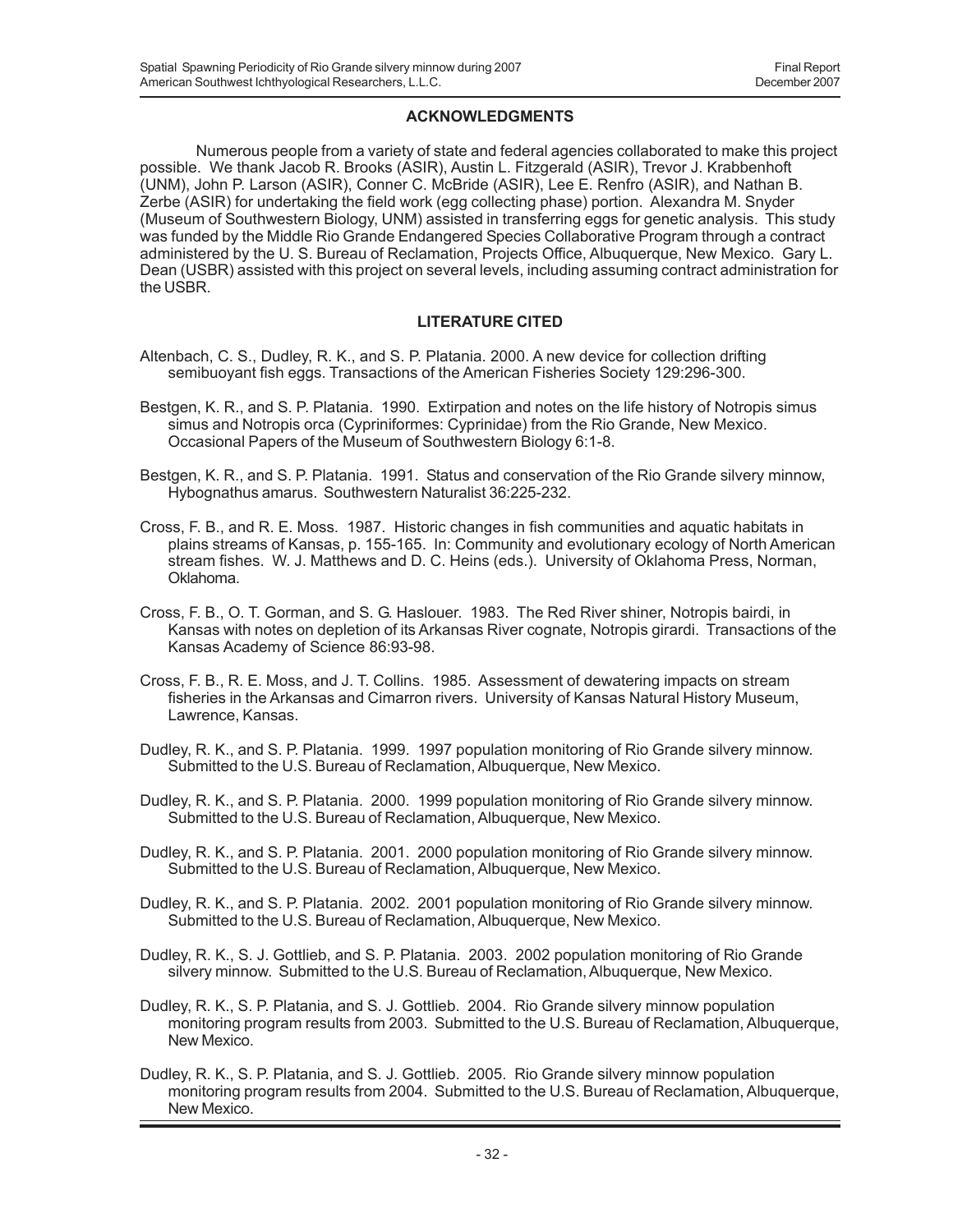## **ACKNOWLEDGMENTS**

Numerous people from a variety of state and federal agencies collaborated to make this project possible. We thank Jacob R. Brooks (ASIR), Austin L. Fitzgerald (ASIR), Trevor J. Krabbenhoft (UNM), John P. Larson (ASIR), Conner C. McBride (ASIR), Lee E. Renfro (ASIR), and Nathan B. Zerbe (ASIR) for undertaking the field work (egg collecting phase) portion. Alexandra M. Snyder (Museum of Southwestern Biology, UNM) assisted in transferring eggs for genetic analysis. This study was funded by the Middle Rio Grande Endangered Species Collaborative Program through a contract administered by the U. S. Bureau of Reclamation, Projects Office, Albuquerque, New Mexico. Gary L. Dean (USBR) assisted with this project on several levels, including assuming contract administration for the USBR.

# **LITERATURE CITED**

- Altenbach, C. S., Dudley, R. K., and S. P. Platania. 2000. A new device for collection drifting semibuoyant fish eggs. Transactions of the American Fisheries Society 129:296-300.
- Bestgen, K. R., and S. P. Platania. 1990. Extirpation and notes on the life history of Notropis simus simus and Notropis orca (Cypriniformes: Cyprinidae) from the Rio Grande, New Mexico. Occasional Papers of the Museum of Southwestern Biology 6:1-8.
- Bestgen, K. R., and S. P. Platania. 1991. Status and conservation of the Rio Grande silvery minnow, Hybognathus amarus. Southwestern Naturalist 36:225-232.
- Cross, F. B., and R. E. Moss. 1987. Historic changes in fish communities and aquatic habitats in plains streams of Kansas, p. 155-165. In: Community and evolutionary ecology of North American stream fishes. W. J. Matthews and D. C. Heins (eds.). University of Oklahoma Press, Norman, Oklahoma.
- Cross, F. B., O. T. Gorman, and S. G. Haslouer. 1983. The Red River shiner, Notropis bairdi, in Kansas with notes on depletion of its Arkansas River cognate, Notropis girardi. Transactions of the Kansas Academy of Science 86:93-98.
- Cross, F. B., R. E. Moss, and J. T. Collins. 1985. Assessment of dewatering impacts on stream fisheries in the Arkansas and Cimarron rivers. University of Kansas Natural History Museum, Lawrence, Kansas.
- Dudley, R. K., and S. P. Platania. 1999. 1997 population monitoring of Rio Grande silvery minnow. Submitted to the U.S. Bureau of Reclamation, Albuquerque, New Mexico.
- Dudley, R. K., and S. P. Platania. 2000. 1999 population monitoring of Rio Grande silvery minnow. Submitted to the U.S. Bureau of Reclamation, Albuquerque, New Mexico.
- Dudley, R. K., and S. P. Platania. 2001. 2000 population monitoring of Rio Grande silvery minnow. Submitted to the U.S. Bureau of Reclamation, Albuquerque, New Mexico.
- Dudley, R. K., and S. P. Platania. 2002. 2001 population monitoring of Rio Grande silvery minnow. Submitted to the U.S. Bureau of Reclamation, Albuquerque, New Mexico.
- Dudley, R. K., S. J. Gottlieb, and S. P. Platania. 2003. 2002 population monitoring of Rio Grande silvery minnow. Submitted to the U.S. Bureau of Reclamation, Albuquerque, New Mexico.
- Dudley, R. K., S. P. Platania, and S. J. Gottlieb. 2004. Rio Grande silvery minnow population monitoring program results from 2003. Submitted to the U.S. Bureau of Reclamation, Albuquerque, New Mexico.
- Dudley, R. K., S. P. Platania, and S. J. Gottlieb. 2005. Rio Grande silvery minnow population monitoring program results from 2004. Submitted to the U.S. Bureau of Reclamation, Albuquerque, New Mexico.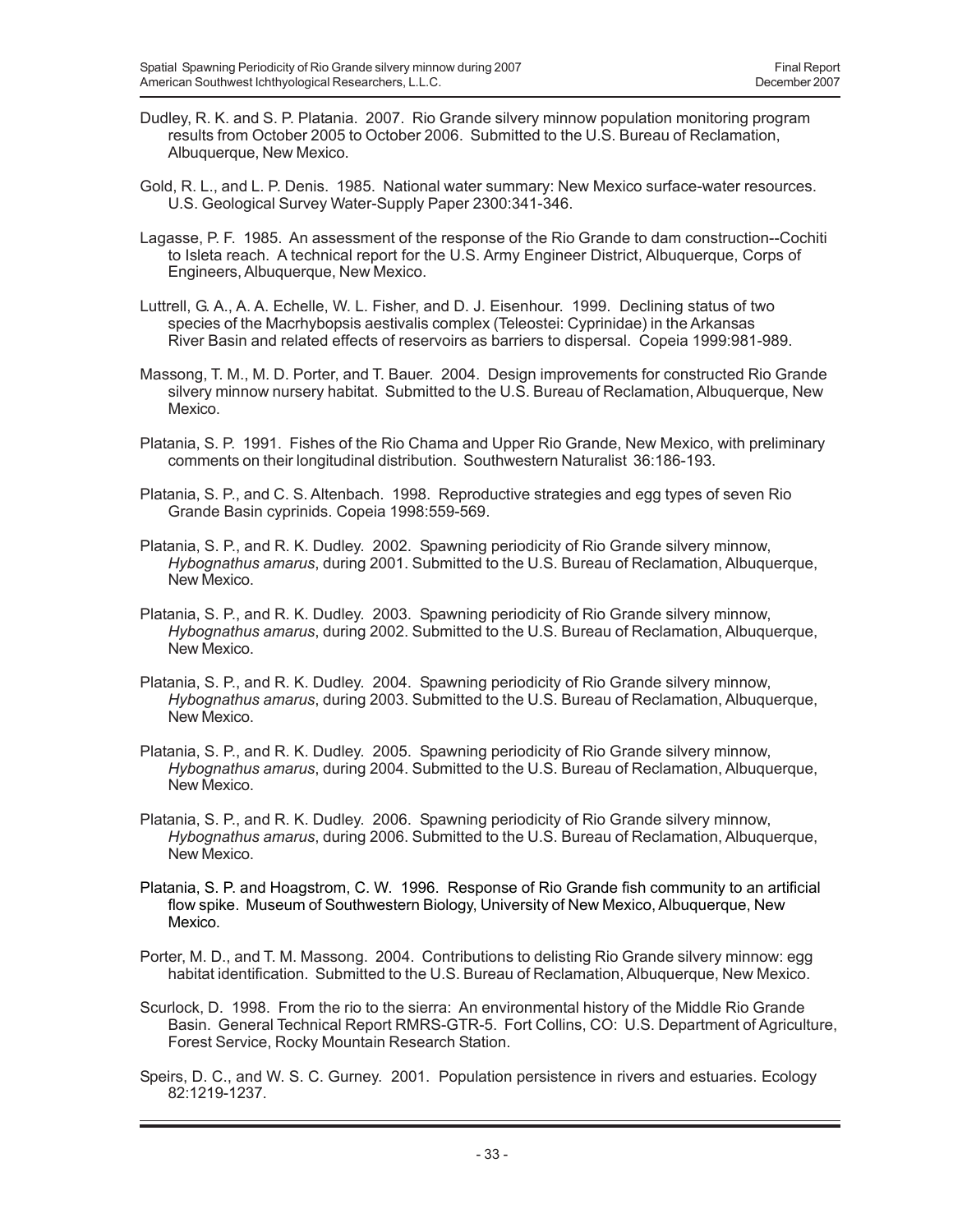- Dudley, R. K. and S. P. Platania. 2007. Rio Grande silvery minnow population monitoring program results from October 2005 to October 2006. Submitted to the U.S. Bureau of Reclamation, Albuquerque, New Mexico.
- Gold, R. L., and L. P. Denis. 1985. National water summary: New Mexico surface-water resources. U.S. Geological Survey Water-Supply Paper 2300:341-346.
- Lagasse, P. F. 1985. An assessment of the response of the Rio Grande to dam construction--Cochiti to Isleta reach. A technical report for the U.S. Army Engineer District, Albuquerque, Corps of Engineers, Albuquerque, New Mexico.
- Luttrell, G. A., A. A. Echelle, W. L. Fisher, and D. J. Eisenhour. 1999. Declining status of two species of the Macrhybopsis aestivalis complex (Teleostei: Cyprinidae) in the Arkansas River Basin and related effects of reservoirs as barriers to dispersal. Copeia 1999:981-989.
- Massong, T. M., M. D. Porter, and T. Bauer. 2004. Design improvements for constructed Rio Grande silvery minnow nursery habitat. Submitted to the U.S. Bureau of Reclamation, Albuquerque, New Mexico.
- Platania, S. P. 1991. Fishes of the Rio Chama and Upper Rio Grande, New Mexico, with preliminary comments on their longitudinal distribution. Southwestern Naturalist 36:186-193.
- Platania, S. P., and C. S. Altenbach. 1998. Reproductive strategies and egg types of seven Rio Grande Basin cyprinids. Copeia 1998:559-569.
- Platania, S. P., and R. K. Dudley. 2002. Spawning periodicity of Rio Grande silvery minnow, *Hybognathus amarus*, during 2001. Submitted to the U.S. Bureau of Reclamation, Albuquerque, New Mexico.
- Platania, S. P., and R. K. Dudley. 2003. Spawning periodicity of Rio Grande silvery minnow, *Hybognathus amarus*, during 2002. Submitted to the U.S. Bureau of Reclamation, Albuquerque, New Mexico.
- Platania, S. P., and R. K. Dudley. 2004. Spawning periodicity of Rio Grande silvery minnow, *Hybognathus amarus*, during 2003. Submitted to the U.S. Bureau of Reclamation, Albuquerque, New Mexico.
- Platania, S. P., and R. K. Dudley. 2005. Spawning periodicity of Rio Grande silvery minnow, *Hybognathus amarus*, during 2004. Submitted to the U.S. Bureau of Reclamation, Albuquerque, New Mexico.
- Platania, S. P., and R. K. Dudley. 2006. Spawning periodicity of Rio Grande silvery minnow, *Hybognathus amarus*, during 2006. Submitted to the U.S. Bureau of Reclamation, Albuquerque, New Mexico.
- Platania, S. P. and Hoagstrom, C. W. 1996. Response of Rio Grande fish community to an artificial flow spike. Museum of Southwestern Biology, University of New Mexico, Albuquerque, New Mexico.
- Porter, M. D., and T. M. Massong. 2004. Contributions to delisting Rio Grande silvery minnow: egg habitat identification. Submitted to the U.S. Bureau of Reclamation, Albuquerque, New Mexico.
- Scurlock, D. 1998. From the rio to the sierra: An environmental history of the Middle Rio Grande Basin. General Technical Report RMRS-GTR-5. Fort Collins, CO: U.S. Department of Agriculture, Forest Service, Rocky Mountain Research Station.
- Speirs, D. C., and W. S. C. Gurney. 2001. Population persistence in rivers and estuaries. Ecology 82:1219-1237.